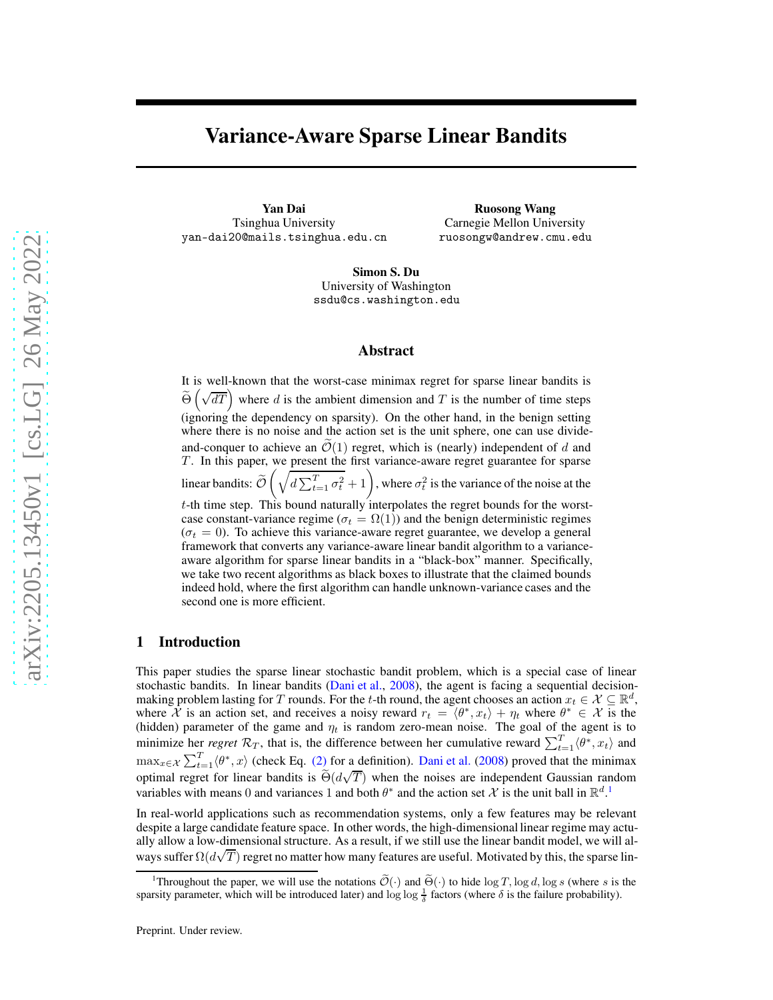# Variance-Aware Sparse Linear Bandits

Yan Dai Tsinghua University yan-dai20@mails.tsinghua.edu.cn

Ruosong Wang Carnegie Mellon University ruosongw@andrew.cmu.edu

Simon S. Du University of Washington ssdu@cs.washington.edu

## Abstract

It is well-known that the worst-case minimax regret for sparse linear bandits is  $\widetilde{\Theta}\left(\sqrt{dT}\right)$  where d is the ambient dimension and T is the number of time steps (ignoring the dependency on sparsity). On the other hand, in the benign setting where there is no noise and the action set is the unit sphere, one can use divideand-conquer to achieve an  $\mathcal{O}(1)$  regret, which is (nearly) independent of d and  $T$ . In this paper, we present the first variance-aware regret guarantee for sparse linear bandits:  $\mathcal O$  $\left(\sqrt{d \sum_{t=1}^{T} \sigma_t^2} + 1\right)$ , where  $\sigma_t^2$  is the variance of the noise at the  $t$ -th time step. This bound naturally interpolates the regret bounds for the worstcase constant-variance regime ( $\sigma_t = \Omega(1)$ ) and the benign deterministic regimes  $(\sigma_t = 0)$ . To achieve this variance-aware regret guarantee, we develop a general framework that converts any variance-aware linear bandit algorithm to a varianceaware algorithm for sparse linear bandits in a "black-box" manner. Specifically, we take two recent algorithms as black boxes to illustrate that the claimed bounds indeed hold, where the first algorithm can handle unknown-variance cases and the second one is more efficient.

## 1 Introduction

This paper studies the sparse linear stochastic bandit problem, which is a special case of linear stochastic bandits. In linear bandits [\(Dani et al.,](#page-10-0) [2008\)](#page-10-0), the agent is facing a sequential decisionmaking problem lasting for T rounds. For the t-th round, the agent chooses an action  $x_t \in \mathcal{X} \subseteq \mathbb{R}^d$ , where X is an action set, and receives a noisy reward  $r_t = \langle \theta^*, x_t \rangle + \eta_t$  where  $\theta^* \in \mathcal{X}$  is the (hidden) parameter of the game and  $\eta_t$  is random zero-mean noise. The goal of the agent is to minimize her *regret*  $\mathcal{R}_T$ , that is, the difference between her cumulative reward  $\sum_{t=1}^T \langle \theta^*, x_t \rangle$  and  $\max_{x \in \mathcal{X}} \sum_{t=1}^T \langle \theta^*, x \rangle$  (check Eq. [\(2\)](#page-4-0) for a definition). [Dani et al.](#page-10-0) [\(2008\)](#page-10-0) proved that the minimax optimal regret for linear bandits is  $\widetilde{\Theta}(d\sqrt{T})$  when the noises are independent Gaussian random variables with means 0 and variances [1](#page-0-0) and both  $\theta^*$  and the action set X is the unit ball in  $\mathbb{R}^{d}$ .

In real-world applications such as recommendation systems, only a few features may be relevant despite a large candidate feature space. In other words, the high-dimensional linear regime may actually allow a low-dimensional structure. As a result, if we still use the linear bandit model, we will always suffer  $\Omega(d\sqrt{T})$  regret no matter how many features are useful. Motivated by this, the sparse lin-

<span id="page-0-0"></span><sup>&</sup>lt;sup>1</sup>Throughout the paper, we will use the notations  $\widetilde{\mathcal{O}}(\cdot)$  and  $\widetilde{\Theta}(\cdot)$  to hide  $\log T$ ,  $\log d$ ,  $\log s$  (where s is the sparsity parameter, which will be introduced later) and  $\log \log \frac{1}{\delta}$  factors (where  $\delta$  is the failure probability).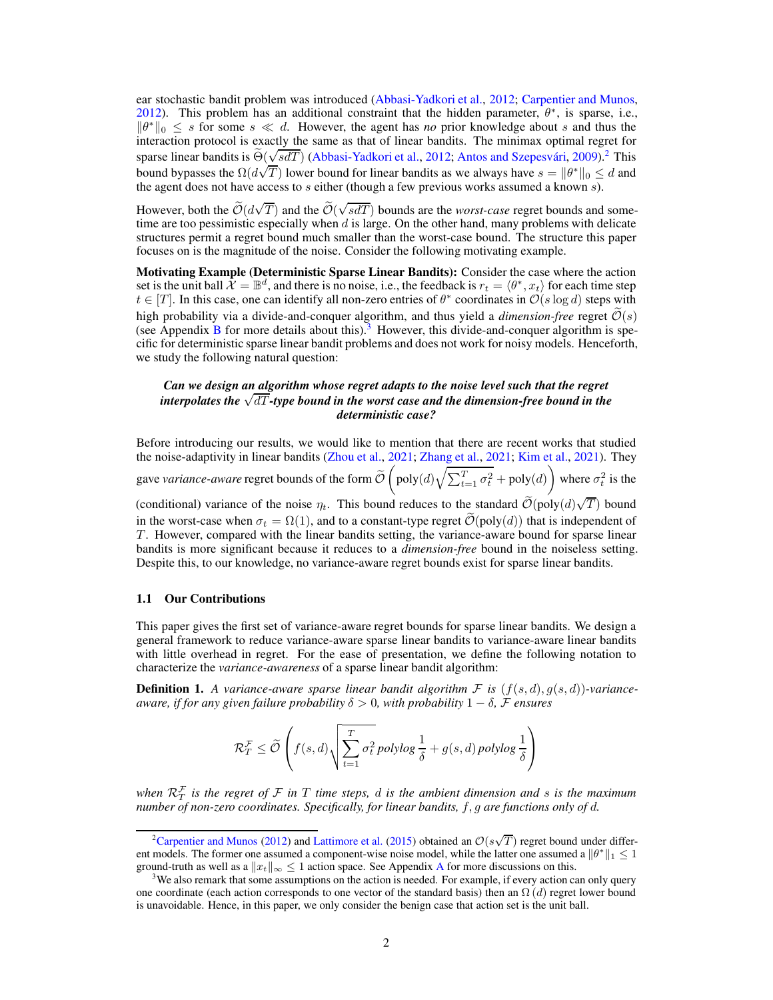ear stochastic bandit problem was introduced [\(Abbasi-Yadkori et al.](#page-9-0), [2012;](#page-9-0) [Carpentier and Munos,](#page-10-1) [2012\)](#page-10-1). This problem has an additional constraint that the hidden parameter,  $\theta^*$ , is sparse, i.e.,  $\|\theta^*\|_0 \leq s$  for some  $s \ll d$ . However, the agent has *no* prior knowledge about s and thus the interaction protocol is exactly the same as that of linear bandits. The minimax optimal regret for sparse linear bandits is  $\widetilde{\Theta}(\sqrt{sdT})$  [\(Abbasi-Yadkori et al.](#page-9-0), [2012](#page-9-0); [Antos and Szepesvári,](#page-9-1) [2009\)](#page-9-1).<sup>[2](#page-1-0)</sup> This bound bypasses the  $\Omega(d\sqrt{T})$  lower bound for linear bandits as we always have  $s = ||\theta^*||_0 \le d$  and the agent does not have access to  $s$  either (though a few previous works assumed a known  $s$ ).

However, both the  $\tilde{\mathcal{O}}(d\sqrt{T})$  and the  $\tilde{\mathcal{O}}(\sqrt{sdT})$  bounds are the *worst-case* regret bounds and sometime are too pessimistic especially when  $d$  is large. On the other hand, many problems with delicate structures permit a regret bound much smaller than the worst-case bound. The structure this paper focuses on is the magnitude of the noise. Consider the following motivating example.

Motivating Example (Deterministic Sparse Linear Bandits): Consider the case where the action set is the unit ball  $\mathcal{X} = \mathbb{B}^d$ , and there is no noise, i.e., the feedback is  $r_t = \langle \theta^*, x_t \rangle$  for each time step  $t \in [T]$ . In this case, one can identify all non-zero entries of  $\theta^*$  coordinates in  $\mathcal{O}(s \log d)$  steps with high probability via a divide-and-conquer algorithm, and thus yield a *dimension-free* regret  $\widetilde{\mathcal{O}}(s)$ (see Appendix [B](#page-13-0) for more details about this).<sup>[3](#page-1-1)</sup> However, this divide-and-conquer algorithm is specific for deterministic sparse linear bandit problems and does not work for noisy models. Henceforth, we study the following natural question:

### *Can we design an algorithm whose regret adapts to the noise level such that the regret interpolates the* <sup>√</sup> dT*-type bound in the worst case and the dimension-free bound in the deterministic case?*

Before introducing our results, we would like to mention that there are recent works that studied the noise-adaptivity in linear bandits [\(Zhou et al.](#page-11-0), [2021;](#page-11-0) [Zhang et al.](#page-11-1), [2021](#page-11-1); [Kim et al.,](#page-11-2) [2021\)](#page-11-2). They gave *variance-aware* regret bounds of the form  $O$  $\sqrt{ }$  $poly(d)\sqrt{\sum_{t=1}^{T} \sigma_t^2} + poly(d)$  $\overline{ }$ where  $\sigma_t^2$  is the

(conditional) variance of the noise  $\eta_t$ . This bound reduces to the standard  $\tilde{\mathcal{O}}(\text{poly}(d)\sqrt{T})$  bound in the worst-case when  $\sigma_t = \Omega(1)$ , and to a constant-type regret  $\hat{\mathcal{O}}(\text{poly}(d))$  that is independent of T. However, compared with the linear bandits setting, the variance-aware bound for sparse linear bandits is more significant because it reduces to a *dimension-free* bound in the noiseless setting. Despite this, to our knowledge, no variance-aware regret bounds exist for sparse linear bandits.

#### 1.1 Our Contributions

This paper gives the first set of variance-aware regret bounds for sparse linear bandits. We design a general framework to reduce variance-aware sparse linear bandits to variance-aware linear bandits with little overhead in regret. For the ease of presentation, we define the following notation to characterize the *variance-awareness* of a sparse linear bandit algorithm:

**Definition 1.** A variance-aware sparse linear bandit algorithm  $\mathcal{F}$  is  $(f(s, d), q(s, d))$ -variance*aware, if for any given failure probability*  $\delta > 0$ *, with probability*  $1 - \delta$ *, F ensures* 

$$
\mathcal{R}^{\mathcal{F}}_T \leq \widetilde{\mathcal{O}}\left(f(s,d)\sqrt{\sum_{t=1}^T \sigma_t^2 \mathop{polylog} \frac{1}{\delta} + g(s,d) \mathop{polylog} \frac{1}{\delta}}\right)
$$

when  $\mathcal{R}_T^{\neq}$  *is the regret of*  $\mathcal F$  *in*  $T$  *time steps, d is the ambient dimension and s is the maximum number of non-zero coordinates. Specifically, for linear bandits,* f, g *are functions only of* d*.*

<span id="page-1-0"></span><sup>&</sup>lt;sup>2</sup>[Carpentier and Munos](#page-10-1) [\(2012\)](#page-10-1) and [Lattimore et al.](#page-11-3) [\(2015\)](#page-11-3) obtained an  $\mathcal{O}(s\sqrt{T})$  regret bound under different models. The former one assumed a component-wise noise model, while the latter one assumed a  $\|\theta^*\|_1 \leq 1$ ground-truth as well as a  $||x_t||_{\infty} \leq 1$  action space. See [A](#page-12-0)ppendix A for more discussions on this.

<span id="page-1-1"></span><sup>&</sup>lt;sup>3</sup>We also remark that some assumptions on the action is needed. For example, if every action can only query one coordinate (each action corresponds to one vector of the standard basis) then an  $\Omega(d)$  regret lower bound is unavoidable. Hence, in this paper, we only consider the benign case that action set is the unit ball.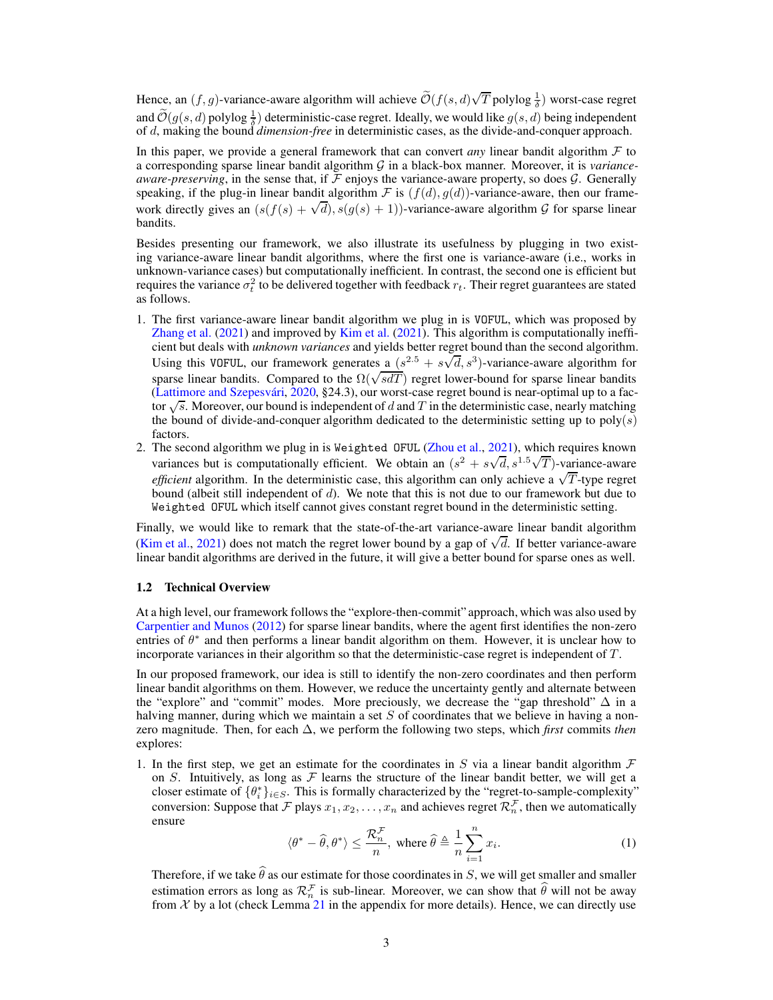Hence, an  $(f, g)$ -variance-aware algorithm will achieve  $\tilde{O}(f(s, d)\sqrt{T})$  polylog  $\frac{1}{\delta}$ ) worst-case regret and  $\widetilde{\mathcal{O}}(g(s, d)$  polylog  $\frac{1}{\delta}$ ) deterministic-case regret. Ideally, we would like  $g(s, d)$  being independent of d, making the bound *dimension-free* in deterministic cases, as the divide-and-conquer approach.

In this paper, we provide a general framework that can convert *any* linear bandit algorithm  $F$  to a corresponding sparse linear bandit algorithm  $G$  in a black-box manner. Moreover, it is *varianceaware-preserving*, in the sense that, if  $\mathcal F$  enjoys the variance-aware property, so does  $\mathcal G$ . Generally speaking, if the plug-in linear bandit algorithm  $\mathcal F$  is  $(f(d), g(d))$ -variance-aware, then our framework directly gives an  $(s(f(s) + \sqrt{d}), s(g(s) + 1))$ -variance-aware algorithm G for sparse linear bandits.

Besides presenting our framework, we also illustrate its usefulness by plugging in two existing variance-aware linear bandit algorithms, where the first one is variance-aware (i.e., works in unknown-variance cases) but computationally inefficient. In contrast, the second one is efficient but requires the variance  $\sigma_t^2$  to be delivered together with feedback  $r_t$ . Their regret guarantees are stated as follows.

- 1. The first variance-aware linear bandit algorithm we plug in is VOFUL, which was proposed by [Zhang et al.](#page-11-1) [\(2021\)](#page-11-1) and improved by [Kim et al.](#page-11-2) [\(2021\)](#page-11-2). This algorithm is computationally inefficient but deals with *unknown variances* and yields better regret bound than the second algorithm. Using this VOFUL, our framework generates a  $(s^{2.5} + s\sqrt{d}, s^3)$ -variance-aware algorithm for sparse linear bandits. Compared to the  $\Omega(\sqrt{sdT})$  regret lower-bound for sparse linear bandits [\(Lattimore and Szepesvári](#page-11-4), [2020](#page-11-4), §24.3), our worst-case regret bound is near-optimal up to a factor  $\sqrt{s}$ . Moreover, our bound is independent of d and T in the deterministic case, nearly matching the bound of divide-and-conquer algorithm dedicated to the deterministic setting up to  $poly(s)$ factors.
- 2. The second algorithm we plug in is Weighted OFUL [\(Zhou et al.,](#page-11-0) [2021\)](#page-11-0), which requires known variances but is computationally efficient. We obtain an  $(s^2 + s\sqrt{d}, s^{1.5}\sqrt{T})$ -variance-aware *efficient* algorithm. In the deterministic case, this algorithm can only achieve a  $\sqrt{T}$ -type regret bound (albeit still independent of  $d$ ). We note that this is not due to our framework but due to Weighted OFUL which itself cannot gives constant regret bound in the deterministic setting.

Finally, we would like to remark that the state-of-the-art variance-aware linear bandit algorithm [\(Kim et al.,](#page-11-2) [2021\)](#page-11-2) does not match the regret lower bound by a gap of  $\sqrt{d}$ . If better variance-aware linear bandit algorithms are derived in the future, it will give a better bound for sparse ones as well.

#### 1.2 Technical Overview

At a high level, our framework follows the "explore-then-commit" approach, which was also used by [Carpentier and Munos](#page-10-1) [\(2012\)](#page-10-1) for sparse linear bandits, where the agent first identifies the non-zero entries of  $\theta^*$  and then performs a linear bandit algorithm on them. However, it is unclear how to incorporate variances in their algorithm so that the deterministic-case regret is independent of  $T$ .

In our proposed framework, our idea is still to identify the non-zero coordinates and then perform linear bandit algorithms on them. However, we reduce the uncertainty gently and alternate between the "explore" and "commit" modes. More preciously, we decrease the "gap threshold"  $\Delta$  in a halving manner, during which we maintain a set  $S$  of coordinates that we believe in having a nonzero magnitude. Then, for each ∆, we perform the following two steps, which *first* commits *then* explores:

1. In the first step, we get an estimate for the coordinates in S via a linear bandit algorithm  $\mathcal F$ on  $S$ . Intuitively, as long as  $\mathcal F$  learns the structure of the linear bandit better, we will get a closer estimate of  $\{\theta_i^*\}_{i \in S}$ . This is formally characterized by the "regret-to-sample-complexity" conversion: Suppose that  $\mathcal F$  plays  $x_1, x_2, \ldots, x_n$  and achieves regret  $\mathcal R_n^{\mathcal F}$ , then we automatically ensure

$$
\langle \theta^* - \hat{\theta}, \theta^* \rangle \le \frac{\mathcal{R}_n^{\mathcal{F}}}{n}, \text{ where } \hat{\theta} \triangleq \frac{1}{n} \sum_{i=1}^n x_i. \tag{1}
$$

<span id="page-2-0"></span>Therefore, if we take  $\widehat{\theta}$  as our estimate for those coordinates in S, we will get smaller and smaller estimation errors as long as  $\mathcal{R}_n^{\neq}$  is sub-linear. Moreover, we can show that  $\theta$  will not be away from  $\chi$  by a lot (check Lemma [21](#page-18-0) in the appendix for more details). Hence, we can directly use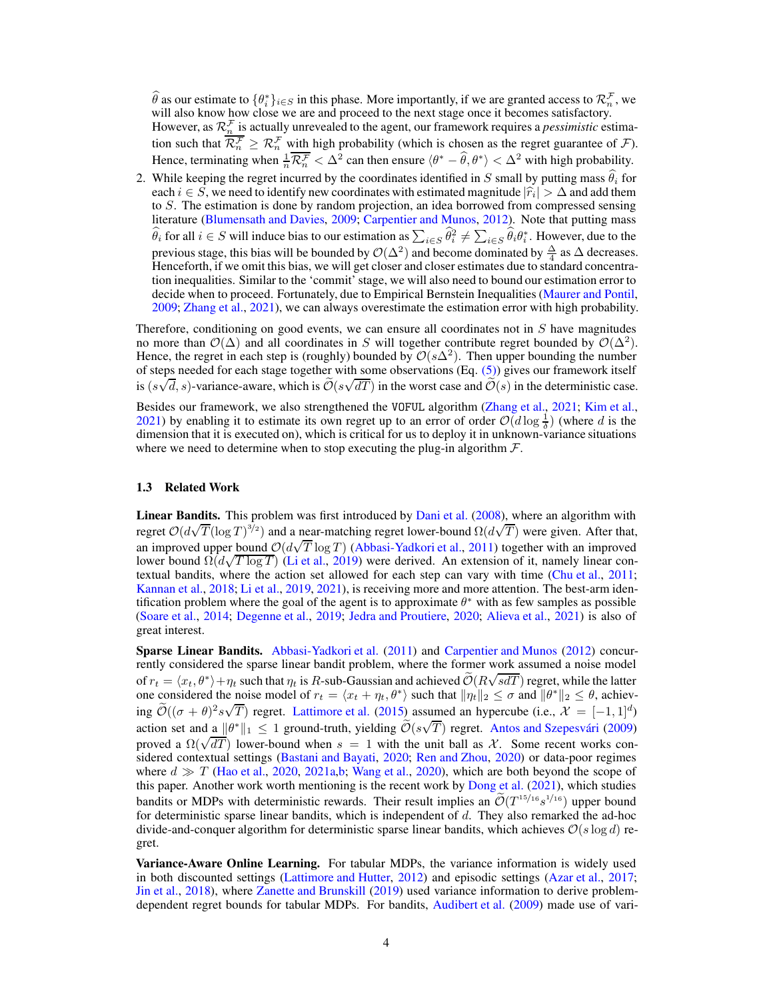$\theta$  as our estimate to  $\{\theta_i^*\}_{i \in S}$  in this phase. More importantly, if we are granted access to  $\mathcal{R}_n^{\neq}$ , we will also know how close we are and proceed to the next stage once it becomes satisfactory. However, as  $\mathcal{R}_n^{\neq}$  is actually unrevealed to the agent, our framework requires a *pessimistic* estimation such that  $\mathcal{R}_n^{\mathcal{F}} \geq \mathcal{R}_n^{\mathcal{F}}$  with high probability (which is chosen as the regret guarantee of  $\mathcal{F}$ ). Hence, terminating when  $\frac{1}{n}\overline{\mathcal{R}_n^F} < \Delta^2$  can then ensure  $\langle \theta^* - \hat{\theta}, \theta^* \rangle < \Delta^2$  with high probability.

2. While keeping the regret incurred by the coordinates identified in S small by putting mass  $\hat{\theta}_i$  for each  $i \in S$ , we need to identify new coordinates with estimated magnitude  $|\hat{r}_i| > \Delta$  and add them to S. The estimation is done by random projection, an idea borrowed from compressed sensing literature [\(Blumensath and Davies](#page-10-2), [2009;](#page-10-2) [Carpentier and Munos](#page-10-1), [2012\)](#page-10-1). Note that putting mass  $\hat{\theta}_i$  for all  $i \in S$  will induce bias to our estimation as  $\sum_{i \in S} \hat{\theta}_i^2 \neq \sum_{i \in S} \hat{\theta}_i \theta_i^*$ . However, due to the previous stage, this bias will be bounded by  $\mathcal{O}(\Delta^2)$  and become dominated by  $\frac{\Delta}{4}$  as  $\Delta$  decreases. Henceforth, if we omit this bias, we will get closer and closer estimates due to standard concentration inequalities. Similar to the 'commit' stage, we will also need to bound our estimation error to decide when to proceed. Fortunately, due to Empirical Bernstein Inequalities [\(Maurer and Pontil,](#page-11-5) [2009;](#page-11-5) [Zhang et al.,](#page-11-1) [2021\)](#page-11-1), we can always overestimate the estimation error with high probability.

Therefore, conditioning on good events, we can ensure all coordinates not in S have magnitudes no more than  $\mathcal{O}(\Delta)$  and all coordinates in S will together contribute regret bounded by  $\mathcal{O}(\Delta^2)$ . Hence, the regret in each step is (roughly) bounded by  $\mathcal{O}(s\Delta^2)$ . Then upper bounding the number of steps needed for each stage together with some observations (Eq. [\(5\)\)](#page-6-0) gives our framework itself is  $(s\sqrt{d}, s)$ -variance-aware, which is  $\widetilde{\mathcal{O}}(s\sqrt{dT})$  in the worst case and  $\widetilde{\mathcal{O}}(s)$  in the deterministic case.

Besides our framework, we also strengthened the VOFUL algorithm [\(Zhang et al.,](#page-11-1) [2021;](#page-11-1) [Kim et al.,](#page-11-2) [2021\)](#page-11-2) by enabling it to estimate its own regret up to an error of order  $O(d \log \frac{1}{\delta})$  (where d is the dimension that it is executed on), which is critical for us to deploy it in unknown-variance situations where we need to determine when to stop executing the plug-in algorithm  $\mathcal{F}$ .

#### 1.3 Related Work

Linear Bandits. This problem was first introduced by [Dani et al.](#page-10-0) [\(2008\)](#page-10-0), where an algorithm with **EXECUTE THE TEXT THE CONSTRAINT WAS THE MATERIAL OF DUM CONSTRAINED AND MATERIAL REGRET CONSTRAINED ASSESS** FROM  $\Omega(d\sqrt{T})$  were given. After that, an improved upper bound  $\mathcal{O}(d\sqrt{T} \log T)$  [\(Abbasi-Yadkori et al.,](#page-9-2) [2011](#page-9-2)) together with an improved lower bound  $\Omega(d\sqrt{T \log T})$  [\(Li et al.](#page-11-6), [2019\)](#page-11-6) were derived. An extension of it, namely linear contextual bandits, where the action set allowed for each step can vary with time [\(Chu et al.,](#page-10-3) [2011](#page-10-3); [Kannan et al.,](#page-10-4) [2018;](#page-10-4) [Li et al.,](#page-11-6) [2019](#page-11-6), [2021\)](#page-11-7), is receiving more and more attention. The best-arm identification problem where the goal of the agent is to approximate  $\theta^*$  with as few samples as possible [\(Soare et al.,](#page-11-8) [2014;](#page-11-8) [Degenne et al.,](#page-10-5) [2019;](#page-10-5) [Jedra and Proutiere,](#page-10-6) [2020;](#page-10-6) [Alieva et al.,](#page-9-3) [2021\)](#page-9-3) is also of great interest.

Sparse Linear Bandits. [Abbasi-Yadkori et al.](#page-9-2) [\(2011](#page-9-2)) and [Carpentier and Munos](#page-10-1) [\(2012\)](#page-10-1) concurrently considered the sparse linear bandit problem, where the former work assumed a noise model of  $r_t = \langle x_t, \theta^* \rangle + \eta_t$  such that  $\eta_t$  is R-sub-Gaussian and achieved  $\tilde{\mathcal{O}}(R\sqrt{sdT})$  regret, while the latter one considered the noise model of  $r_t = \langle x_t + \eta_t, \theta^* \rangle$  such that  $\|\eta_t\|_2 \leq \sigma$  and  $\|\theta^*\|_2 \leq \theta$ , achieving  $\widetilde{\mathcal{O}}((\sigma + \theta)^2 s\sqrt{T})$  regret. [Lattimore et al.](#page-11-3) [\(2015\)](#page-11-3) assumed an hypercube (i.e.,  $\mathcal{X} = [-1, 1]^d$ ) action set and  $\underline{a} ||\theta^*||_1 \leq 1$  ground-truth, yielding  $\widetilde{\mathcal{O}}(s\sqrt{T})$  regret. [Antos and Szepesvári](#page-9-1) [\(2009\)](#page-9-1) proved a  $\Omega(\sqrt{dT})$  lower-bound when  $s = 1$  with the unit ball as X. Some recent works considered contextual settings [\(Bastani and Bayati,](#page-9-4) [2020;](#page-9-4) [Ren and Zhou,](#page-11-9) [2020\)](#page-11-9) or data-poor regimes where  $d \gg T$  [\(Hao et al.](#page-10-7), [2020,](#page-10-7) [2021a](#page-10-8)[,b](#page-10-9); [Wang et al.](#page-11-10), [2020\)](#page-11-10), which are both beyond the scope of this paper. Another work worth mentioning is the recent work by [Dong et al.](#page-10-10) [\(2021\)](#page-10-10), which studies bandits or MDPs with deterministic rewards. Their result implies an  $\tilde{\mathcal{O}}(T^{15/16}s^{1/16})$  upper bound for deterministic sparse linear bandits, which is independent of d. They also remarked the ad-hoc divide-and-conquer algorithm for deterministic sparse linear bandits, which achieves  $\mathcal{O}(s \log d)$  regret.

Variance-Aware Online Learning. For tabular MDPs, the variance information is widely used in both discounted settings [\(Lattimore and Hutter](#page-11-11), [2012\)](#page-11-11) and episodic settings [\(Azar et al.,](#page-9-5) [2017](#page-9-5); [Jin et al.](#page-10-11), [2018\)](#page-10-11), where [Zanette and Brunskill](#page-11-12) [\(2019](#page-11-12)) used variance information to derive problemdependent regret bounds for tabular MDPs. For bandits, [Audibert et al.](#page-9-6) [\(2009\)](#page-9-6) made use of vari-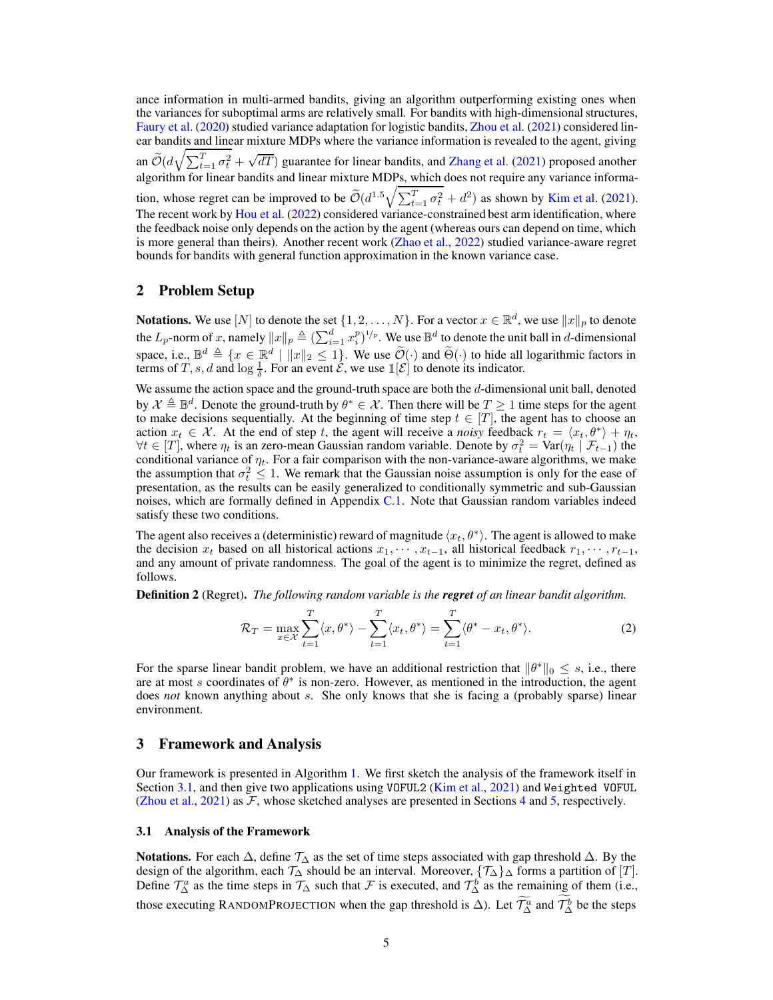ance information in multi-armed bandits, giving an algorithm outperforming existing ones when the variances for suboptimal arms are relatively small. For bandits with high-dimensional structures, [Faury et al.](#page-10-12) [\(2020\)](#page-10-12) studied variance adaptation for logistic bandits, [Zhou et al.](#page-11-0) [\(2021](#page-11-0)) considered linear bandits and linear mixture MDPs where the variance information is revealed to the agent, giving an  $\widetilde{\mathcal{O}}(d\sqrt{\sum_{t=1}^{T} \sigma_t^2} + \sqrt{dT})$  guarantee for linear bandits, and [Zhang et al.](#page-11-1) [\(2021](#page-11-1)) proposed another algorithm for linear bandits and linear mixture MDPs, which does not require any variance information, whose regret can be improved to be  $\widetilde{\mathcal{O}}(d^{1.5}\sqrt{\sum_{t=1}^{T} \sigma_t^2} + d^2)$  as shown by [Kim et al.](#page-11-2) [\(2021\)](#page-11-2). The recent work by [Hou et al.](#page-10-13) [\(2022\)](#page-10-13) considered variance-constrained best arm identification, where the feedback noise only depends on the action by the agent (whereas ours can depend on time, which is more general than theirs). Another recent work [\(Zhao et al.](#page-11-13), [2022\)](#page-11-13) studied variance-aware regret bounds for bandits with general function approximation in the known variance case.

## 2 Problem Setup

**Notations.** We use  $[N]$  to denote the set  $\{1, 2, ..., N\}$ . For a vector  $x \in \mathbb{R}^d$ , we use  $||x||_p$  to denote the  $L_p$ -norm of x, namely  $||x||_p \triangleq (\sum_{i=1}^d x_i^p)^{1/p}$ . We use  $\mathbb{B}^d$  to denote the unit ball in d-dimensional space, i.e.,  $\mathbb{B}^d \triangleq \{x \in \mathbb{R}^d \mid ||x||_2 \le 1\}$ . We use  $\widetilde{\mathcal{O}}(\cdot)$  and  $\widetilde{\Theta}(\cdot)$  to hide all logarithmic factors in terms of  $T, s, d$  and  $\log \frac{1}{\delta}$ . For an event  $\mathcal{E}$ , we use  $\mathbb{1}[\mathcal{E}]$  to denote it

We assume the action space and the ground-truth space are both the  $d$ -dimensional unit ball, denoted by  $\mathcal{X} \triangleq \mathbb{B}^d$ . Denote the ground-truth by  $\theta^* \in \mathcal{X}$ . Then there will be  $T \geq 1$  time steps for the agent to make decisions sequentially. At the beginning of time step  $t \in [T]$ , the agent has to choose an action  $x_t \in \mathcal{X}$ . At the end of step t, the agent will receive a *noisy* feedback  $r_t = \langle x_t, \theta^* \rangle + \eta_t$ ,  $\forall t \in [T]$ , where  $\eta_t$  is an zero-mean Gaussian random variable. Denote by  $\sigma_t^2 = \text{Var}(\eta_t | \mathcal{F}_{t-1})$  the conditional variance of  $\eta_t$ . For a fair comparison with the non-variance-aware algorithms, we make the assumption that  $\sigma_t^2 \leq 1$ . We remark that the Gaussian noise assumption is only for the ease of presentation, as the results can be easily generalized to conditionally symmetric and sub-Gaussian noises, which are formally defined in Appendix  $C.1$ . Note that Gaussian random variables indeed satisfy these two conditions.

The agent also receives a (deterministic) reward of magnitude  $\langle x_t, \theta^* \rangle$ . The agent is allowed to make the decision  $x_t$  based on all historical actions  $x_1, \dots, x_{t-1}$ , all historical feedback  $r_1, \dots, r_{t-1}$ , and any amount of private randomness. The goal of the agent is to minimize the regret, defined as follows.

Definition 2 (Regret). *The following random variable is the regret of an linear bandit algorithm.*

<span id="page-4-0"></span>
$$
\mathcal{R}_T = \max_{x \in \mathcal{X}} \sum_{t=1}^T \langle x, \theta^* \rangle - \sum_{t=1}^T \langle x_t, \theta^* \rangle = \sum_{t=1}^T \langle \theta^* - x_t, \theta^* \rangle. \tag{2}
$$

For the sparse linear bandit problem, we have an additional restriction that  $\|\theta^*\|_0 \leq s$ , i.e., there are at most s coordinates of  $\theta^*$  is non-zero. However, as mentioned in the introduction, the agent does *not* known anything about s. She only knows that she is facing a (probably sparse) linear environment.

### 3 Framework and Analysis

Our framework is presented in Algorithm [1.](#page-5-0) We first sketch the analysis of the framework itself in Section [3.1,](#page-4-1) and then give two applications using VOFUL2 [\(Kim et al.](#page-11-2), [2021](#page-11-2)) and Weighted VOFUL [\(Zhou et al.,](#page-11-0) [2021\)](#page-11-0) as  $\mathcal F$ , whose sketched analyses are presented in Sections [4](#page-7-0) and [5,](#page-8-0) respectively.

#### <span id="page-4-1"></span>3.1 Analysis of the Framework

Notations. For each  $\Delta$ , define  $\mathcal{T}_{\Delta}$  as the set of time steps associated with gap threshold  $\Delta$ . By the design of the algorithm, each  $\mathcal{T}_{\Delta}$  should be an interval. Moreover,  $\{\mathcal{T}_{\Delta}\}_\Delta$  forms a partition of  $[T]$ . Define  $\mathcal{T}_{\Delta}^{a}$  as the time steps in  $\mathcal{T}_{\Delta}$  such that  $\mathcal{F}$  is executed, and  $\mathcal{T}_{\Delta}^{b}$  as the remaining of them (i.e., those executing RANDOMPROJECTION when the gap threshold is  $\Delta$ ). Let  $\mathcal{T}_{\Delta}^{a}$  and  $\mathcal{T}_{\Delta}^{b}$  be the steps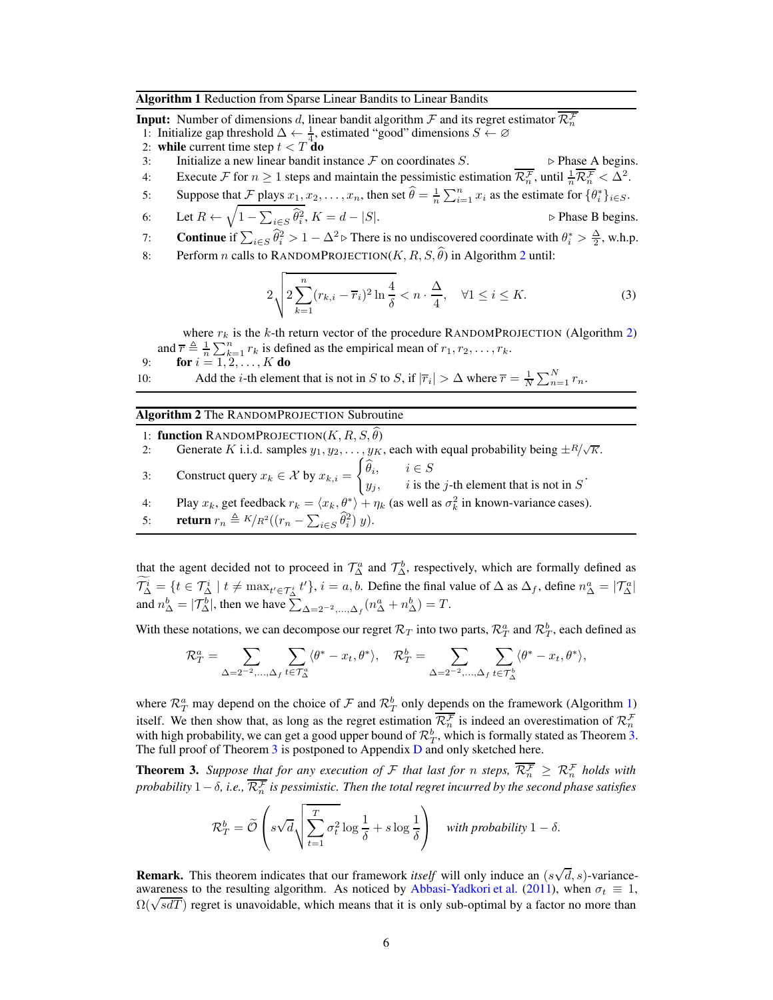<span id="page-5-0"></span>Algorithm 1 Reduction from Sparse Linear Bandits to Linear Bandits

**Input:** Number of dimensions d, linear bandit algorithm  $\mathcal F$  and its regret estimator  $\mathcal R_n^{\mathcal F}$ 

- 1: Initialize gap threshold  $\Delta \leftarrow \frac{1}{4}$ , estimated "good" dimensions  $S \leftarrow \emptyset$
- 2: while current time step  $t < T$  do
- 3: Initialize a new linear bandit instance F on coordinates S. ⊳ Phase A begins.<br>4: Execute F for  $n > 1$  steps and maintain the pessimistic estimation  $\overline{\mathcal{R}^{\mathcal{F}}_n}$ , until  $\frac{1}{2} \overline{\mathcal{R}^{\mathcal{F}}_n} < \Delta^2$ .
- 4: Execute F for  $n \geq 1$  steps and maintain the pessimistic estimation  $\overline{\mathcal{R}_n^F}$ , until  $\frac{1}{n} \overline{\mathcal{R}_n^F} < \Delta^2$ .
- 5: Suppose that  $\mathcal{F}$  plays  $x_1, x_2, \ldots, x_n$ , then set  $\widehat{\theta} = \frac{1}{n} \sum_{i=1}^n x_i$  as the estimate for  $\{\theta_i^*\}_{i \in S}$ .

6: Let 
$$
R \leftarrow \sqrt{1 - \sum_{i \in S} \hat{\theta}_i^2}
$$
,  $K = d - |S|$ .  $\triangleright$  Phase B begins.

- <span id="page-5-4"></span>7: **Continue** if  $\sum_{i \in S} \hat{\theta}_i^2 > 1 - \Delta^2 \triangleright$  There is no undiscovered coordinate with  $\theta_i^* > \frac{\Delta}{2}$ , w.h.p.
- 8: Perform *n* calls to RANDOMPROJECTION( $K, R, S, \hat{\theta}$ ) in Algorithm [2](#page-5-1) until:

<span id="page-5-3"></span>
$$
2\sqrt{2\sum_{k=1}^{n}(r_{k,i}-\overline{r}_{i})^{2}\ln\frac{4}{\delta}} (3)
$$

where  $r_k$  is the k-th return vector of the procedure RANDOMPROJECTION (Algorithm [2\)](#page-5-1) and  $\overline{r} \triangleq \frac{1}{n} \sum_{k=1}^{n} r_k$  is defined as the empirical mean of  $r_1, r_2, \ldots, r_k$ .

- 9: **for**  $i = 1, 2, ..., K$  **do**
- 10: Add the *i*-th element that is not in S to S, if  $|\overline{r}_i| > \Delta$  where  $\overline{r} = \frac{1}{N} \sum_{n=1}^{N} r_n$ .

## <span id="page-5-1"></span>Algorithm 2 The RANDOMPROJECTION Subroutine

- 1: **function** RANDOMPROJECTION $(K, R, S, \hat{\theta})$ <br>2: Generate K i.i.d. samples  $y_1, y_2, \dots, y_K$
- 2: Generate K i.i.d. samples  $y_1, y_2, \ldots, y_K$ , each with equal probability being  $\pm R/\sqrt{K}$ .  $\left( \hat{\hat{\theta}}_i, \quad i \in S \right)$
- 3: Construct query  $x_k \in \mathcal{X}$  by  $x_{k,i} =$  $y_j$ , is the j-th element that is not in S<sup>t</sup>
- 4: Play  $x_k$ , get feedback  $r_k = \langle x_k, \theta^* \rangle + \eta_k$  (as well as  $\sigma_k^2$  in known-variance cases).
- 5: **return**  $r_n \triangleq \frac{K}{R^2}((r_n \sum_{i \in S} \widehat{\theta}_i^2) y).$

that the agent decided not to proceed in  $\mathcal{T}_{\Delta}^a$  and  $\mathcal{T}_{\Delta}^b$ , respectively, which are formally defined as  $\mathcal{T}_{\Delta}^i = \{t \in \mathcal{T}_{\Delta}^i \mid t \neq \max_{t' \in \mathcal{T}_{\Delta}^i} t'\}, i = a, b$ . Define the final value of  $\Delta$  as  $\Delta_f$ , define  $n_{\Delta}^a = |\mathcal{T}_{\Delta}^a|$ and  $n_{\Delta}^b = |\mathcal{T}_{\Delta}^b|$ , then we have  $\sum_{\Delta=2^{-2},...,\Delta_f} (n_{\Delta}^a + n_{\Delta}^b) = T$ .

With these notations, we can decompose our regret  $\mathcal{R}_T$  into two parts,  $\mathcal{R}_T^a$  and  $\mathcal{R}_T^b$ , each defined as

$$
\mathcal{R}_T^a = \sum_{\Delta = 2^{-2}, ..., \Delta_f} \sum_{t \in \mathcal{T}_\Delta^a} \langle \theta^* - x_t, \theta^* \rangle, \quad \mathcal{R}_T^b = \sum_{\Delta = 2^{-2}, ..., \Delta_f} \sum_{t \in \mathcal{T}_\Delta^b} \langle \theta^* - x_t, \theta^* \rangle,
$$

where  $\mathcal{R}_T^a$  may depend on the choice of  $\mathcal F$  and  $\mathcal{R}_T^b$  only depends on the framework (Algorithm [1\)](#page-5-0) itself. We then show that, as long as the regret estimation  $\mathcal{R}_n^{\mathcal{F}}$  is indeed an overestimation of  $\mathcal{R}_n^{\mathcal{F}}$ with high probability, we can get a good upper bound of  $\mathcal{R}_T^b$ , which is formally stated as Theorem [3.](#page-5-2) The full proof of Theorem [3](#page-5-2) is postponed to Appendix [D](#page-17-0) and only sketched here.

<span id="page-5-2"></span>**Theorem 3.** Suppose that for any execution of F that last for n steps,  $\mathcal{R}_n^{\mathcal{F}} \geq \mathcal{R}_n^{\mathcal{F}}$  holds with *probability*  $1 - \delta$ , *i.e.,*  $\mathcal{R}_n^{\mathcal{F}}$  is pessimistic. Then the total regret incurred by the second phase satisfies

$$
\mathcal{R}_T^b = \widetilde{\mathcal{O}}\left(s\sqrt{d}\sqrt{\sum_{t=1}^T \sigma_t^2 \log\frac{1}{\delta}} + s\log\frac{1}{\delta}\right) \quad \text{with probability } 1 - \delta.
$$

**Remark.** This theorem indicates that our framework *itself* will only induce an  $(s\sqrt{d}, s)$ -variance-awareness to the resulting algorithm. As noticed by [Abbasi-Yadkori et al.](#page-9-2) [\(2011](#page-9-2)), when  $\sigma_t \equiv 1$ ,  $\Omega(\sqrt{sdT})$  regret is unavoidable, which means that it is only sub-optimal by a factor no more than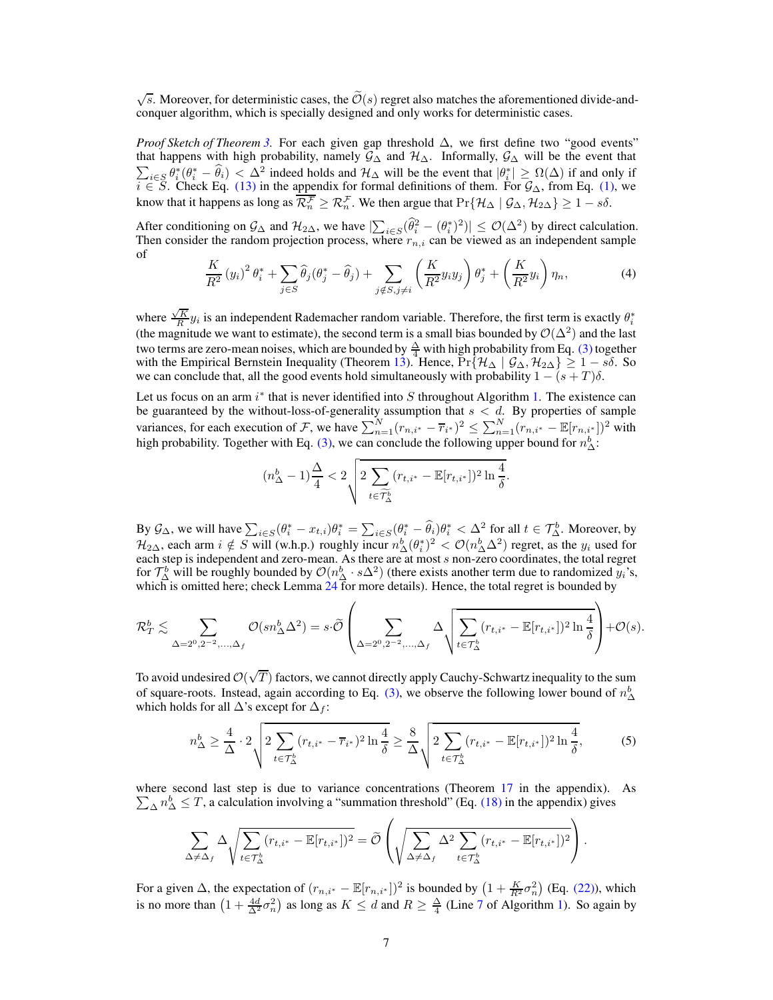$\sqrt{s}$ . Moreover, for deterministic cases, the  $\tilde{\mathcal{O}}(s)$  regret also matches the aforementioned divide-andconquer algorithm, which is specially designed and only works for deterministic cases.

*Proof Sketch of Theorem* [3.](#page-5-2) For each given gap threshold  $\Delta$ , we first define two "good events" that happens with high probability, namely  $\mathcal{G}_{\Delta}$  and  $\mathcal{H}_{\Delta}$ . Informally,  $\mathcal{G}_{\Delta}$  will be the event that  $\sum_{i \in S} \theta_i^* (\theta_i^* - \hat{\theta}_i) < \Delta^2$  indeed holds and  $\mathcal{H}_{\Delta}$  will be the event that  $|\theta_i^*| \ge \Omega(\Delta)$  if and only if  $i \in S$ . Check Eq. [\(13\)](#page-18-1) in the appendix for formal definitions of them. For  $\mathcal{G}_{\Delta}$ , from Eq. [\(1\),](#page-2-0) we know that it happens as long as  $\mathcal{R}_n^{\mathcal{F}} \geq \mathcal{R}_n^{\mathcal{F}}$ . We then argue that  $Pr\{\mathcal{H}_{\Delta} \mid \mathcal{G}_{\Delta}, \mathcal{H}_{2\Delta}\} \geq 1 - s\delta$ .

<span id="page-6-1"></span>After conditioning on  $\mathcal{G}_{\Delta}$  and  $\mathcal{H}_{2\Delta}$ , we have  $|\sum_{i \in S} (\hat{\theta}_i^2 - (\theta_i^*)^2)| \leq \mathcal{O}(\Delta^2)$  by direct calculation. Then consider the random projection process, where  $r_{n,i}$  can be viewed as an independent sample of

$$
\frac{K}{R^2} (y_i)^2 \theta_i^* + \sum_{j \in S} \widehat{\theta}_j (\theta_j^* - \widehat{\theta}_j) + \sum_{j \notin S, j \neq i} \left( \frac{K}{R^2} y_i y_j \right) \theta_j^* + \left( \frac{K}{R^2} y_i \right) \eta_n, \tag{4}
$$

where  $\frac{\sqrt{K}}{R}y_i$  is an independent Rademacher random variable. Therefore, the first term is exactly  $\theta_i^*$ (the magnitude we want to estimate), the second term is a small bias bounded by  $\mathcal{O}(\Delta^2)$  and the last two terms are zero-mean noises, which are bounded by  $\frac{\Delta}{4}$  with high probability from Eq. [\(3\)](#page-5-3) together with the Empirical Bernstein Inequality (Theorem [13\)](#page-14-0). Hence,  $Pr\{\mathcal{H}_{\Delta} | \mathcal{G}_{\Delta}, \mathcal{H}_{2\Delta}\} \geq 1 - s\delta$ . So we can conclude that, all the good events hold simultaneously with probability  $1 - (s + T)\delta$ .

Let us focus on an arm  $i^*$  that is never identified into S throughout Algorithm [1.](#page-5-0) The existence can be guaranteed by the without-loss-of-generality assumption that  $s < d$ . By properties of sample variances, for each execution of F, we have  $\sum_{n=1}^{N} (r_{n,i^*} - \overline{r}_{i^*})^2 \le \sum_{n=1}^{N} (r_{n,i^*} - \mathbb{E}[r_{n,i^*}])^2$  with high probability. Together with Eq. [\(3\),](#page-5-3) we can conclude the following upper bound for  $n_{\Delta}^{b}$ :

$$
(n_{\Delta}^b-1)\frac{\Delta}{4}<2\sqrt{2\sum_{t\in\widetilde{\mathcal{T}}_{\Delta}^b}(r_{t,i^*}-\mathbb{E}[r_{t,i^*}])^2\ln\frac{4}{\delta}}.
$$

By  $\mathcal{G}_{\Delta}$ , we will have  $\sum_{i \in S} (\theta_i^* - x_{t,i}) \theta_i^* = \sum_{i \in S} (\theta_i^* - \widehat{\theta}_i) \theta_i^* < \Delta^2$  for all  $t \in \mathcal{T}_{\Delta}^b$ . Moreover, by  $\mathcal{H}_{2\Delta}$ , each arm  $i \notin S$  will (w.h.p.) roughly incur  $n_{\Delta}^b(\theta_i^*)^2 < \mathcal{O}(n_{\Delta}^b\Delta^2)$  regret, as the  $y_i$  used for each step is independent and zero-mean. As there are at most s non-zero coordinates, the total regret for  $\mathcal{T}_{\Delta}^{b}$  will be roughly bounded by  $\mathcal{O}(n_{\Delta}^{b} \cdot s\Delta^{2})$  (there exists another term due to randomized  $y_{i}$ 's, which is omitted here; check Lemma [24](#page-18-2) for more details). Hence, the total regret is bounded by

$$
\mathcal{R}_T^b\lesssim \sum_{\Delta=2^0,2^{-2},\dots,\Delta_f}\mathcal{O}(sn_\Delta^b\Delta^2)=s\cdot \widetilde{\mathcal{O}}\left(\sum_{\Delta=2^0,2^{-2},\dots,\Delta_f}\Delta\sqrt{\sum_{t\in\mathcal{T}_\Delta^b}(r_{t,i^*}-\mathbb{E}[r_{t,i^*}])^2\ln\frac{4}{\delta}}\right)+\mathcal{O}(s).
$$

To avoid undesired  $\mathcal{O}(\sqrt{T})$  factors, we cannot directly apply Cauchy-Schwartz inequality to the sum of square-roots. Instead, again according to Eq. [\(3\),](#page-5-3) we observe the following lower bound of  $n_{\Delta}^{b}$ which holds for all  $\Delta$ 's except for  $\Delta_f$ :

<span id="page-6-0"></span>
$$
n_{\Delta}^b \geq \frac{4}{\Delta} \cdot 2 \sqrt{2 \sum_{t \in \mathcal{T}_{\Delta}^b} (r_{t,i^*} - \overline{r}_{i^*})^2 \ln \frac{4}{\delta}} \geq \frac{8}{\Delta} \sqrt{2 \sum_{t \in \mathcal{T}_{\Delta}^b} (r_{t,i^*} - \mathbb{E}[r_{t,i^*}])^2 \ln \frac{4}{\delta}},\tag{5}
$$

where second last step is due to variance concentrations (Theorem  $17$  in the appendix). As  $\sum_{\Delta} n_{\Delta}^{b} \leq T$ , a calculation involving a "summation threshold" (Eq. [\(18\)](#page-19-0) in the appendix) gives

$$
\sum_{\Delta \neq \Delta_f} \Delta \sqrt{\sum_{t \in \mathcal{T}_{\Delta}^b} (r_{t,i^*} - \mathbb{E}[r_{t,i^*}])^2} = \widetilde{\mathcal{O}} \left( \sqrt{\sum_{\Delta \neq \Delta_f} \Delta^2 \sum_{t \in \mathcal{T}_{\Delta}^b} (r_{t,i^*} - \mathbb{E}[r_{t,i^*}])^2} \right).
$$

For a given  $\Delta$ , the expectation of  $(r_{n,i^*}-\mathbb{E}[r_{n,i^*}])^2$  is bounded by  $\left(1+\frac{K}{R^2}\sigma_n^2\right)$  (Eq. [\(22\)\)](#page-22-0), which is no more than  $(1 + \frac{4d}{\Delta^2} \sigma_n^2)$  as long as  $K \le d$  and  $R \ge \frac{\Delta}{4}$  (Line [7](#page-5-4) of Algorithm [1\)](#page-5-0). So again by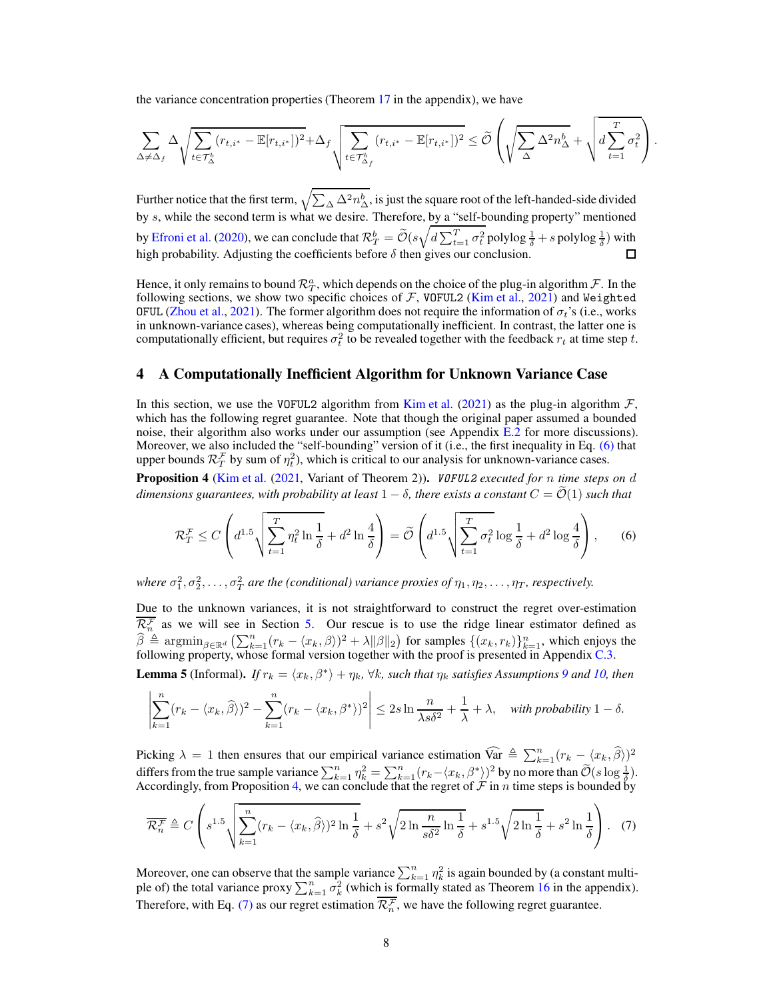the variance concentration properties (Theorem  $17$  in the appendix), we have

$$
\sum_{\Delta\neq \Delta_f}\Delta\sqrt{\sum_{t\in\mathcal{T}_\Delta^b}(r_{t,i^*}-\mathbb{E}[r_{t,i^*}])^2}+\Delta_f\sqrt{\sum_{t\in\mathcal{T}_{\Delta_f}^b}(r_{t,i^*}-\mathbb{E}[r_{t,i^*}])^2}\leq \widetilde{\mathcal{O}}\left(\sqrt{\sum_{\Delta}\Delta^2n_\Delta^b}+\sqrt{d\sum_{t=1}^T\sigma_t^2}\right).
$$

Further notice that the first term,  $\sqrt{\sum_\Delta \Delta^2 n_\Delta^b}$ , is just the square root of the left-handed-side divided by s, while the second term is what we desire. Therefore, by a "self-bounding property" mentioned by [Efroni et al.](#page-10-14) [\(2020](#page-10-14)), we can conclude that  $\mathcal{R}_T^b = \widetilde{\mathcal{O}}(s\sqrt{d \sum_{t=1}^T \sigma_t^2})$  polylog  $\frac{1}{\delta} + s$  polylog  $\frac{1}{\delta}$ ) with high probability. Adjusting the coefficients before  $\delta$  then gives our conclusion.

Hence, it only remains to bound  $\mathcal{R}_T^a$ , which depends on the choice of the plug-in algorithm  $\mathcal F$ . In the following sections, we show two specific choices of  $F$ , VOFUL2 [\(Kim et al.,](#page-11-2) [2021\)](#page-11-2) and Weighted OFUL [\(Zhou et al.,](#page-11-0) [2021\)](#page-11-0). The former algorithm does not require the information of  $\sigma_t$ 's (i.e., works in unknown-variance cases), whereas being computationally inefficient. In contrast, the latter one is computationally efficient, but requires  $\sigma_t^2$  to be revealed together with the feedback  $r_t$  at time step t.

## <span id="page-7-0"></span>4 A Computationally Inefficient Algorithm for Unknown Variance Case

In this section, we use the VOFUL2 algorithm from [Kim et al.](#page-11-2) [\(2021\)](#page-11-2) as the plug-in algorithm  $\mathcal{F}$ , which has the following regret guarantee. Note that though the original paper assumed a bounded noise, their algorithm also works under our assumption (see Appendix  $E.2$  for more discussions). Moreover, we also included the "self-bounding" version of it (i.e., the first inequality in Eq. [\(6\)](#page-7-1) that upper bounds  $\mathcal{R}_T^{\mathcal{F}}$  by sum of  $\eta_t^2$ ), which is critical to our analysis for unknown-variance cases.

<span id="page-7-2"></span>Proposition 4 [\(Kim et al.](#page-11-2) [\(2021,](#page-11-2) Variant of Theorem 2)). VOFUL2 *executed for* n *time steps on* d *dimensions guarantees, with probability at least*  $1 - \delta$ *, there exists a constant*  $C = \mathcal{O}(1)$  *such that* 

<span id="page-7-1"></span>
$$
\mathcal{R}_T^{\mathcal{F}} \le C \left( d^{1.5} \sqrt{\sum_{t=1}^T \eta_t^2 \ln \frac{1}{\delta}} + d^2 \ln \frac{4}{\delta} \right) = \widetilde{\mathcal{O}} \left( d^{1.5} \sqrt{\sum_{t=1}^T \sigma_t^2 \log \frac{1}{\delta}} + d^2 \log \frac{4}{\delta} \right), \tag{6}
$$

where  $\sigma_1^2, \sigma_2^2, \ldots, \sigma_T^2$  are the (conditional) variance proxies of  $\eta_1, \eta_2, \ldots, \eta_T$ , respectively.

Due to the unknown variances, it is not straightforward to construct the regret over-estimation  $\mathcal{R}_n^{\mathcal{F}}$  as we will see in Section [5.](#page-8-0) Our rescue is to use the ridge linear estimator defined as  $\widehat{\beta} \triangleq \operatorname{argmin}_{\beta \in \mathbb{R}^d} \left( \sum_{k=1}^n (r_k - \langle x_k, \beta \rangle)^2 + \lambda ||\beta||_2 \right)$  for samples  $\{(x_k, r_k)\}_{k=1}^n$ , which enjoys the following property, whose formal version together with the proof is presented in Appendix  $C.3$ .

<span id="page-7-5"></span>**Lemma 5** (Informal). *If*  $r_k = \langle x_k, \beta^* \rangle + \eta_k$ ,  $\forall k$ , such that  $\eta_k$  satisfies Assumptions [9](#page-13-2) and [10,](#page-14-1) then

$$
\left|\sum_{k=1}^n (r_k - \langle x_k, \widehat{\beta} \rangle)^2 - \sum_{k=1}^n (r_k - \langle x_k, \beta^* \rangle)^2\right| \le 2s \ln \frac{n}{\lambda s \delta^2} + \frac{1}{\lambda} + \lambda, \quad \text{with probability } 1 - \delta.
$$

Picking  $\lambda = 1$  then ensures that our empirical variance estimation  $\widehat{\text{Var}} \triangleq \sum_{k=1}^{n} (r_k - \langle x_k, \widehat{\beta} \rangle)^2$ differs from the true sample variance  $\sum_{k=1}^n \eta_k^2 = \sum_{k=1}^n (r_k - \langle x_k, \beta^* \rangle)^2$  by no more than  $\widetilde{\mathcal{O}}(s \log \frac{1}{\delta})$ . Accordingly, from Proposition [4,](#page-7-2) we can conclude that the regret of  $\mathcal F$  in  $n$  time steps is bounded by

<span id="page-7-3"></span>
$$
\overline{\mathcal{R}_n^{\mathcal{F}}} \triangleq C \left( s^{1.5} \sqrt{\sum_{k=1}^n (r_k - \langle x_k, \widehat{\beta} \rangle)^2 \ln \frac{1}{\delta}} + s^2 \sqrt{2 \ln \frac{n}{s \delta^2} \ln \frac{1}{\delta}} + s^{1.5} \sqrt{2 \ln \frac{1}{\delta}} + s^2 \ln \frac{1}{\delta} \right). \tag{7}
$$

<span id="page-7-4"></span>Moreover, one can observe that the sample variance  $\sum_{k=1}^{n} \eta_k^2$  is again bounded by (a constant multiple of) the total variance proxy  $\sum_{k=1}^{n} \sigma_k^2$  (which is formally stated as Theorem [16](#page-15-0) in the appendix). Therefore, with Eq. [\(7\)](#page-7-3) as our regret estimation  $\mathcal{R}_n^{\mathcal{F}}$ , we have the following regret guarantee.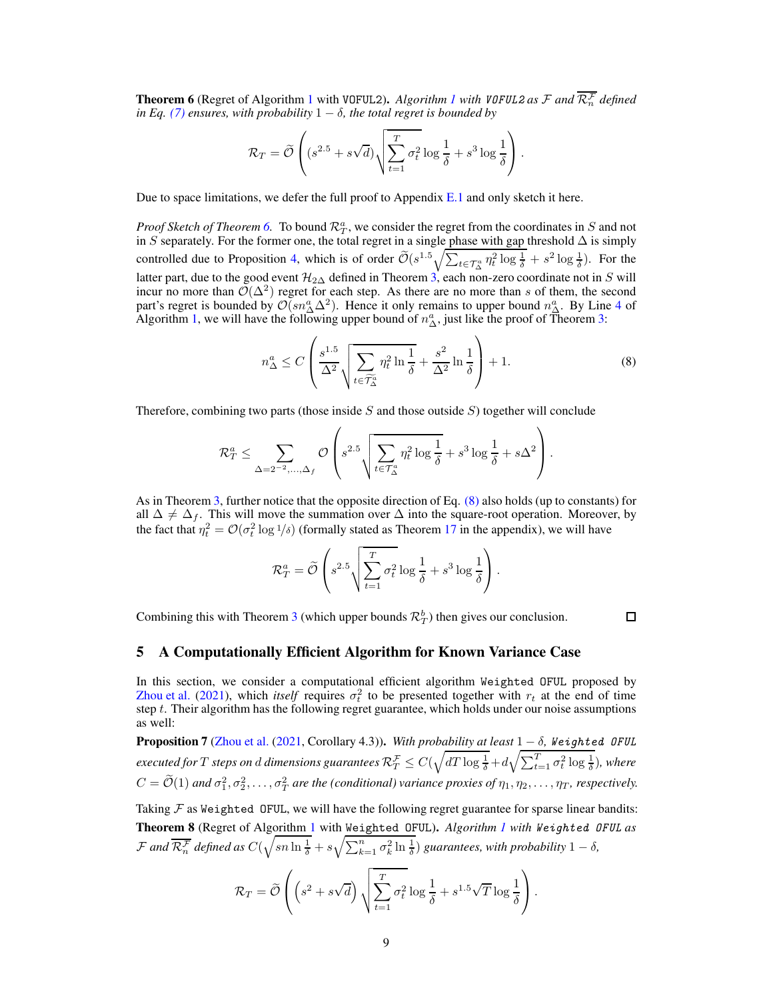**Theorem 6** (Regret of Algorithm [1](#page-5-0) with V0FUL2). *Algorithm 1 with V0FUL2 as*  $\mathcal{F}$  *and*  $\mathcal{R}_n^{\mathcal{F}}$  *defined in Eq.* [\(7\)](#page-7-3) *ensures, with probability*  $1 - \delta$ *, the total regret is bounded by* 

$$
\mathcal{R}_T = \widetilde{\mathcal{O}}\left( (s^{2.5} + s\sqrt{d}) \sqrt{\sum_{t=1}^T \sigma_t^2 \log \frac{1}{\delta} + s^3 \log \frac{1}{\delta}} \right).
$$

Due to space limitations, we defer the full proof to Appendix [E.1](#page-23-0) and only sketch it here.

*Proof Sketch of Theorem [6.](#page-7-4)* To bound  $\mathcal{R}_T^a$ , we consider the regret from the coordinates in S and not in S separately. For the former one, the total regret in a single phase with gap threshold  $\Delta$  is simply controlled due to Proposition [4,](#page-7-2) which is of order  $\tilde{\mathcal{O}}(s^{1.5}\sqrt{\sum_{t \in \mathcal{T}_{\Delta}^{\alpha}} \eta_t^2 \log \frac{1}{\delta}} + s^2 \log \frac{1}{\delta})$ . For the latter part, due to the good event  $\mathcal{H}_{2\Delta}$  defined in Theorem [3,](#page-5-2) each non-zero coordinate not in S will incur no more than  $\mathcal{O}(\Delta^2)$  regret for each step. As there are no more than s of them, the second part's regret is bounded by  $\mathcal{O}(sn_{\Delta}^a \Delta^2)$ . Hence it only remains to upper bound  $n_{\Delta}^a$ . By Line [4](#page-31-0) of Algorithm [1,](#page-5-0) we will have the following upper bound of  $n^a_{\Delta}$ , just like the proof of Theorem [3:](#page-5-2)

$$
n_{\Delta}^{a} \le C \left( \frac{s^{1.5}}{\Delta^{2}} \sqrt{\sum_{t \in \widetilde{\mathcal{T}}_{\Delta}^{a}} \eta_{t}^{2} \ln \frac{1}{\delta}} + \frac{s^{2}}{\Delta^{2}} \ln \frac{1}{\delta} \right) + 1.
$$
 (8)

Therefore, combining two parts (those inside  $S$  and those outside  $S$ ) together will conclude

$$
\mathcal{R}_T^a \leq \sum_{\Delta = 2^{-2}, ..., \Delta_f} \mathcal{O}\left(s^{2.5} \sqrt{\sum_{t \in \mathcal{T}_{\Delta}^a} \eta_t^2 \log \frac{1}{\delta}} + s^3 \log \frac{1}{\delta} + s\Delta^2\right).
$$

As in Theorem [3,](#page-5-2) further notice that the opposite direction of Eq. [\(8\)](#page-8-1) also holds (up to constants) for all  $\Delta \neq \Delta_f$ . This will move the summation over  $\Delta$  into the square-root operation. Moreover, by the fact that  $\eta_t^2 = \mathcal{O}(\sigma_t^2 \log 1/\delta)$  (formally stated as Theorem [17](#page-16-0) in the appendix), we will have

$$
\mathcal{R}_T^a = \widetilde{\mathcal{O}}\left(s^{2.5} \sqrt{\sum_{t=1}^T \sigma_t^2 \log \frac{1}{\delta}} + s^3 \log \frac{1}{\delta}\right).
$$

<span id="page-8-0"></span>Combining this with Theorem [3](#page-5-2) (which upper bounds  $\mathcal{R}_T^b$ ) then gives our conclusion.

<span id="page-8-1"></span> $\Box$ 

## 5 A Computationally Efficient Algorithm for Known Variance Case

In this section, we consider a computational efficient algorithm Weighted OFUL proposed by [Zhou et al.](#page-11-0) [\(2021](#page-11-0)), which *itself* requires  $\sigma_t^2$  to be presented together with  $r_t$  at the end of time step t. Their algorithm has the following regret guarantee, which holds under our noise assumptions as well:

<span id="page-8-2"></span>Proposition 7 [\(Zhou et al.](#page-11-0) [\(2021,](#page-11-0) Corollary 4.3)). *With probability at least* 1 − δ*,* Weighted OFUL executed for  $T$  steps on  $d$  dimensions guarantees  $\mathcal{R}^\mathcal{F}_T\leq C(\sqrt{dT\log\frac{1}{\delta}}+d\sqrt{\sum_{t=1}^T\sigma_t^2\log\frac{1}{\delta}})$ , where  $C = \mathcal{O}(1)$  and  $\sigma_1^2, \sigma_2^2, \ldots, \sigma_T^2$  are the (conditional) variance proxies of  $\eta_1, \eta_2, \ldots, \eta_T$ , respectively.

<span id="page-8-3"></span>Taking  $F$  as Weighted OFUL, we will have the following regret guarantee for sparse linear bandits: Theorem 8 (Regret of Algorithm [1](#page-5-0) with Weighted OFUL). *Algorithm [1](#page-5-0) with* Weighted OFUL *as*  ${\cal F}$  and  $\overline{{\cal R}^{\cal F}_n}$  defined as  $C(\sqrt{sn\ln\frac{1}{\delta}}+s\sqrt{\sum_{k=1}^n\sigma_k^2\ln\frac{1}{\delta}})$  guarantees, with probability  $1-\delta$ ,

$$
\mathcal{R}_T = \widetilde{\mathcal{O}}\left( \left( s^2 + s\sqrt{d} \right) \sqrt{\sum_{t=1}^T \sigma_t^2 \log \frac{1}{\delta} + s^{1.5} \sqrt{T} \log \frac{1}{\delta} } \right).
$$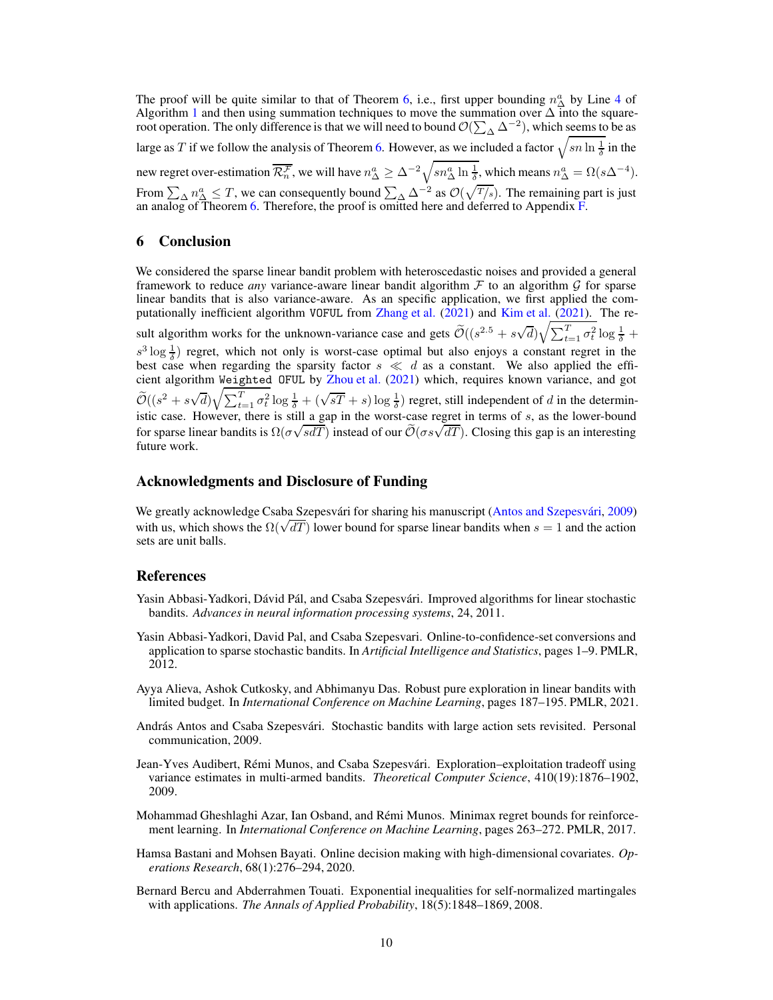The proof will be quite similar to that of Theorem [6,](#page-7-4) i.e., first upper bounding  $n^a_{\Delta}$  by Line [4](#page-31-0) of Algorithm [1](#page-5-0) and then using summation techniques to move the summation over  $\Delta$  into the squareroot operation. The only difference is that we will need to bound  $\mathcal{O}(\sum_{\Delta} \Delta^{-2})$ , which seems to be as large as T if we follow the analysis of Theorem [6.](#page-7-4) However, as we included a factor  $\sqrt{\sin \ln \frac{1}{\delta}}$  in the new regret over-estimation  $\overline{\mathcal{R}^{\mathcal{F}}_n}$ , we will have  $n^a_\Delta \geq \Delta^{-2} \sqrt{s n^a_\Delta \ln \frac{1}{\delta}}$ , which means  $n^a_\Delta = \Omega(s\Delta^{-4})$ . From  $\sum_{\Delta} n_{\Delta}^a \leq T$ , we can consequently bound  $\sum_{\Delta} \Delta^{-2}$  as  $\mathcal{O}(\sqrt{T/s})$ . The remaining part is just an analog of Theorem [6.](#page-7-4) Therefore, the proof is omitted here and deferred to Appendix [F.](#page-29-0)

## 6 Conclusion

We considered the sparse linear bandit problem with heteroscedastic noises and provided a general framework to reduce *any* variance-aware linear bandit algorithm  $\mathcal F$  to an algorithm  $\mathcal G$  for sparse linear bandits that is also variance-aware. As an specific application, we first applied the computationally inefficient algorithm VOFUL from [Zhang et al.](#page-11-1) [\(2021](#page-11-1)) and [Kim et al.](#page-11-2) [\(2021\)](#page-11-2). The result algorithm works for the unknown-variance case and gets  $\widetilde{\mathcal{O}}((s^{2.5} + s\sqrt{d})\sqrt{\sum_{t=1}^{T} \sigma_t^2} \log \frac{1}{\delta} +$  $s^3 \log \frac{1}{\delta}$ ) regret, which not only is worst-case optimal but also enjoys a constant regret in the best case when regarding the sparsity factor  $s \ll d$  as a constant. We also applied the efficient algorithm Weighted OFUL by [Zhou et al.](#page-11-0) [\(2021\)](#page-11-0) which, requires known variance, and got  $\widetilde{\mathcal{O}}((s^2 + s\sqrt{d})\sqrt{\sum_{t=1}^T \sigma_t^2} \log \frac{1}{\delta} + (\sqrt{sT} + s) \log \frac{1}{\delta})$  regret, still independent of d in the deterministic case. However, there is still a gap in the worst-case regret in terms of  $s$ , as the lower-bound for sparse linear bandits is  $\Omega(\sigma\sqrt{sdT})$  instead of our  $\tilde{\mathcal{O}}(\sigma s\sqrt{dT})$ . Closing this gap is an interesting future work.

## Acknowledgments and Disclosure of Funding

We greatly acknowledge Csaba Szepesvári for sharing his manuscript [\(Antos and Szepesvári,](#page-9-1) [2009\)](#page-9-1) with us, which shows the  $\Omega(\sqrt{dT})$  lower bound for sparse linear bandits when  $s = 1$  and the action sets are unit balls.

## References

- <span id="page-9-2"></span>Yasin Abbasi-Yadkori, Dávid Pál, and Csaba Szepesvári. Improved algorithms for linear stochastic bandits. *Advances in neural information processing systems*, 24, 2011.
- <span id="page-9-0"></span>Yasin Abbasi-Yadkori, David Pal, and Csaba Szepesvari. Online-to-confidence-set conversions and application to sparse stochastic bandits. In *Artificial Intelligence and Statistics*, pages 1–9. PMLR, 2012.
- <span id="page-9-3"></span>Ayya Alieva, Ashok Cutkosky, and Abhimanyu Das. Robust pure exploration in linear bandits with limited budget. In *International Conference on Machine Learning*, pages 187–195. PMLR, 2021.
- <span id="page-9-1"></span>András Antos and Csaba Szepesvári. Stochastic bandits with large action sets revisited. Personal communication, 2009.
- <span id="page-9-6"></span>Jean-Yves Audibert, Rémi Munos, and Csaba Szepesvári. Exploration–exploitation tradeoff using variance estimates in multi-armed bandits. *Theoretical Computer Science*, 410(19):1876–1902, 2009.
- <span id="page-9-5"></span>Mohammad Gheshlaghi Azar, Ian Osband, and Rémi Munos. Minimax regret bounds for reinforcement learning. In *International Conference on Machine Learning*, pages 263–272. PMLR, 2017.
- <span id="page-9-4"></span>Hamsa Bastani and Mohsen Bayati. Online decision making with high-dimensional covariates. *Operations Research*, 68(1):276–294, 2020.
- <span id="page-9-7"></span>Bernard Bercu and Abderrahmen Touati. Exponential inequalities for self-normalized martingales with applications. *The Annals of Applied Probability*, 18(5):1848–1869, 2008.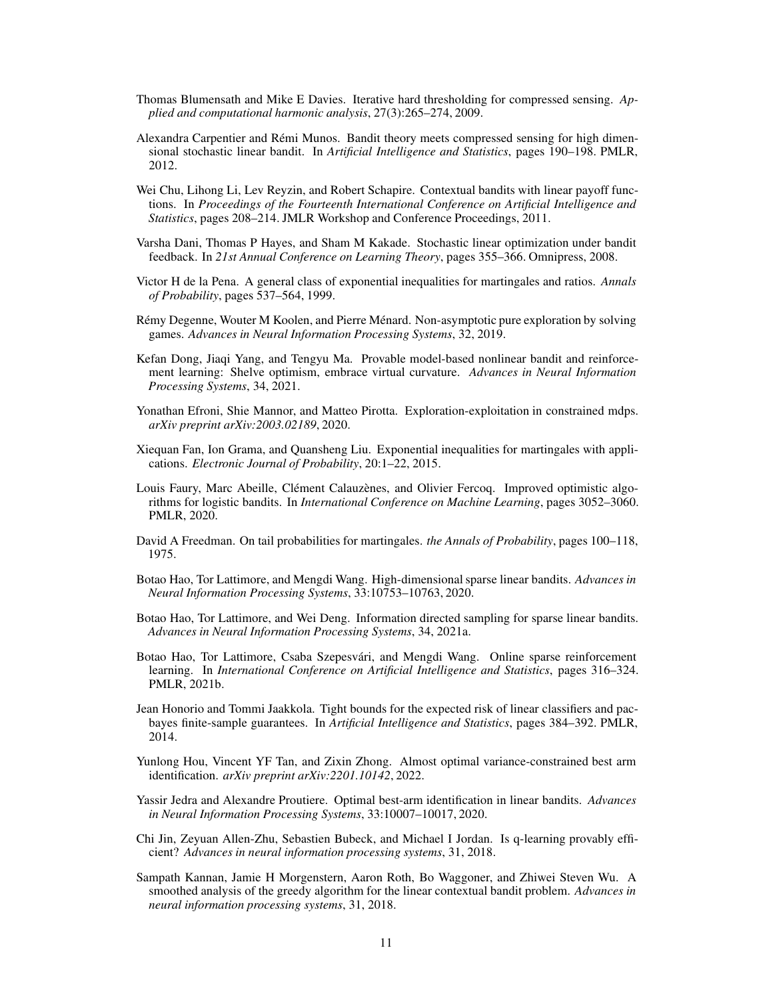- <span id="page-10-2"></span>Thomas Blumensath and Mike E Davies. Iterative hard thresholding for compressed sensing. *Applied and computational harmonic analysis*, 27(3):265–274, 2009.
- <span id="page-10-1"></span>Alexandra Carpentier and Rémi Munos. Bandit theory meets compressed sensing for high dimensional stochastic linear bandit. In *Artificial Intelligence and Statistics*, pages 190–198. PMLR, 2012.
- <span id="page-10-3"></span>Wei Chu, Lihong Li, Lev Reyzin, and Robert Schapire. Contextual bandits with linear payoff functions. In *Proceedings of the Fourteenth International Conference on Artificial Intelligence and Statistics*, pages 208–214. JMLR Workshop and Conference Proceedings, 2011.
- <span id="page-10-0"></span>Varsha Dani, Thomas P Hayes, and Sham M Kakade. Stochastic linear optimization under bandit feedback. In *21st Annual Conference on Learning Theory*, pages 355–366. Omnipress, 2008.
- <span id="page-10-15"></span>Victor H de la Pena. A general class of exponential inequalities for martingales and ratios. *Annals of Probability*, pages 537–564, 1999.
- <span id="page-10-5"></span>Rémy Degenne, Wouter M Koolen, and Pierre Ménard. Non-asymptotic pure exploration by solving games. *Advances in Neural Information Processing Systems*, 32, 2019.
- <span id="page-10-10"></span>Kefan Dong, Jiaqi Yang, and Tengyu Ma. Provable model-based nonlinear bandit and reinforcement learning: Shelve optimism, embrace virtual curvature. *Advances in Neural Information Processing Systems*, 34, 2021.
- <span id="page-10-14"></span>Yonathan Efroni, Shie Mannor, and Matteo Pirotta. Exploration-exploitation in constrained mdps. *arXiv preprint arXiv:2003.02189*, 2020.
- <span id="page-10-16"></span>Xiequan Fan, Ion Grama, and Quansheng Liu. Exponential inequalities for martingales with applications. *Electronic Journal of Probability*, 20:1–22, 2015.
- <span id="page-10-12"></span>Louis Faury, Marc Abeille, Clément Calauzènes, and Olivier Fercoq. Improved optimistic algorithms for logistic bandits. In *International Conference on Machine Learning*, pages 3052–3060. PMLR, 2020.
- <span id="page-10-18"></span>David A Freedman. On tail probabilities for martingales. *the Annals of Probability*, pages 100–118, 1975.
- <span id="page-10-7"></span>Botao Hao, Tor Lattimore, and Mengdi Wang. High-dimensional sparse linear bandits. *Advances in Neural Information Processing Systems*, 33:10753–10763, 2020.
- <span id="page-10-8"></span>Botao Hao, Tor Lattimore, and Wei Deng. Information directed sampling for sparse linear bandits. *Advances in Neural Information Processing Systems*, 34, 2021a.
- <span id="page-10-9"></span>Botao Hao, Tor Lattimore, Csaba Szepesvári, and Mengdi Wang. Online sparse reinforcement learning. In *International Conference on Artificial Intelligence and Statistics*, pages 316–324. PMLR, 2021b.
- <span id="page-10-17"></span>Jean Honorio and Tommi Jaakkola. Tight bounds for the expected risk of linear classifiers and pacbayes finite-sample guarantees. In *Artificial Intelligence and Statistics*, pages 384–392. PMLR, 2014.
- <span id="page-10-13"></span>Yunlong Hou, Vincent YF Tan, and Zixin Zhong. Almost optimal variance-constrained best arm identification. *arXiv preprint arXiv:2201.10142*, 2022.
- <span id="page-10-6"></span>Yassir Jedra and Alexandre Proutiere. Optimal best-arm identification in linear bandits. *Advances in Neural Information Processing Systems*, 33:10007–10017, 2020.
- <span id="page-10-11"></span>Chi Jin, Zeyuan Allen-Zhu, Sebastien Bubeck, and Michael I Jordan. Is q-learning provably efficient? *Advances in neural information processing systems*, 31, 2018.
- <span id="page-10-4"></span>Sampath Kannan, Jamie H Morgenstern, Aaron Roth, Bo Waggoner, and Zhiwei Steven Wu. A smoothed analysis of the greedy algorithm for the linear contextual bandit problem. *Advances in neural information processing systems*, 31, 2018.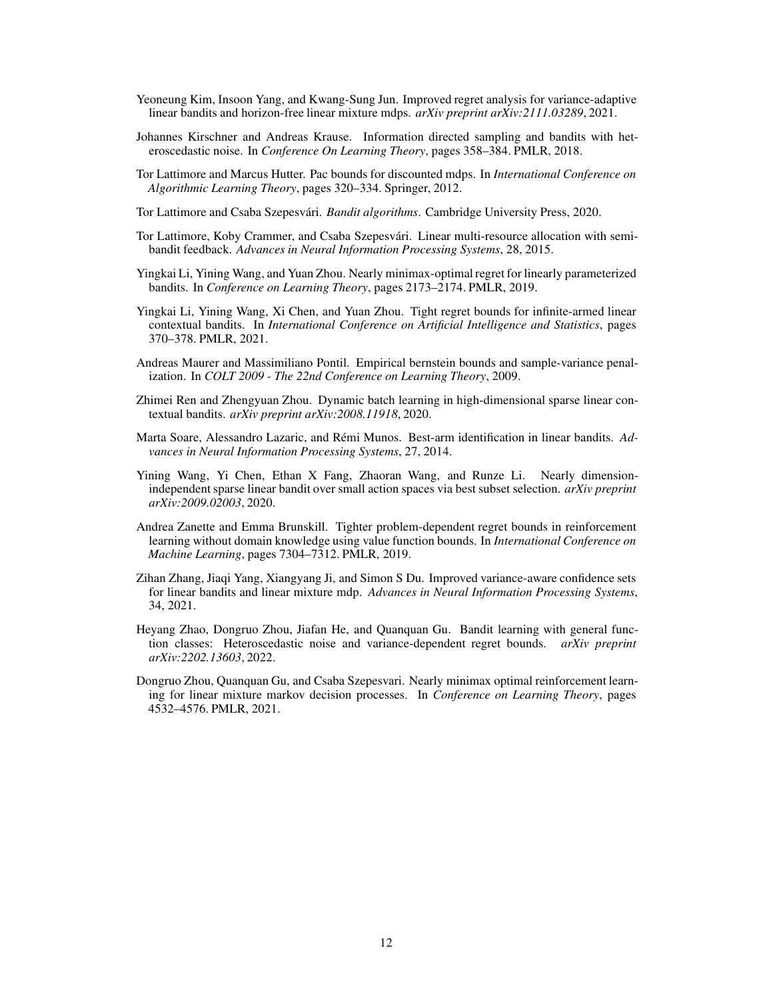- <span id="page-11-2"></span>Yeoneung Kim, Insoon Yang, and Kwang-Sung Jun. Improved regret analysis for variance-adaptive linear bandits and horizon-free linear mixture mdps. *arXiv preprint arXiv:2111.03289*, 2021.
- <span id="page-11-14"></span>Johannes Kirschner and Andreas Krause. Information directed sampling and bandits with heteroscedastic noise. In *Conference On Learning Theory*, pages 358–384. PMLR, 2018.
- <span id="page-11-11"></span>Tor Lattimore and Marcus Hutter. Pac bounds for discounted mdps. In *International Conference on Algorithmic Learning Theory*, pages 320–334. Springer, 2012.
- <span id="page-11-4"></span>Tor Lattimore and Csaba Szepesvári. *Bandit algorithms*. Cambridge University Press, 2020.
- <span id="page-11-3"></span>Tor Lattimore, Koby Crammer, and Csaba Szepesvári. Linear multi-resource allocation with semibandit feedback. *Advances in Neural Information Processing Systems*, 28, 2015.
- <span id="page-11-6"></span>Yingkai Li, Yining Wang, and Yuan Zhou. Nearly minimax-optimal regret for linearly parameterized bandits. In *Conference on Learning Theory*, pages 2173–2174. PMLR, 2019.
- <span id="page-11-7"></span>Yingkai Li, Yining Wang, Xi Chen, and Yuan Zhou. Tight regret bounds for infinite-armed linear contextual bandits. In *International Conference on Artificial Intelligence and Statistics*, pages 370–378. PMLR, 2021.
- <span id="page-11-5"></span>Andreas Maurer and Massimiliano Pontil. Empirical bernstein bounds and sample-variance penalization. In *COLT 2009 - The 22nd Conference on Learning Theory*, 2009.
- <span id="page-11-9"></span>Zhimei Ren and Zhengyuan Zhou. Dynamic batch learning in high-dimensional sparse linear contextual bandits. *arXiv preprint arXiv:2008.11918*, 2020.
- <span id="page-11-8"></span>Marta Soare, Alessandro Lazaric, and Rémi Munos. Best-arm identification in linear bandits. *Advances in Neural Information Processing Systems*, 27, 2014.
- <span id="page-11-10"></span>Yining Wang, Yi Chen, Ethan X Fang, Zhaoran Wang, and Runze Li. Nearly dimensionindependent sparse linear bandit over small action spaces via best subset selection. *arXiv preprint arXiv:2009.02003*, 2020.
- <span id="page-11-12"></span>Andrea Zanette and Emma Brunskill. Tighter problem-dependent regret bounds in reinforcement learning without domain knowledge using value function bounds. In *International Conference on Machine Learning*, pages 7304–7312. PMLR, 2019.
- <span id="page-11-1"></span>Zihan Zhang, Jiaqi Yang, Xiangyang Ji, and Simon S Du. Improved variance-aware confidence sets for linear bandits and linear mixture mdp. *Advances in Neural Information Processing Systems*, 34, 2021.
- <span id="page-11-13"></span>Heyang Zhao, Dongruo Zhou, Jiafan He, and Quanquan Gu. Bandit learning with general function classes: Heteroscedastic noise and variance-dependent regret bounds. *arXiv preprint arXiv:2202.13603*, 2022.
- <span id="page-11-0"></span>Dongruo Zhou, Quanquan Gu, and Csaba Szepesvari. Nearly minimax optimal reinforcement learning for linear mixture markov decision processes. In *Conference on Learning Theory*, pages 4532–4576. PMLR, 2021.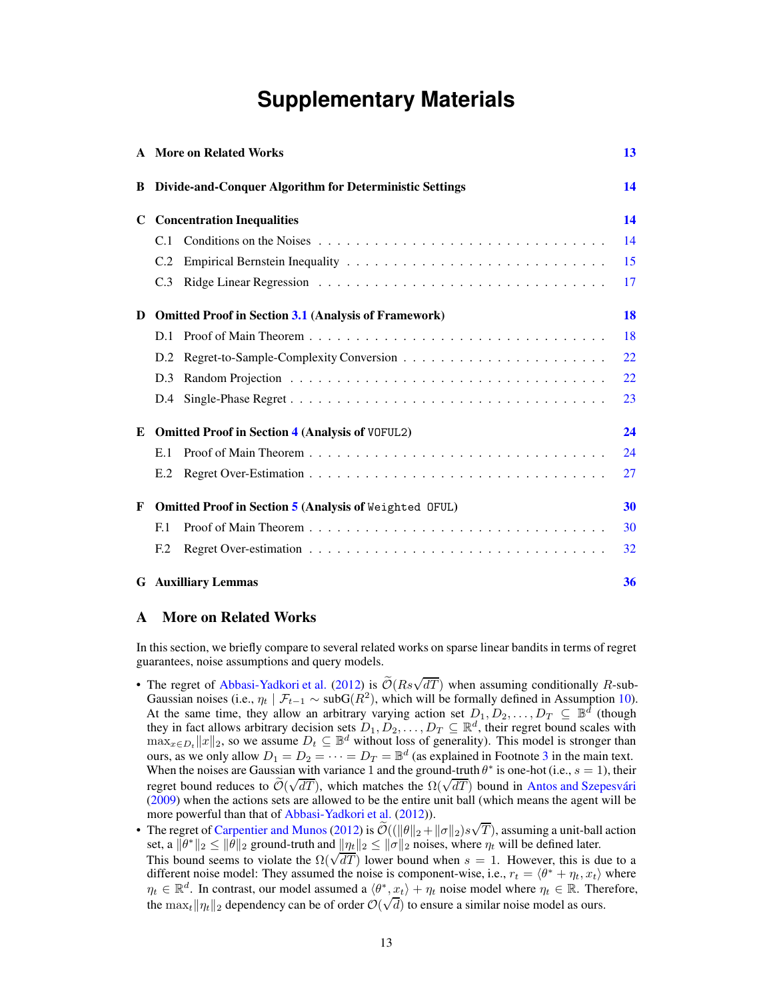# **Supplementary Materials**

|   |                                                        | <b>A</b> More on Related Works                              | 13 |  |  |
|---|--------------------------------------------------------|-------------------------------------------------------------|----|--|--|
| B |                                                        | Divide-and-Conquer Algorithm for Deterministic Settings     | 14 |  |  |
| C |                                                        | <b>Concentration Inequalities</b>                           | 14 |  |  |
|   | C <sub>1</sub>                                         |                                                             | 14 |  |  |
|   | C.2                                                    |                                                             | 15 |  |  |
|   | C.3                                                    |                                                             | 17 |  |  |
| D |                                                        | <b>Omitted Proof in Section 3.1 (Analysis of Framework)</b> | 18 |  |  |
|   | D.1                                                    |                                                             | 18 |  |  |
|   | D.2                                                    |                                                             | 22 |  |  |
|   | D.3                                                    |                                                             | 22 |  |  |
|   | D.4                                                    |                                                             | 23 |  |  |
| E | <b>Omitted Proof in Section 4 (Analysis of VOFUL2)</b> |                                                             |    |  |  |
|   | E.1                                                    |                                                             | 24 |  |  |
|   | E.2                                                    |                                                             | 27 |  |  |
| F | Omitted Proof in Section 5 (Analysis of Weighted OFUL) |                                                             |    |  |  |
|   | E <sub>1</sub>                                         |                                                             | 30 |  |  |
|   | F <sub>12</sub>                                        |                                                             | 32 |  |  |
|   |                                                        | <b>G</b> Auxilliary Lemmas                                  | 36 |  |  |

## <span id="page-12-0"></span>A More on Related Works

In this section, we briefly compare to several related works on sparse linear bandits in terms of regret guarantees, noise assumptions and query models.

- The regret of [Abbasi-Yadkori et al.](#page-9-0) [\(2012\)](#page-9-0) is  $\widetilde{\mathcal{O}}(Rs\sqrt{dT})$  when assuming conditionally R-sub-Gaussian noises (i.e.,  $\eta_t \mid \mathcal{F}_{t-1} \sim \text{subG}(R^2)$ , which will be formally defined in Assumption [10\)](#page-14-1). At the same time, they allow an arbitrary varying action set  $D_1, D_2, \ldots, D_T \subseteq \mathbb{B}^d$  (though they in fact allows arbitrary decision sets  $D_1, D_2, \ldots, D_T \subseteq \mathbb{R}^d$ , their regret bound scales with  $\max_{x \in D_t} ||x||_2$ , so we assume  $D_t \subseteq \mathbb{B}^d$  without loss of generality). This model is stronger than ours, as we only allow  $D_1 = D_2 = \cdots = D_T = \mathbb{B}^d$  (as explained in Footnote [3](#page-1-1) in the main text. When the noises are Gaussian with variance 1 and the ground-truth  $\theta^*$  is one-hot (i.e.,  $s = 1$ ), their<br>regret bound reduces to  $\widetilde{O}(\sqrt{dT})$  which matches the  $O(\sqrt{dT})$  bound in Antes and Szepesyéri regret bound reduces to  $\tilde{O}(\sqrt{dT})$ , which matches the  $\Omega(\sqrt{dT})$  bound in [Antos and Szepesvári](#page-9-1) [\(2009\)](#page-9-1) when the actions sets are allowed to be the entire unit ball (which means the agent will be more powerful than that of [Abbasi-Yadkori et al.](#page-9-0) [\(2012](#page-9-0))).
- The regret of [Carpentier and Munos](#page-10-1) [\(2012\)](#page-10-1) is  $\widetilde{\mathcal{O}}((\|\theta\|_2 + \|\sigma\|_2)s\sqrt{T})$ , assuming a unit-ball action set, a  $\|\theta^*\|_2 \le \|\theta\|_2$  ground-truth and  $\|\eta_t\|_2 \le \|\sigma\|_2$  noises, where  $\eta_t$  will be defined later. This bound seems to violate the  $\Omega(\sqrt{dT})$  lower bound when  $s = 1$ . However, this is due to a different noise model: They assumed the noise is component-wise, i.e.,  $r_t = \langle \theta^* + \eta_t, x_t \rangle$  where  $\eta_t \in \mathbb{R}^d$ . In contrast, our model assumed a  $\langle \theta^*, \underline{x}_t \rangle + \eta_t$  noise model where  $\eta_t \in \mathbb{R}$ . Therefore, the max $t \parallel \eta_t \parallel_2$  dependency can be of order  $\mathcal{O}(\sqrt{d})$  to ensure a similar noise model as ours.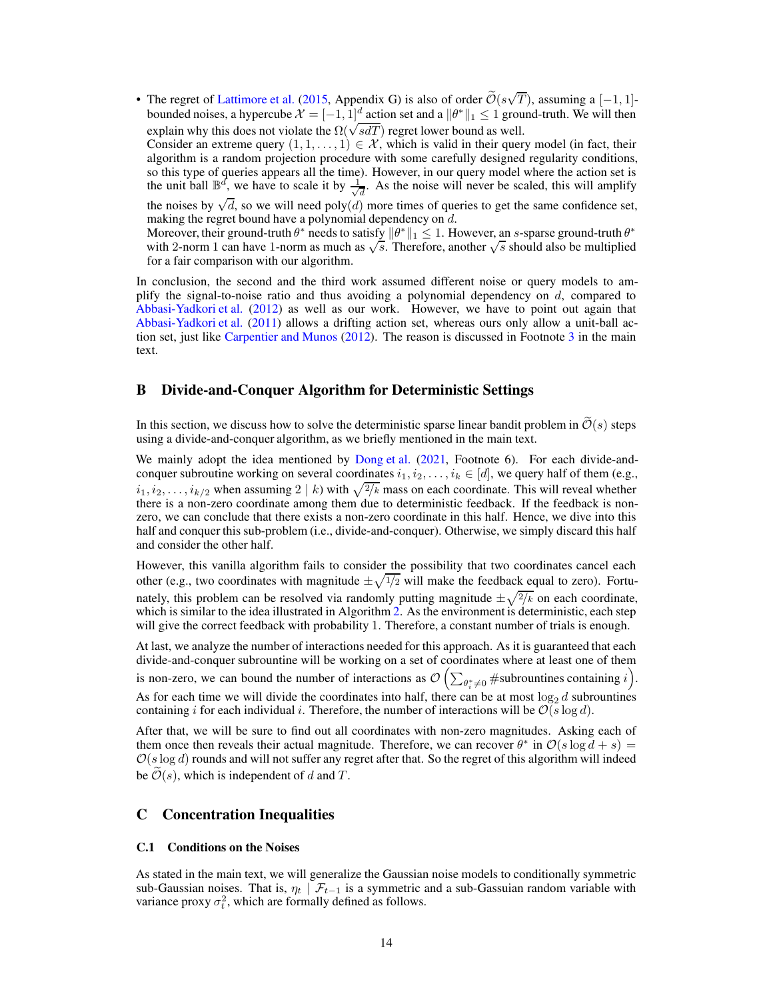• The regret of [Lattimore et al.](#page-11-3) [\(2015,](#page-11-3) Appendix G) is also of order  $\tilde{\mathcal{O}}(s\sqrt{T})$ , assuming a [-1, 1]bounded noises, a hypercube  $\mathcal{X} = [-1, 1]^d$  action set and a  $\|\theta^*\|_1 \le 1$  ground-truth. We will then explain why this does not violate the  $\Omega(\sqrt{sdT})$  regret lower bound as well.

Consider an extreme query  $(1, 1, \ldots, 1) \in \mathcal{X}$ , which is valid in their query model (in fact, their algorithm is a random projection procedure with some carefully designed regularity conditions, so this type of queries appears all the time). However, in our query model where the action set is the unit ball  $\mathbb{B}^d$ , we have to scale it by  $\frac{1}{\sqrt{2}}$  $\frac{d}{d}$ . As the noise will never be scaled, this will amplify the noises by  $\sqrt{d}$ , so we will need poly $(d)$  more times of queries to get the same confidence set,

making the regret bound have a polynomial dependency on d. Moreover, their ground-truth  $\theta^*$  needs to satisfy  $\|\theta^*\|_1 \leq 1$ . However, an *s*-sparse ground-truth  $\theta^*$  with 2-norm 1 can have 1-norm as much as  $\sqrt{s}$ . Therefore, another  $\sqrt{s}$  should also be multiplied for a fair comparison with our algorithm.

In conclusion, the second and the third work assumed different noise or query models to amplify the signal-to-noise ratio and thus avoiding a polynomial dependency on  $d$ , compared to [Abbasi-Yadkori et al.](#page-9-0) [\(2012\)](#page-9-0) as well as our work. However, we have to point out again that [Abbasi-Yadkori et al.](#page-9-2) [\(2011\)](#page-9-2) allows a drifting action set, whereas ours only allow a unit-ball action set, just like [Carpentier and Munos](#page-10-1) [\(2012\)](#page-10-1). The reason is discussed in Footnote [3](#page-1-1) in the main text.

## <span id="page-13-0"></span>B Divide-and-Conquer Algorithm for Deterministic Settings

In this section, we discuss how to solve the deterministic sparse linear bandit problem in  $\mathcal{O}(s)$  steps using a divide-and-conquer algorithm, as we briefly mentioned in the main text.

We mainly adopt the idea mentioned by [Dong et al.](#page-10-10) [\(2021](#page-10-10), Footnote 6). For each divide-andconquer subroutine working on several coordinates  $i_1, i_2, \ldots, i_k \in [d]$ , we query half of them (e.g.,  $i_1, i_2, \ldots, i_{k/2}$  when assuming  $2 \mid k$ ) with  $\sqrt{\frac{2}{k}}$  mass on each coordinate. This will reveal whether there is a non-zero coordinate among them due to deterministic feedback. If the feedback is nonzero, we can conclude that there exists a non-zero coordinate in this half. Hence, we dive into this half and conquer this sub-problem (i.e., divide-and-conquer). Otherwise, we simply discard this half and consider the other half.

However, this vanilla algorithm fails to consider the possibility that two coordinates cancel each other (e.g., two coordinates with magnitude  $\pm \sqrt{1/2}$  will make the feedback equal to zero). Fortunately, this problem can be resolved via randomly putting magnitude  $\pm \sqrt{\frac{2}{k}}$  on each coordinate, which is similar to the idea illustrated in Algorithm  $2$ . As the environment is deterministic, each step will give the correct feedback with probability 1. Therefore, a constant number of trials is enough.

At last, we analyze the number of interactions needed for this approach. As it is guaranteed that each divide-and-conquer subrountine will be working on a set of coordinates where at least one of them is non-zero, we can bound the number of interactions as  $\mathcal{O}\left(\sum_{\theta_i^* \neq 0} \# \text{subrountimes containing } i\right)$ . As for each time we will divide the coordinates into half, there can be at most  $\log_2 d$  subrountines containing i for each individual i. Therefore, the number of interactions will be  $\mathcal{O}(s \log d)$ .

After that, we will be sure to find out all coordinates with non-zero magnitudes. Asking each of them once then reveals their actual magnitude. Therefore, we can recover  $\theta^*$  in  $\mathcal{O}(s \log d + s) =$  $\mathcal{O}(s \log d)$  rounds and will not suffer any regret after that. So the regret of this algorithm will indeed be  $\mathcal{O}(s)$ , which is independent of d and T.

## <span id="page-13-3"></span>C Concentration Inequalities

#### <span id="page-13-1"></span>C.1 Conditions on the Noises

<span id="page-13-2"></span>As stated in the main text, we will generalize the Gaussian noise models to conditionally symmetric sub-Gaussian noises. That is,  $\eta_t \mid \mathcal{F}_{t-1}$  is a symmetric and a sub-Gassuian random variable with variance proxy  $\sigma_t^2$ , which are formally defined as follows.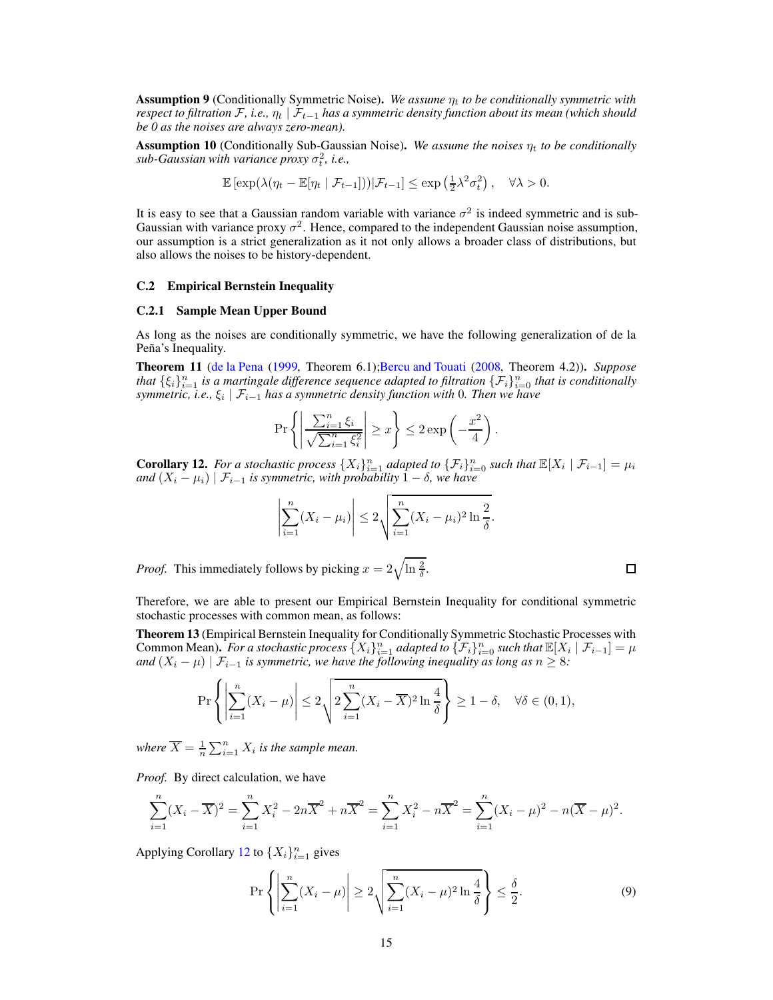**Assumption 9** (Conditionally Symmetric Noise). We assume  $\eta_t$  to be conditionally symmetric with *respect to filtration* F, i.e.,  $\eta_t \mid \mathcal{F}_{t-1}$  *has a symmetric density function about its mean (which should be 0 as the noises are always zero-mean).*

<span id="page-14-1"></span>**Assumption 10** (Conditionally Sub-Gaussian Noise). We assume the noises  $\eta_t$  to be conditionally  $sub$ *-Gaussian with variance proxy*  $\sigma_t^2$ , *i.e.*,

$$
\mathbb{E}\left[\exp(\lambda(\eta_t - \mathbb{E}[\eta_t | \mathcal{F}_{t-1}]))|\mathcal{F}_{t-1}\right] \leq \exp\left(\frac{1}{2}\lambda^2\sigma_t^2\right), \quad \forall \lambda > 0.
$$

It is easy to see that a Gaussian random variable with variance  $\sigma^2$  is indeed symmetric and is sub-Gaussian with variance proxy  $\sigma^2$ . Hence, compared to the independent Gaussian noise assumption, our assumption is a strict generalization as it not only allows a broader class of distributions, but also allows the noises to be history-dependent.

#### <span id="page-14-2"></span>C.2 Empirical Bernstein Inequality

#### C.2.1 Sample Mean Upper Bound

As long as the noises are conditionally symmetric, we have the following generalization of de la Peña's Inequality.

Theorem 11 [\(de la Pena](#page-10-15) [\(1999,](#page-10-15) Theorem 6.1)[;Bercu and Touati](#page-9-7) [\(2008,](#page-9-7) Theorem 4.2)). *Suppose that*  $\{\xi_i\}_{i=1}^n$  *is a martingale difference sequence adapted to filtration*  $\{\mathcal{F}_i\}_{i=0}^n$  *that is conditionally symmetric, i.e.,*  $\xi$ *<sub>i</sub>*  $\vert$  $\mathcal{F}_{i-1}$  *has a symmetric density function with* 0*. Then we have* 

$$
\Pr\left\{ \left| \frac{\sum_{i=1}^{n} \xi_i}{\sqrt{\sum_{i=1}^{n} \xi_i^2}} \right| \geq x \right\} \leq 2 \exp\left(-\frac{x^2}{4}\right).
$$

<span id="page-14-3"></span>**Corollary 12.** For a stochastic process  $\{X_i\}_{i=1}^n$  adapted to  $\{\mathcal{F}_i\}_{i=0}^n$  such that  $\mathbb{E}[X_i | \mathcal{F}_{i-1}] = \mu_i$ *and*  $(X_i - \mu_i) | \mathcal{F}_{i-1}$  *is symmetric, with probability*  $1 - \delta$ *, we have* 

$$
\left| \sum_{i=1}^{n} (X_i - \mu_i) \right| \leq 2 \sqrt{\sum_{i=1}^{n} (X_i - \mu_i)^2 \ln \frac{2}{\delta}}.
$$

*Proof.* This immediately follows by picking  $x = 2\sqrt{\ln \frac{2}{\delta}}$ .

<span id="page-14-0"></span>Therefore, we are able to present our Empirical Bernstein Inequality for conditional symmetric stochastic processes with common mean, as follows:

Theorem 13 (Empirical Bernstein Inequality for Conditionally Symmetric Stochastic Processes with Common Mean). *For a stochastic process*  $\{X_i\}_{i=1}^n$  *adapted to*  $\{\mathcal{F}_i\}_{i=0}^n$  *such that*  $\mathbb{E}[X_i \mid \mathcal{F}_{i-1}] = \mu$ *and*  $(X_i - \mu) | \mathcal{F}_{i-1}$  *is symmetric, we have the following inequality as long as*  $n \geq 8$ *:* 

$$
\Pr\left\{ \left| \sum_{i=1}^n (X_i - \mu) \right| \le 2\sqrt{2 \sum_{i=1}^n (X_i - \overline{X})^2 \ln \frac{4}{\delta}} \right\} \ge 1 - \delta, \quad \forall \delta \in (0, 1),
$$

where  $\overline{X} = \frac{1}{n} \sum_{i=1}^{n} X_i$  is the sample mean.

*Proof.* By direct calculation, we have

$$
\sum_{i=1}^{n} (X_i - \overline{X})^2 = \sum_{i=1}^{n} X_i^2 - 2n\overline{X}^2 + n\overline{X}^2 = \sum_{i=1}^{n} X_i^2 - n\overline{X}^2 = \sum_{i=1}^{n} (X_i - \mu)^2 - n(\overline{X} - \mu)^2.
$$

Applying Corollary [12](#page-14-3) to  $\{X_i\}_{i=1}^n$  gives

<span id="page-14-4"></span>
$$
\Pr\left\{ \left| \sum_{i=1}^{n} (X_i - \mu) \right| \ge 2 \sqrt{\sum_{i=1}^{n} (X_i - \mu)^2 \ln \frac{4}{\delta}} \right\} \le \frac{\delta}{2}.
$$
\n(9)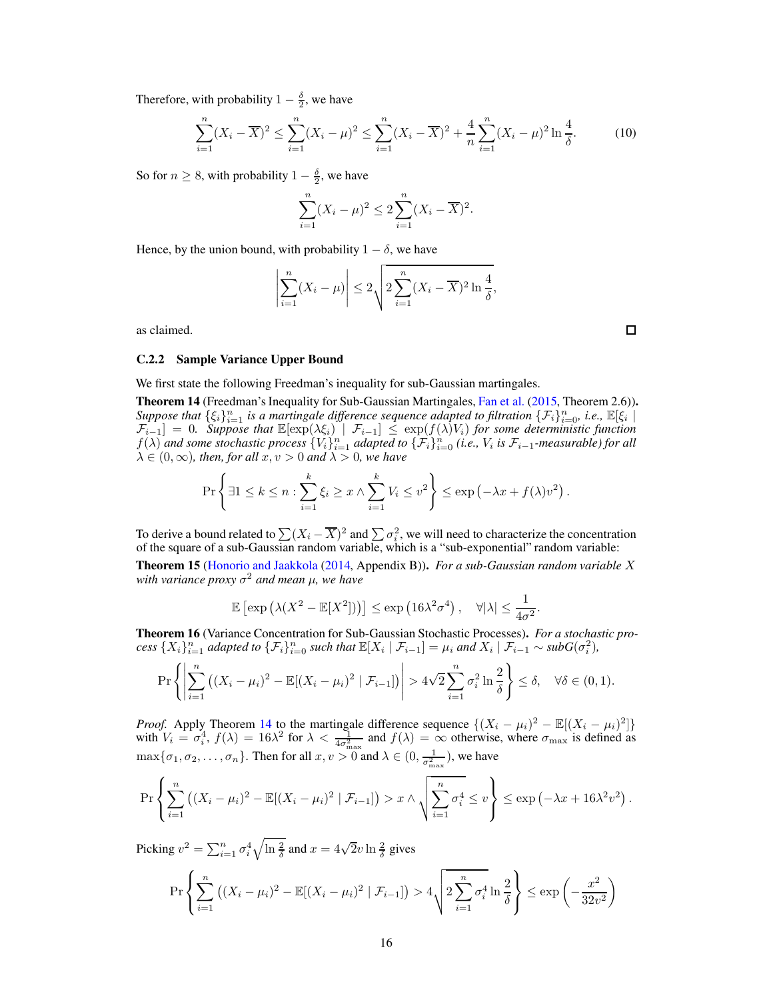Therefore, with probability  $1 - \frac{\delta}{2}$ , we have

$$
\sum_{i=1}^{n} (X_i - \overline{X})^2 \le \sum_{i=1}^{n} (X_i - \mu)^2 \le \sum_{i=1}^{n} (X_i - \overline{X})^2 + \frac{4}{n} \sum_{i=1}^{n} (X_i - \mu)^2 \ln \frac{4}{\delta}.
$$
 (10)

So for  $n \geq 8$ , with probability  $1 - \frac{\delta}{2}$ , we have

<span id="page-15-2"></span>
$$
\sum_{i=1}^{n} (X_i - \mu)^2 \le 2 \sum_{i=1}^{n} (X_i - \overline{X})^2.
$$

Hence, by the union bound, with probability  $1 - \delta$ , we have

$$
\left|\sum_{i=1}^{n} (X_i - \mu)\right| \le 2\sqrt{2\sum_{i=1}^{n} (X_i - \overline{X})^2 \ln\frac{4}{\delta}},
$$

as claimed.

#### C.2.2 Sample Variance Upper Bound

#### <span id="page-15-1"></span>We first state the following Freedman's inequality for sub-Gaussian martingales.

Theorem 14 (Freedman's Inequality for Sub-Gaussian Martingales, [Fan et al.](#page-10-16) [\(2015](#page-10-16), Theorem 2.6)). *Suppose that*  $\{\xi_i\}_{i=1}^n$  *is a martingale difference sequence adapted to filtration*  $\{\mathcal{F}_i\}_{i=0}^n$  *i.e.,*  $\mathbb{E}[\xi_i]$  $\mathcal{F}_{i-1}$ ] = 0*. Suppose that*  $\mathbb{E}[\exp(\lambda \xi_i)] \mid \mathcal{F}_{i-1}] \leq \exp(f(\lambda)V_i)$  for some deterministic function  $\mathcal{F}_{i-1}$ ] = 0*. Suppose that*  $\mathbb{E}[\exp(\lambda \xi_i)] \mid \mathcal{F}_{i-1}] \leq \exp(f(\lambda)V_i)$  for some deterministic function  $f(\lambda)$  and some stochastic process  $\{V_i\}_{i=1}^n$  adapted to  $\{\mathcal{F}_i\}_{i=0}^n$  (i.e.,  $V_i$  is  $\mathcal{F}_{i-1}$ -measurable) for all  $\lambda \in (0, \infty)$ *, then, for all x, v > 0 and*  $\lambda > 0$ *, we have* 

$$
\Pr\left\{\exists 1 \leq k \leq n : \sum_{i=1}^k \xi_i \geq x \land \sum_{i=1}^k V_i \leq v^2\right\} \leq \exp\left(-\lambda x + f(\lambda)v^2\right).
$$

To derive a bound related to  $\sum (X_i - \overline{X})^2$  and  $\sum \sigma_i^2$ , we will need to characterize the concentration of the square of a sub-Gaussian random variable, which is a "sub-exponential" random variable:

<span id="page-15-3"></span>Theorem 15 [\(Honorio and Jaakkola](#page-10-17) [\(2014,](#page-10-17) Appendix B)). *For a sub-Gaussian random variable* X *with variance proxy* σ <sup>2</sup> *and mean* µ*, we have*

$$
\mathbb{E}\left[\exp\left(\lambda(X^2 - \mathbb{E}[X^2])\right)\right] \le \exp\left(16\lambda^2 \sigma^4\right), \quad \forall |\lambda| \le \frac{1}{4\sigma^2}.
$$

<span id="page-15-0"></span>Theorem 16 (Variance Concentration for Sub-Gaussian Stochastic Processes). *For a stochastic pro-* $\text{cess } \{X_i\}_{i=1}^n$  *adapted to*  $\{\mathcal{F}_i\}_{i=0}^n$  *such that*  $\mathbb{E}[X_i | \mathcal{F}_{i-1}] = \mu_i$  *and*  $X_i | \mathcal{F}_{i-1} \sim \text{subG}(\sigma_i^2)$ *,* 

$$
\Pr\left\{ \left| \sum_{i=1}^n \left( (X_i - \mu_i)^2 - \mathbb{E}[(X_i - \mu_i)^2 \mid \mathcal{F}_{i-1}]\right) \right| > 4\sqrt{2} \sum_{i=1}^n \sigma_i^2 \ln \frac{2}{\delta} \right\} \le \delta, \quad \forall \delta \in (0, 1).
$$

*Proof.* Apply Theorem [14](#page-15-1) to the martingale difference sequence  $\{(X_i - \mu_i)^2 - \mathbb{E}[(X_i - \mu_i)^2]\}$ with  $V_i = \sigma_i^4$ ,  $f(\lambda) = 16\lambda^2$  for  $\lambda < \frac{1}{4\sigma_{\max}^2}$  and  $f(\lambda) = \infty$  otherwise, where  $\sigma_{\max}$  is defined as  $\max{\{\sigma_1, \sigma_2, \ldots, \sigma_n\}}$ . Then for all  $x, v > 0$  and  $\lambda \in (0, \frac{1}{\sigma_{\max}^2})$ , we have

$$
\Pr\left\{\sum_{i=1}^n\left((X_i-\mu_i)^2-\mathbb{E}[(X_i-\mu_i)^2\mid \mathcal{F}_{i-1}]\right)>x\wedge\sqrt{\sum_{i=1}^n\sigma_i^4}\leq v\right\}\leq \exp\left(-\lambda x+16\lambda^2v^2\right).
$$

Picking  $v^2 = \sum_{i=1}^n \sigma_i^4 \sqrt{\ln \frac{2}{\delta}}$  and  $x = 4\sqrt{2}v \ln \frac{2}{\delta}$  gives

$$
\Pr\left\{\sum_{i=1}^{n} \left((X_i - \mu_i)^2 - \mathbb{E}[(X_i - \mu_i)^2 | \mathcal{F}_{i-1}]\right) > 4\sqrt{2\sum_{i=1}^{n} \sigma_i^4 \ln\frac{2}{\delta}}\right\} \le \exp\left(-\frac{x^2}{32v^2}\right)
$$

 $\Box$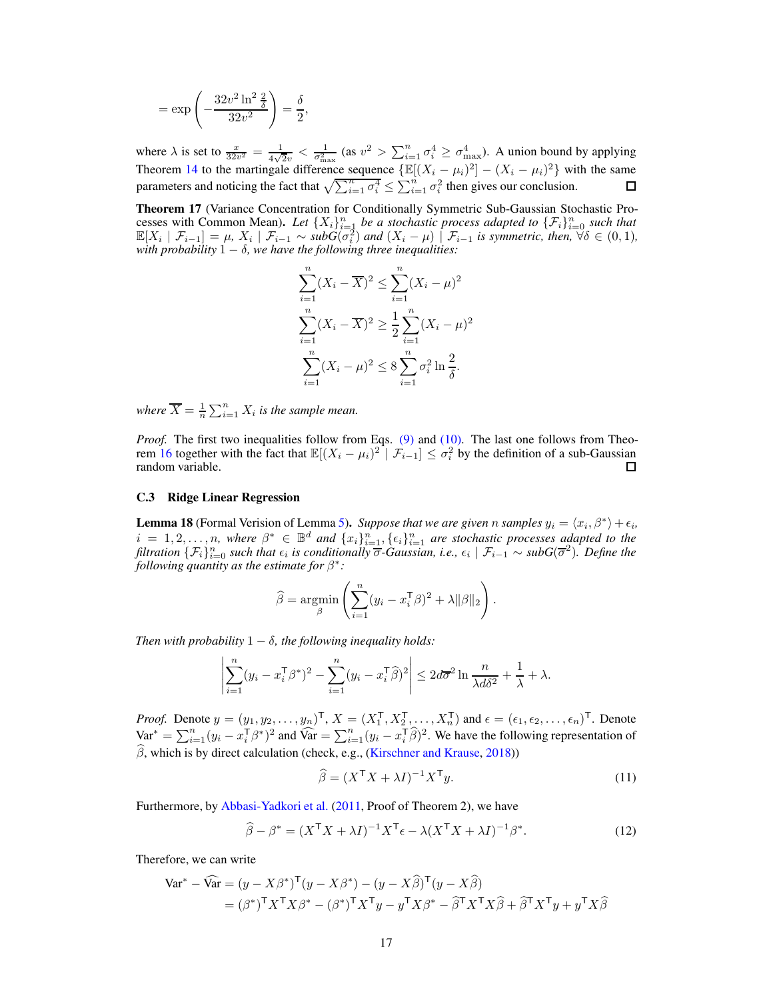$$
=\exp\left(-\frac{32v^2\ln^2\frac{2}{\delta}}{32v^2}\right)=\frac{\delta}{2},
$$

where  $\lambda$  is set to  $\frac{x}{32v^2} = \frac{1}{4\sqrt{2}}$  $\frac{1}{4\sqrt{2}v} < \frac{1}{\sigma_{\max}^2}$  (as  $v^2 > \sum_{i=1}^n \sigma_i^4 \ge \sigma_{\max}^4$ ). A union bound by applying Theorem [14](#page-15-1) to the martingale difference sequence  $\{\mathbb{E}[(X_i - \mu_i)^2] - (X_i - \mu_i)^2\}$  with the same parameters and noticing the fact that  $\sqrt{\sum_{i=1}^{n} \sigma_i^4} \leq \sum_{i=1}^{n} \sigma_i^2$  then gives our conclusion.

<span id="page-16-0"></span>Theorem 17 (Variance Concentration for Conditionally Symmetric Sub-Gaussian Stochastic Processes with Common Mean). Let  $\{X_i\}_{i=1}^n$  be a stochastic process adapted to  $\{\mathcal{F}_i\}_{i=0}^n$  such that  $\mathbb{E}[X_i \mid \mathcal{F}_{i-1}] = \mu, X_i \mid \mathcal{F}_{i-1} \sim sub\tilde{G}(\sigma_i^2)$  and  $(X_i - \mu) \mid \mathcal{F}_{i-1}$  is symmetric, then,  $\forall \delta \in (0, 1)$ *, with probability*  $1 - \delta$ *, we have the following three inequalities:* 

$$
\sum_{i=1}^{n} (X_i - \overline{X})^2 \le \sum_{i=1}^{n} (X_i - \mu)^2
$$
  

$$
\sum_{i=1}^{n} (X_i - \overline{X})^2 \ge \frac{1}{2} \sum_{i=1}^{n} (X_i - \mu)^2
$$
  

$$
\sum_{i=1}^{n} (X_i - \mu)^2 \le 8 \sum_{i=1}^{n} \sigma_i^2 \ln \frac{2}{\delta}.
$$

where  $\overline{X} = \frac{1}{n} \sum_{i=1}^{n} X_i$  is the sample mean.

*Proof.* The first two inequalities follow from Eqs. [\(9\)](#page-14-4) and [\(10\).](#page-15-2) The last one follows from Theo-rem [16](#page-15-0) together with the fact that  $\mathbb{E}[(X_i - \mu_i)^2 \mid \mathcal{F}_{i-1}] \leq \sigma_i^2$  by the definition of a sub-Gaussian random variable. □

#### <span id="page-16-4"></span><span id="page-16-1"></span>C.3 Ridge Linear Regression

**Lemma 18** (Formal Verision of Lemma [5\)](#page-7-5). *Suppose that we are given* n *samples*  $y_i = \langle x_i, \beta^* \rangle + \epsilon_i$ ,  $i = 1, 2, \ldots, n$ , where  $\beta^* \in \mathbb{B}^d$  and  $\{x_i\}_{i=1}^n, \{\epsilon_i\}_{i=1}^n$  are stochastic processes adapted to the *filtration*  $\{\mathcal{F}_i\}_{i=0}^n$  such that  $\epsilon_i$  is conditionally  $\bar{\sigma}$ -Gaussian, i.e.,  $\epsilon_i \mid \mathcal{F}_{i-1} \sim subG(\overline{\sigma}^2)$ . Define the *following quantity as the estimate for* β ∗ *:*

$$
\widehat{\beta} = \underset{\beta}{\text{argmin}} \left( \sum_{i=1}^{n} (y_i - x_i^{\mathsf{T}} \beta)^2 + \lambda ||\beta||_2 \right).
$$

*Then with probability*  $1 - \delta$ *, the following inequality holds:* 

$$
\left| \sum_{i=1}^n (y_i - x_i^{\mathsf{T}} \beta^*)^2 - \sum_{i=1}^n (y_i - x_i^{\mathsf{T}} \widehat{\beta})^2 \right| \le 2d\overline{\sigma}^2 \ln \frac{n}{\lambda d\delta^2} + \frac{1}{\lambda} + \lambda.
$$

*Proof.* Denote  $y = (y_1, y_2, \dots, y_n)^\mathsf{T}$ ,  $X = (X_1^\mathsf{T}, X_2^\mathsf{T}, \dots, X_n^\mathsf{T})$  and  $\epsilon = (\epsilon_1, \epsilon_2, \dots, \epsilon_n)^\mathsf{T}$ . Denote  $\text{Var}^* = \sum_{i=1}^n (y_i - x_i^{\mathsf{T}} \beta^*)^2$  and  $\widehat{\text{Var}} = \sum_{i=1}^n (y_i - x_i^{\mathsf{T}} \widehat{\beta})^2$ . We have the following representation of  $\widehat{\beta}$ , which is by direct calculation (check, e.g., [\(Kirschner and Krause](#page-11-14), [2018\)](#page-11-14))

<span id="page-16-3"></span><span id="page-16-2"></span>
$$
\widehat{\beta} = (X^{\mathsf{T}} X + \lambda I)^{-1} X^{\mathsf{T}} y.
$$
\n(11)

Furthermore, by [Abbasi-Yadkori et al.](#page-9-2) [\(2011,](#page-9-2) Proof of Theorem 2), we have

$$
\widehat{\beta} - \beta^* = (X^{\mathsf{T}} X + \lambda I)^{-1} X^{\mathsf{T}} \epsilon - \lambda (X^{\mathsf{T}} X + \lambda I)^{-1} \beta^*.
$$
 (12)

Therefore, we can write

$$
\begin{aligned} \n\text{Var}^* - \widehat{\text{Var}} &= (y - X\beta^*)^\mathsf{T} (y - X\beta^*) - (y - X\widehat{\beta})^\mathsf{T} (y - X\widehat{\beta}) \\ \n&= (\beta^*)^\mathsf{T} X^\mathsf{T} X\beta^* - (\beta^*)^\mathsf{T} X^\mathsf{T} y - y^\mathsf{T} X\beta^* - \widehat{\beta}^\mathsf{T} X^\mathsf{T} X\widehat{\beta} + \widehat{\beta}^\mathsf{T} X^\mathsf{T} y + y^\mathsf{T} X\widehat{\beta} \n\end{aligned}
$$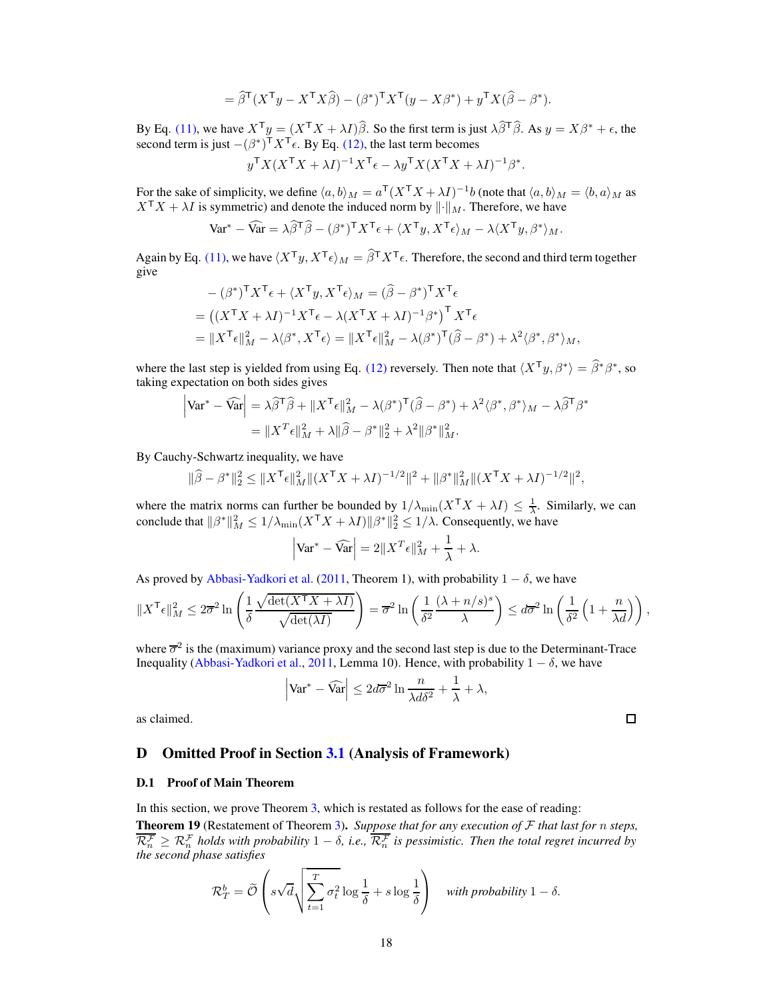$$
= \widehat{\beta}^{\mathsf{T}} (X^{\mathsf{T}} y - X^{\mathsf{T}} X \widehat{\beta}) - (\beta^*)^{\mathsf{T}} X^{\mathsf{T}} (y - X \beta^*) + y^{\mathsf{T}} X (\widehat{\beta} - \beta^*).
$$

By Eq. [\(11\),](#page-16-2) we have  $X^{\mathsf{T}}y = (X^{\mathsf{T}}X + \lambda I)\widehat{\beta}$ . So the first term is just  $\lambda \widehat{\beta}^{\mathsf{T}}\widehat{\beta}$ . As  $y = X\beta^* + \epsilon$ , the second term is just  $-(\beta^*)^{\mathsf{T}} X^{\mathsf{T}} \epsilon$ . By Eq. [\(12\),](#page-16-3) the last term becomes

$$
y^{\mathsf{T}} X (X^{\mathsf{T}} X + \lambda I)^{-1} X^{\mathsf{T}} \epsilon - \lambda y^{\mathsf{T}} X (X^{\mathsf{T}} X + \lambda I)^{-1} \beta^*
$$

.

 $\Box$ 

For the sake of simplicity, we define  $\langle a, b \rangle_M = a^{\mathsf{T}} (X^{\mathsf{T}} X + \lambda I)^{-1} b$  (note that  $\langle a, b \rangle_M = \langle b, a \rangle_M$  as  $X^{\mathsf{T}}X + \lambda I$  is symmetric) and denote the induced norm by  $\|\cdot\|_M$ . Therefore, we have

$$
\text{Var}^* - \widehat{\text{Var}} = \lambda \widehat{\beta}^\mathsf{T} \widehat{\beta} - (\beta^*)^\mathsf{T} X^\mathsf{T} \epsilon + \langle X^\mathsf{T} y, X^\mathsf{T} \epsilon \rangle_M - \lambda \langle X^\mathsf{T} y, \beta^* \rangle_M.
$$

Again by Eq. [\(11\),](#page-16-2) we have  $\langle X^\mathsf{T} y, X^\mathsf{T} \epsilon \rangle_M = \hat{\beta}^\mathsf{T} X^\mathsf{T} \epsilon$ . Therefore, the second and third term together give

$$
-(\beta^*)^{\mathsf{T}} X^{\mathsf{T}} \epsilon + \langle X^{\mathsf{T}} y, X^{\mathsf{T}} \epsilon \rangle_M = (\widehat{\beta} - \beta^*)^{\mathsf{T}} X^{\mathsf{T}} \epsilon
$$
  
= 
$$
((X^{\mathsf{T}} X + \lambda I)^{-1} X^{\mathsf{T}} \epsilon - \lambda (X^{\mathsf{T}} X + \lambda I)^{-1} \beta^*)^{\mathsf{T}} X^{\mathsf{T}} \epsilon
$$
  
= 
$$
||X^{\mathsf{T}} \epsilon||_M^2 - \lambda \langle \beta^*, X^{\mathsf{T}} \epsilon \rangle = ||X^{\mathsf{T}} \epsilon||_M^2 - \lambda (\beta^*)^{\mathsf{T}} (\widehat{\beta} - \beta^*) + \lambda^2 \langle \beta^*, \beta^* \rangle_M,
$$

where the last step is yielded from using Eq. [\(12\)](#page-16-3) reversely. Then note that  $\langle X^{\mathsf{T}}y, \beta^* \rangle = \widehat{\beta}^* \beta^*$ , so taking expectation on both sides gives

$$
\left| \mathbf{Var}^* - \widehat{\mathbf{Var}} \right| = \lambda \widehat{\beta}^\mathsf{T} \widehat{\beta} + \| \boldsymbol{X}^\mathsf{T} \boldsymbol{\epsilon} \|^2_M - \lambda (\beta^*)^\mathsf{T} (\widehat{\beta} - \beta^*) + \lambda^2 \langle \beta^*, \beta^* \rangle_M - \lambda \widehat{\beta}^\mathsf{T} \beta^*
$$
  
= 
$$
\| \boldsymbol{X}^\mathsf{T} \boldsymbol{\epsilon} \|^2_M + \lambda \| \widehat{\beta} - \beta^* \|^2_2 + \lambda^2 \| \beta^* \|^2_M.
$$

By Cauchy-Schwartz inequality, we have

$$
\|\widehat{\beta} - \beta^*\|_2^2 \le \|X^{\mathsf{T}}\epsilon\|_M^2 \|(X^{\mathsf{T}}X + \lambda I)^{-1/2}\|^2 + \|\beta^*\|_M^2 \|(X^{\mathsf{T}}X + \lambda I)^{-1/2}\|^2,
$$

where the matrix norms can further be bounded by  $1/\lambda_{\min}(X^{\mathsf{T}}X + \lambda I) \leq \frac{1}{\lambda}$ . Similarly, we can conclude that  $\|\beta^*\|_M^2 \leq 1/\lambda_{\min}(X^{\mathsf{T}}X + \lambda I)\|\beta^*\|_2^2 \leq 1/\lambda$ . Consequently, we have

$$
\left| \text{Var}^* - \widehat{\text{Var}} \right| = 2 \| X^T \epsilon \|_M^2 + \frac{1}{\lambda} + \lambda.
$$

As proved by [Abbasi-Yadkori et al.](#page-9-2) [\(2011](#page-9-2), Theorem 1), with probability  $1 - \delta$ , we have

$$
||X^{\mathsf{T}}\epsilon||_M^2 \leq 2\overline{\sigma}^2 \ln \left( \frac{1}{\delta} \frac{\sqrt{\det(X^{\mathsf{T}} X + \lambda I)}}{\sqrt{\det(\lambda I)}} \right) = \overline{\sigma}^2 \ln \left( \frac{1}{\delta^2} \frac{(\lambda + n/s)^s}{\lambda} \right) \leq d\overline{\sigma}^2 \ln \left( \frac{1}{\delta^2} \left( 1 + \frac{n}{\lambda d} \right) \right),
$$

where  $\overline{\sigma}^2$  is the (maximum) variance proxy and the second last step is due to the Determinant-Trace Inequality [\(Abbasi-Yadkori et al.](#page-9-2), [2011](#page-9-2), Lemma 10). Hence, with probability  $1 - \delta$ , we have

$$
\left| \text{Var}^* - \widehat{\text{Var}} \right| \le 2d\overline{\sigma}^2 \ln \frac{n}{\lambda d\delta^2} + \frac{1}{\lambda} + \lambda,
$$

<span id="page-17-0"></span>as claimed.

## <span id="page-17-1"></span>D Omitted Proof in Section [3.1](#page-4-1) (Analysis of Framework)

#### D.1 Proof of Main Theorem

<span id="page-17-2"></span>In this section, we prove Theorem [3,](#page-5-2) which is restated as follows for the ease of reading: Theorem 19 (Restatement of Theorem [3\)](#page-5-2). *Suppose that for any execution of* F *that last for* n *steps,*  $\mathcal{R}^{\mathcal{F}}_n \geq \mathcal{R}^{\mathcal{F}}_n$  holds with probability  $1-\delta$ , i.e.,  $\mathcal{R}^{\mathcal{F}}_n$  is pessimistic. Then the total regret incurred by *the second phase satisfies*

$$
\mathcal{R}_T^b = \widetilde{\mathcal{O}}\left(s\sqrt{d}\sqrt{\sum_{t=1}^T \sigma_t^2 \log\frac{1}{\delta}} + s\log\frac{1}{\delta}\right) \quad \text{with probability } 1 - \delta.
$$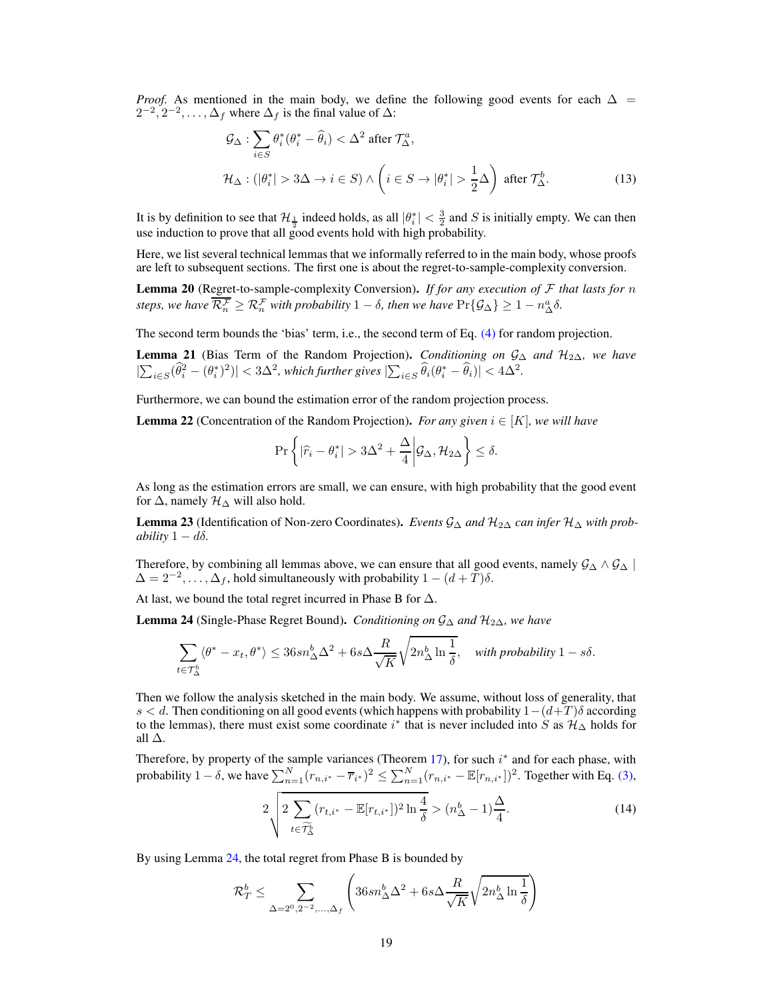*Proof.* As mentioned in the main body, we define the following good events for each  $\Delta$  =  $2^{-2}, 2^{-2}, \ldots, \Delta_f$  where  $\Delta_f$  is the final value of  $\Delta$ :

<span id="page-18-1"></span>
$$
\mathcal{G}_{\Delta}: \sum_{i \in S} \theta_i^* (\theta_i^* - \widehat{\theta}_i) < \Delta^2 \text{ after } \mathcal{T}_{\Delta}^a,
$$
\n
$$
\mathcal{H}_{\Delta}: (|\theta_i^*| > 3\Delta \to i \in S) \land \left( i \in S \to |\theta_i^*| > \frac{1}{2}\Delta \right) \text{ after } \mathcal{T}_{\Delta}^b. \tag{13}
$$

It is by definition to see that  $\mathcal{H}_{\frac{1}{2}}$  indeed holds, as all  $|\theta_i^*| < \frac{3}{2}$  and S is initially empty. We can then use induction to prove that all good events hold with high probability.

<span id="page-18-3"></span>Here, we list several technical lemmas that we informally referred to in the main body, whose proofs are left to subsequent sections. The first one is about the regret-to-sample-complexity conversion.

Lemma 20 (Regret-to-sample-complexity Conversion). *If for any execution of* F *that lasts for* n *steps, we have*  $\overline{\mathcal{R}_n^{\mathcal{F}}} \geq \mathcal{R}_n^{\mathcal{F}}$  *with probability*  $1 - \delta$ *, then we have*  $\Pr{\mathcal{G}_{\Delta}} \geq 1 - n_{\Delta}^a \delta$ *.* 

<span id="page-18-0"></span>The second term bounds the 'bias' term, i.e., the second term of Eq. [\(4\)](#page-6-1) for random projection.

Lemma 21 (Bias Term of the Random Projection). *Conditioning on* G<sup>∆</sup> *and* H2∆*, we have*  $|\sum_{i \in S} (\hat{\theta}_i^2 - (\theta_i^*)^2)| < 3\Delta^2$ , which further gives  $|\sum_{i \in S} \hat{\theta}_i(\theta_i^* - \hat{\theta}_i)| < 4\Delta^2$ .

<span id="page-18-4"></span>Furthermore, we can bound the estimation error of the random projection process.

**Lemma 22** (Concentration of the Random Projection). *For any given*  $i \in [K]$ *, we will have* 

$$
\Pr\left\{|\widehat{r}_i - \theta_i^*| > 3\Delta^2 + \frac{\Delta}{4}\bigg|\mathcal{G}_{\Delta}, \mathcal{H}_{2\Delta}\right\} \le \delta.
$$

<span id="page-18-5"></span>As long as the estimation errors are small, we can ensure, with high probability that the good event for  $\Delta$ , namely  $\mathcal{H}_{\Delta}$  will also hold.

**Lemma 23** (Identification of Non-zero Coordinates). *Events*  $\mathcal{G}_{\Delta}$  *and*  $\mathcal{H}_{2\Delta}$  *can infer*  $\mathcal{H}_{\Delta}$  *with probability*  $1 - d\delta$ .

Therefore, by combining all lemmas above, we can ensure that all good events, namely  $\mathcal{G}_{\Delta} \wedge \mathcal{G}_{\Delta}$  $\Delta = 2^{-2}, \ldots, \Delta_f$ , hold simultaneously with probability  $1 - (d + T)\delta$ .

<span id="page-18-2"></span>At last, we bound the total regret incurred in Phase B for  $\Delta$ .

Lemma 24 (Single-Phase Regret Bound). *Conditioning on* G<sup>∆</sup> *and* H2∆*, we have*

$$
\sum_{t \in \mathcal{T}_{\Delta}^b} \langle \theta^* - x_t, \theta^* \rangle \le 36sn_{\Delta}^b \Delta^2 + 6s\Delta \frac{R}{\sqrt{K}} \sqrt{2n_{\Delta}^b \ln \frac{1}{\delta}}, \quad \text{with probability } 1 - s\delta.
$$

Then we follow the analysis sketched in the main body. We assume, without loss of generality, that s < d. Then conditioning on all good events (which happens with probability  $1-(d+T)\delta$  according to the lemmas), there must exist some coordinate  $i^*$  that is never included into S as  $\mathcal{H}_{\Delta}$  holds for all ∆.

Therefore, by property of the sample variances (Theorem [17\)](#page-16-0), for such  $i^*$  and for each phase, with probability 1 –  $\delta$ , we have  $\sum_{n=1}^{N} (r_{n,i^*} - \overline{r}_{i^*})^2 \le \sum_{n=1}^{N} (r_{n,i^*} - \mathbb{E}[r_{n,i^*}])^2$ . Together with Eq. [\(3\),](#page-5-3)

$$
2\sqrt{2\sum_{t\in\widetilde{\mathcal{T}}_{\Delta}^{\delta}}(r_{t,i^*}-\mathbb{E}[r_{t,i^*}])^2\ln\frac{4}{\delta}}>(n_{\Delta}^b-1)\frac{\Delta}{4}.
$$
 (14)

By using Lemma [24,](#page-18-2) the total regret from Phase B is bounded by

$$
\mathcal{R}_T^b \leq \sum_{\Delta = 2^0, 2^{-2}, ..., \Delta_f} \left(36sn_{\Delta}^b\Delta^2 + 6s\Delta \frac{R}{\sqrt{K}}\sqrt{2n_{\Delta}^b\ln \frac{1}{\delta}}\right)
$$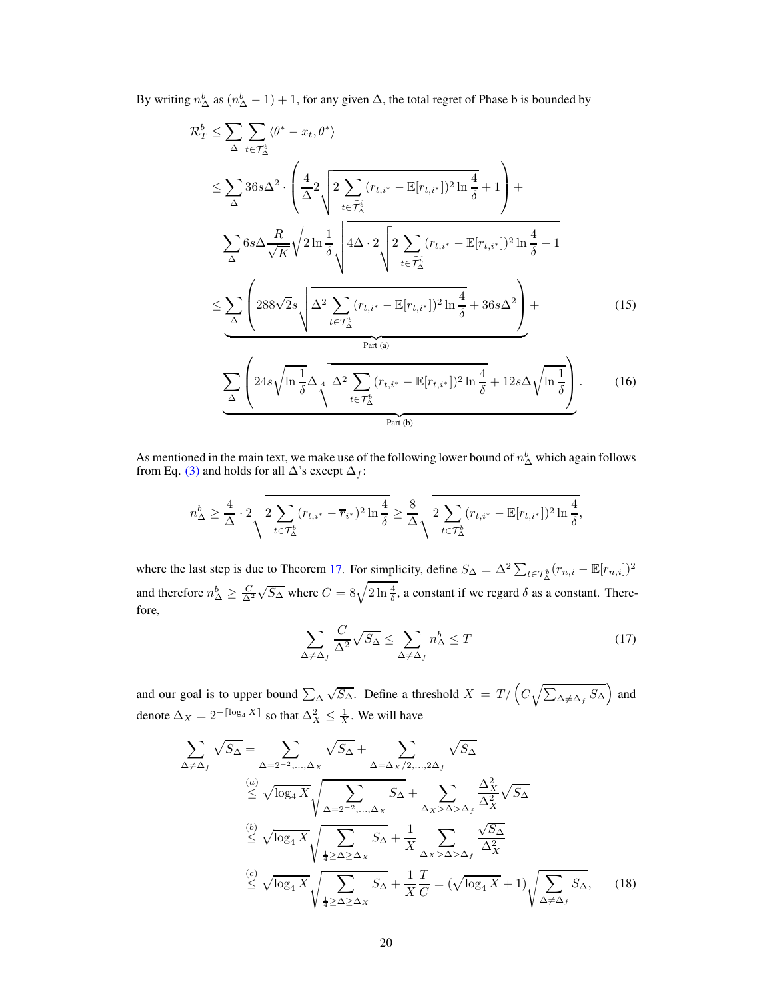By writing  $n_{\Delta}^b$  as  $(n_{\Delta}^b - 1) + 1$ , for any given  $\Delta$ , the total regret of Phase b is bounded by

$$
\mathcal{R}_{T}^{b} \leq \sum_{\Delta} \sum_{t \in \mathcal{T}_{\Delta}^{b}} \langle \theta^{*} - x_{t}, \theta^{*} \rangle
$$
\n
$$
\leq \sum_{\Delta} 36s\Delta^{2} \cdot \left( \frac{4}{\Delta} 2 \sqrt{2 \sum_{t \in \mathcal{T}_{\Delta}^{b}} (r_{t,i^{*}} - \mathbb{E}[r_{t,i^{*}}])^{2} \ln \frac{4}{\delta}} + 1 \right) + \sum_{\Delta} 6s\Delta \frac{R}{\sqrt{K}} \sqrt{2 \ln \frac{1}{\delta}} \sqrt{4\Delta \cdot 2 \sqrt{2 \sum_{t \in \mathcal{T}_{\Delta}^{b}} (r_{t,i^{*}} - \mathbb{E}[r_{t,i^{*}}])^{2} \ln \frac{4}{\delta}} + 1}
$$
\n
$$
\leq \sum_{\Delta} \left( 288\sqrt{2} s \sqrt{2s} \sqrt{\Delta^{2} \sum_{t \in \mathcal{T}_{\Delta}^{b}} (r_{t,i^{*}} - \mathbb{E}[r_{t,i^{*}}])^{2} \ln \frac{4}{\delta}} + 36s\Delta^{2} \right) + \sum_{\text{Part (a)}} \sum_{t \in \mathcal{T}_{\Delta}^{b}} \left( 24s\sqrt{\ln \frac{1}{\delta}} \Delta_{4} \sqrt{\Delta^{2} \sum_{t \in \mathcal{T}_{\Delta}^{b}} (r_{t,i^{*}} - \mathbb{E}[r_{t,i^{*}}])^{2} \ln \frac{4}{\delta}} + 12s\Delta \sqrt{\ln \frac{1}{\delta}} \right). \tag{16}
$$

As mentioned in the main text, we make use of the following lower bound of  $n^b_\Delta$  which again follows from Eq. [\(3\)](#page-5-3) and holds for all  $\Delta$ 's except  $\Delta_f$ :

$$
n_{\Delta}^b \geq \frac{4}{\Delta} \cdot 2 \sqrt{2 \sum_{t \in \mathcal{T}_{\Delta}^b} (r_{t,i^*} - \overline{r}_{i^*})^2 \ln \frac{4}{\delta}} \geq \frac{8}{\Delta} \sqrt{2 \sum_{t \in \mathcal{T}_{\Delta}^b} (r_{t,i^*} - \mathbb{E}[r_{t,i^*}])^2 \ln \frac{4}{\delta}},
$$

<span id="page-19-1"></span>where the last step is due to Theorem [17.](#page-16-0) For simplicity, define  $S_{\Delta} = \Delta^2 \sum_{t \in \mathcal{T}_{\Delta}^b} (r_{n,i} - \mathbb{E}[r_{n,i}])^2$ and therefore  $n_{\Delta}^b \ge \frac{C}{\Delta^2} \sqrt{S_{\Delta}}$  where  $C = 8\sqrt{2 \ln \frac{4}{\delta}}$ , a constant if we regard  $\delta$  as a constant. Therefore,

<span id="page-19-3"></span><span id="page-19-2"></span><span id="page-19-0"></span>
$$
\sum_{\Delta \neq \Delta_f} \frac{C}{\Delta^2} \sqrt{S_{\Delta}} \le \sum_{\Delta \neq \Delta_f} n_{\Delta}^b \le T \tag{17}
$$

and our goal is to upper bound  $\sum_{\Delta} \sqrt{S_{\Delta}}$ . Define a threshold  $X = T / (C \sqrt{\sum_{\Delta \neq \Delta_f} S_{\Delta}})$  and denote  $\Delta_X = 2^{-\lceil \log_4 X \rceil}$  so that  $\Delta_X^2 \leq \frac{1}{X}$ . We will have

$$
\sum_{\Delta \neq \Delta_{f}} \sqrt{S_{\Delta}} = \sum_{\Delta=2^{-2}, ..., \Delta_{X}} \sqrt{S_{\Delta}} + \sum_{\Delta=\Delta_{X}/2, ..., 2\Delta_{f}} \sqrt{S_{\Delta}}
$$
\n
$$
\leq \sqrt{\log_{4} X} \sqrt{\sum_{\Delta=2^{-2}, ..., \Delta_{X}} S_{\Delta}} + \sum_{\Delta_{X} > \Delta > \Delta_{f}} \frac{\Delta_{X}^{2}}{\Delta_{X}^{2}} \sqrt{S_{\Delta}}
$$
\n
$$
\leq \sqrt{\log_{4} X} \sqrt{\sum_{\frac{1}{4} \geq \Delta \geq \Delta_{X}} S_{\Delta}} + \frac{1}{X} \sum_{\Delta_{X} > \Delta > \Delta_{f}} \frac{\sqrt{S_{\Delta}}}{\Delta_{X}^{2}}
$$
\n
$$
\leq \sqrt{\log_{4} X} \sqrt{\sum_{\frac{1}{4} \geq \Delta \geq \Delta_{X}} S_{\Delta}} + \frac{1}{X} \frac{T}{C} = (\sqrt{\log_{4} X} + 1) \sqrt{\sum_{\Delta \neq \Delta_{f}} S_{\Delta}}, \quad (18)
$$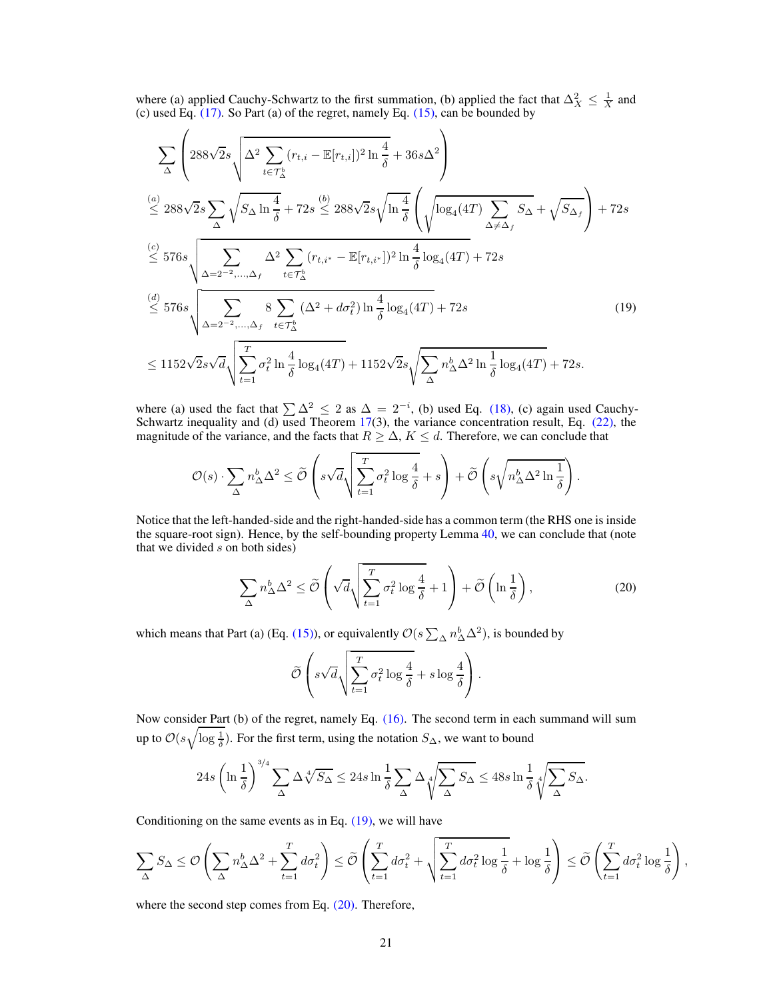where (a) applied Cauchy-Schwartz to the first summation, (b) applied the fact that  $\Delta_X^2 \leq \frac{1}{X}$  and (c) used Eq.  $(17)$ . So Part  $(a)$  of the regret, namely Eq.  $(15)$ , can be bounded by

$$
\sum_{\Delta} \left( 288\sqrt{2}s \sqrt{2s} \sqrt{\Delta^{2} \sum_{t \in \mathcal{T}_{\Delta}^{b}} (r_{t,i} - \mathbb{E}[r_{t,i}])^{2} \ln \frac{4}{\delta}} + 36s\Delta^{2} \right)
$$
\n
$$
\leq 288\sqrt{2}s \sum_{\Delta} \sqrt{S_{\Delta} \ln \frac{4}{\delta}} + 72s \leq 288\sqrt{2}s \sqrt{\ln \frac{4}{\delta}} \left( \sqrt{\log_{4}(4T) \sum_{\Delta \neq \Delta_{f}} S_{\Delta}} + \sqrt{S_{\Delta_{f}}} \right) + 72s
$$
\n
$$
\leq 576s \sqrt{\sum_{\Delta=2^{-2},...,\Delta_{f}} \sum_{t \in \mathcal{T}_{\Delta}^{b}} (r_{t,i^{*}} - \mathbb{E}[r_{t,i^{*}}])^{2} \ln \frac{4}{\delta} \log_{4}(4T) + 72s}
$$
\n
$$
\leq 676s \sqrt{\sum_{\Delta=2^{-2},...,\Delta_{f}} 8 \sum_{t \in \mathcal{T}_{\Delta}^{b}} (\Delta^{2} + d\sigma_{t}^{2}) \ln \frac{4}{\delta} \log_{4}(4T) + 72s} \qquad (19)
$$
\n
$$
\leq 1152\sqrt{2}s\sqrt{d} \sqrt{\sum_{t=1}^{T} \sigma_{t}^{2} \ln \frac{4}{\delta} \log_{4}(4T)} + 1152\sqrt{2}s \sqrt{\sum_{\Delta} n_{\Delta}^{b} \Delta^{2} \ln \frac{1}{\delta} \log_{4}(4T)} + 72s.
$$

where (a) used the fact that  $\sum \Delta^2 \leq 2$  as  $\Delta = 2^{-i}$ , (b) used Eq. [\(18\),](#page-19-0) (c) again used Cauchy-Schwartz inequality and (d) used Theorem [17\(](#page-16-0)3), the variance concentration result, Eq. [\(22\),](#page-22-0) the magnitude of the variance, and the facts that  $R \geq \Delta$ ,  $K \leq d$ . Therefore, we can conclude that

<span id="page-20-0"></span>
$$
\mathcal{O}(s)\cdot \sum_{\Delta}n_{\Delta}^b\Delta^2 \leq \widetilde{\mathcal{O}}\left(s\sqrt{d}\sqrt{\sum_{t=1}^T \sigma_t^2\log \frac{4}{\delta}} + s\right) + \widetilde{\mathcal{O}}\left(s\sqrt{n_{\Delta}^b\Delta^2\ln \frac{1}{\delta}}\right).
$$

Notice that the left-handed-side and the right-handed-side has a common term (the RHS one is inside the square-root sign). Hence, by the self-bounding property Lemma [40,](#page-35-1) we can conclude that (note that we divided  $s$  on both sides)

<span id="page-20-1"></span>
$$
\sum_{\Delta} n_{\Delta}^{b} \Delta^{2} \leq \widetilde{\mathcal{O}}\left(\sqrt{d} \sqrt{\sum_{t=1}^{T} \sigma_{t}^{2} \log \frac{4}{\delta}} + 1\right) + \widetilde{\mathcal{O}}\left(\ln \frac{1}{\delta}\right),\tag{20}
$$

which means that Part (a) (Eq. [\(15\)\)](#page-19-2), or equivalently  $\mathcal{O}(s \sum_{\Delta} n_{\Delta}^{b} \Delta^{2})$ , is bounded by

$$
\widetilde{\mathcal{O}}\left(s\sqrt{d}\sqrt{\sum_{t=1}^{T}\sigma_t^2\log\frac{4}{\delta}}+s\log\frac{4}{\delta}\right).
$$

Now consider Part (b) of the regret, namely Eq. [\(16\).](#page-19-3) The second term in each summand will sum up to  $\mathcal{O}(s\sqrt{\log \frac{1}{\delta}})$ . For the first term, using the notation  $S_{\Delta}$ , we want to bound

$$
24s \left(\ln\frac{1}{\delta}\right)^{3/4} \sum_{\Delta} \Delta \sqrt[4]{S_{\Delta}} \le 24s \ln\frac{1}{\delta} \sum_{\Delta} \Delta \sqrt[4]{\sum_{\Delta} S_{\Delta}} \le 48s \ln\frac{1}{\delta} \sqrt[4]{\sum_{\Delta} S_{\Delta}}.
$$

Conditioning on the same events as in Eq. [\(19\),](#page-20-0) we will have

$$
\sum_{\Delta} S_{\Delta} \leq \mathcal{O}\left(\sum_{\Delta} n_{\Delta}^b \Delta^2 + \sum_{t=1}^T d\sigma_t^2\right) \leq \widetilde{\mathcal{O}}\left(\sum_{t=1}^T d\sigma_t^2 + \sqrt{\sum_{t=1}^T d\sigma_t^2 \log \frac{1}{\delta}} + \log \frac{1}{\delta}\right) \leq \widetilde{\mathcal{O}}\left(\sum_{t=1}^T d\sigma_t^2 \log \frac{1}{\delta}\right),
$$

where the second step comes from Eq. [\(20\).](#page-20-1) Therefore,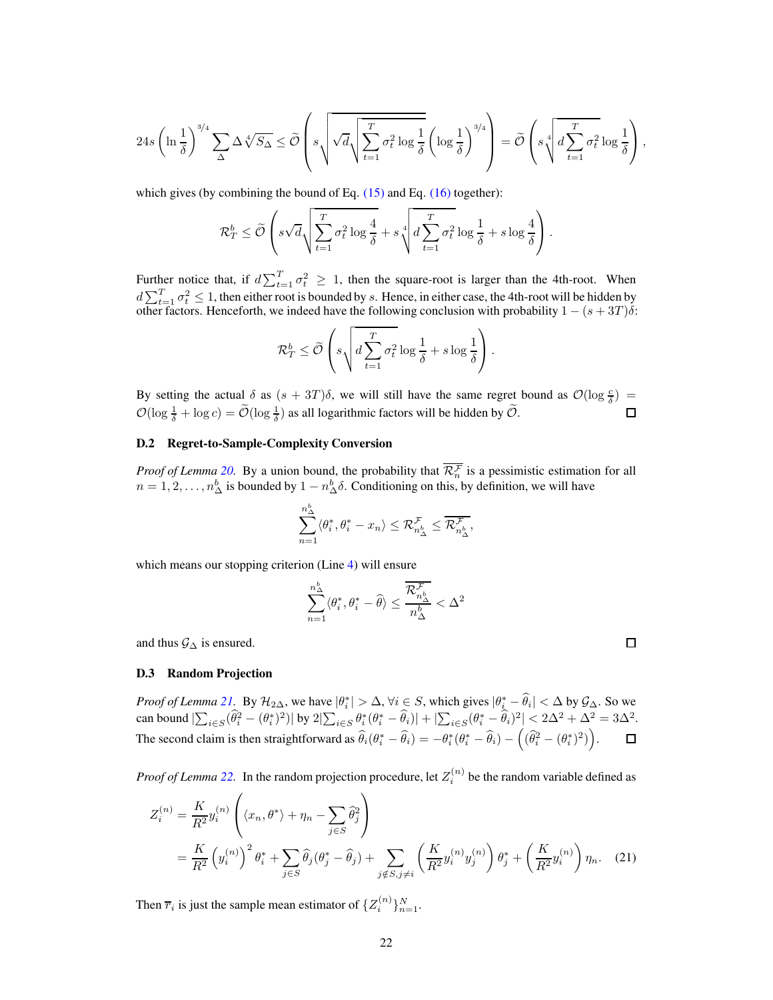$$
24s\left(\ln\frac{1}{\delta}\right)^{3/4}\sum_{\Delta}\Delta\sqrt[4]{S_{\Delta}}\leq\widetilde{\mathcal{O}}\left(s\sqrt{\sqrt{d}\sqrt{\sum_{t=1}^{T}\sigma_{t}^{2}\log\frac{1}{\delta}}}\left(\log\frac{1}{\delta}\right)^{3/4}\right)=\widetilde{\mathcal{O}}\left(s\sqrt[4]{d\sum_{t=1}^{T}\sigma_{t}^{2}\log\frac{1}{\delta}}\right),
$$

which gives (by combining the bound of Eq.  $(15)$  and Eq.  $(16)$  together):

$$
\mathcal{R}_T^b \le \widetilde{\mathcal{O}}\left(s\sqrt{d}\sqrt{\sum_{t=1}^T \sigma_t^2 \log \frac{4}{\delta}} + s\sqrt[4]{d\sum_{t=1}^T \sigma_t^2 \log \frac{1}{\delta}} + s\log \frac{4}{\delta}\right).
$$

Further notice that, if  $d\sum_{t=1}^{T} \sigma_t^2 \geq 1$ , then the square-root is larger than the 4th-root. When  $d\sum_{t=1}^{T} \sigma_t^2 \leq 1$ , then either root is bounded by s. Hence, in either case, the 4th-root will be hidden by other factors. Henceforth, we indeed have the following conclusion with probability  $1 - (s + 3T)\delta$ :

$$
\mathcal{R}_T^b \le \widetilde{\mathcal{O}}\left(s\sqrt{d\sum_{t=1}^T \sigma_t^2 \log\frac{1}{\delta}} + s\log\frac{1}{\delta}\right).
$$

By setting the actual  $\delta$  as  $(s + 3T)\delta$ , we will still have the same regret bound as  $\mathcal{O}(\log \frac{c}{\delta})$  =  $\mathcal{O}(\log \frac{1}{\delta} + \log c) = \widetilde{\mathcal{O}}(\log \frac{1}{\delta})$  as all logarithmic factors will be hidden by  $\widetilde{\mathcal{O}}$ .  $\Box$ 

## <span id="page-21-0"></span>D.2 Regret-to-Sample-Complexity Conversion

*Proof of Lemma* [20.](#page-18-3) By a union bound, the probability that  $\mathcal{R}_n^{\mathcal{F}}$  is a pessimistic estimation for all  $n = 1, 2, \dots, n_{\Delta}^b$  is bounded by  $1 - n_{\Delta}^b \delta$ . Conditioning on this, by definition, we will have

$$
\sum_{n=1}^{n_{\Delta}^b} \langle \theta_i^*, \theta_i^* - x_n \rangle \leq \mathcal{R}_{n_{\Delta}^b}^{\mathcal{F}} \leq \overline{\mathcal{R}_{n_{\Delta}^b}^{\mathcal{F}}},
$$

which means our stopping criterion (Line [4\)](#page-31-0) will ensure

$$
\sum_{n=1}^{n_{\Delta}^{b}}\langle \theta_{i}^{*}, \theta_{i}^{*}-\widehat{\theta}\rangle \leq \frac{\overline{\mathcal{R}^{\mathcal{F}}_{n_{\Delta}^{b}}}}{n_{\Delta}^{b}} < \Delta^{2}
$$

<span id="page-21-1"></span>and thus  $\mathcal{G}_{\Delta}$  is ensured.

### D.3 Random Projection

*Proof of Lemma [21.](#page-18-0)* By  $\mathcal{H}_{2\Delta}$ , we have  $|\theta_i^*| > \Delta$ ,  $\forall i \in S$ , which gives  $|\theta_i^* - \theta_i| < \Delta$  by  $\mathcal{G}_{\Delta}$ . So we can bound  $|\sum_{i \in S} (\hat{\theta}_i^2 - (\theta_i^*)^2)|$  by  $2|\sum_{i \in S} \theta_i^*(\theta_i^* - \hat{\theta}_i)| + |\sum_{i \in S} (\theta_i^* - \hat{\theta}_i)^2| < 2\Delta^2 + \Delta^2 = 3\Delta^2$ . The second claim is then straightforward as  $\hat{\theta}_i(\theta_i^* - \hat{\theta}_i) = -\theta_i^*(\theta_i^* - \hat{\theta}_i) - ((\hat{\theta}_i^2 - (\theta_i^*)^2)).$ 

*Proof of Lemma* [22.](#page-18-4) In the random projection procedure, let  $Z_i^{(n)}$  be the random variable defined as

$$
Z_i^{(n)} = \frac{K}{R^2} y_i^{(n)} \left( \langle x_n, \theta^* \rangle + \eta_n - \sum_{j \in S} \hat{\theta}_j^2 \right)
$$
  
=  $\frac{K}{R^2} \left( y_i^{(n)} \right)^2 \theta_i^* + \sum_{j \in S} \hat{\theta}_j (\theta_j^* - \hat{\theta}_j) + \sum_{j \notin S, j \neq i} \left( \frac{K}{R^2} y_i^{(n)} y_j^{(n)} \right) \theta_j^* + \left( \frac{K}{R^2} y_i^{(n)} \right) \eta_n$ . (21)

Then  $\overline{r_i}$  is just the sample mean estimator of  $\{Z_i^{(n)}\}_{n=1}^N$ .

<span id="page-21-2"></span>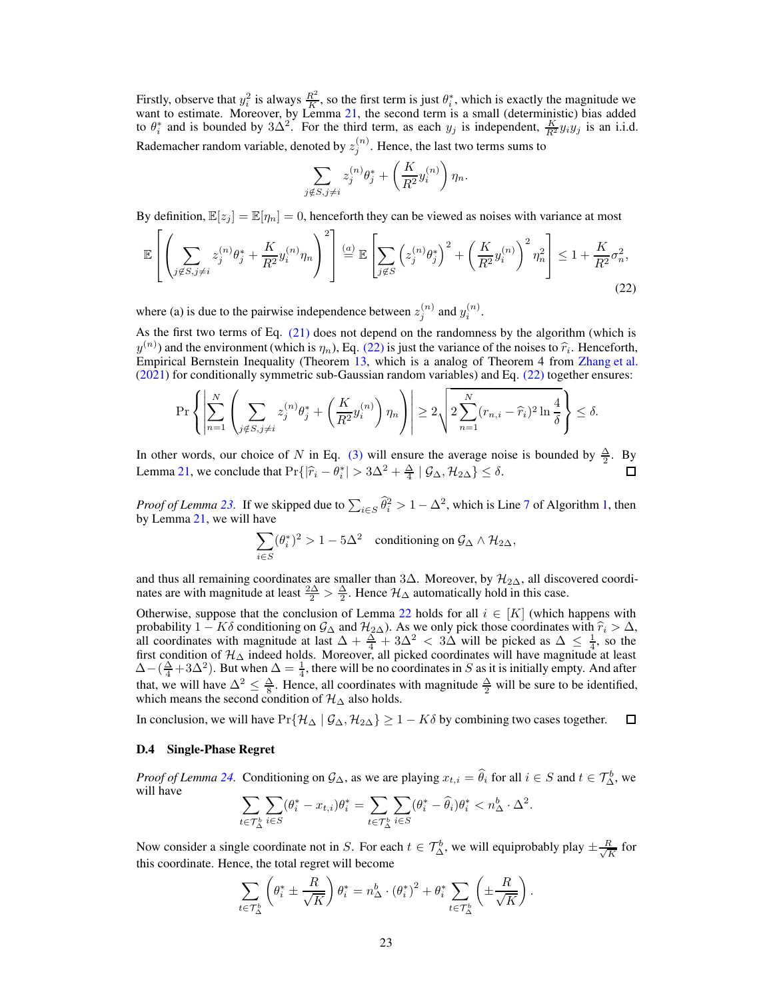Firstly, observe that  $y_i^2$  is always  $\frac{R^2}{K}$  $\frac{R^2}{K}$ , so the first term is just  $\theta_i^*$ , which is exactly the magnitude we want to estimate. Moreover, by Lemma [21,](#page-18-0) the second term is a small (deterministic) bias added to  $\theta_i^*$  and is bounded by 3 $\Delta^2$ . For the third term, as each  $y_j$  is independent,  $\frac{K}{R^2}y_iy_j$  is an i.i.d. Rademacher random variable, denoted by  $z_j^{(n)}$ . Hence, the last two terms sums to

<span id="page-22-0"></span>
$$
\sum_{j \notin S, j \neq i} z_j^{(n)} \theta_j^* + \left( \frac{K}{R^2} y_i^{(n)} \right) \eta_n.
$$

By definition,  $\mathbb{E}[z_j] = \mathbb{E}[\eta_n] = 0$ , henceforth they can be viewed as noises with variance at most

$$
\mathbb{E}\left[\left(\sum_{j\not\in S, j\neq i} z_j^{(n)} \theta_j^* + \frac{K}{R^2} y_i^{(n)} \eta_n\right)^2\right] \stackrel{(a)}{=} \mathbb{E}\left[\sum_{j\not\in S} \left(z_j^{(n)} \theta_j^*\right)^2 + \left(\frac{K}{R^2} y_i^{(n)}\right)^2 \eta_n^2\right] \le 1 + \frac{K}{R^2} \sigma_n^2,
$$
\n(22)

where (a) is due to the pairwise independence between  $z_j^{(n)}$  and  $y_i^{(n)}$ .

As the first two terms of Eq. [\(21\)](#page-21-2) does not depend on the randomness by the algorithm (which is  $y^{(n)}$ ) and the environment (which is  $\eta_n$ ), Eq. [\(22\)](#page-22-0) is just the variance of the noises to  $\hat{r}_i$ . Henceforth, Empirical Bernstein Inequality (Theorem [13,](#page-14-0) which is a analog of Theorem 4 from [Zhang et al.](#page-11-1) [\(2021\)](#page-11-1) for conditionally symmetric sub-Gaussian random variables) and Eq. [\(22\)](#page-22-0) together ensures:

$$
\Pr\left\{\left|\sum_{n=1}^N\left(\sum_{j\notin S, j\neq i}z_j^{(n)}\theta_j^* + \left(\frac{K}{R^2}y_i^{(n)}\right)\eta_n\right)\right|\geq 2\sqrt{2\sum_{n=1}^N(r_{n,i}-\widehat{r}_i)^2\ln\frac{4}{\delta}}\right\}\leq \delta.
$$

In other words, our choice of N in Eq. [\(3\)](#page-5-3) will ensure the average noise is bounded by  $\frac{\Delta}{2}$ . By Lemma [21,](#page-18-0) we conclude that  $Pr\{|\hat{r}_i - \theta_i^*| > 3\Delta^2 + \frac{\Delta}{4} | \mathcal{G}_{\Delta}, \mathcal{H}_{2\Delta}\}\leq \delta.$ П

*Proof of Lemma* [23.](#page-18-5) If we skipped due to  $\sum_{i \in S} \hat{\theta}_i^2 > 1 - \Delta^2$ , which is Line [7](#page-5-4) of Algorithm [1,](#page-5-0) then by Lemma [21,](#page-18-0) we will have

$$
\sum_{i\in S}(\theta_i^*)^2>1-5\Delta^2\quad\text{conditioning on }\mathcal{G}_\Delta\wedge\mathcal{H}_{2\Delta},
$$

and thus all remaining coordinates are smaller than 3∆. Moreover, by  $\mathcal{H}_{2\Delta}$ , all discovered coordinates are with magnitude at least  $\frac{2\Delta}{2} > \frac{\Delta}{2}$ . Hence  $\mathcal{H}_{\Delta}$  automatically hold in this case.

Otherwise, suppose that the conclusion of Lemma [22](#page-18-4) holds for all  $i \in [K]$  (which happens with probability  $1 - K\delta$  conditioning on  $\mathcal{G}_{\Delta}$  and  $\mathcal{H}_{2\Delta}$ ). As we only pick those coordinates with  $\hat{r}_i > \Delta$ , all coordinates with magnitude at last  $\Delta + \frac{\Delta}{4} + 3\Delta^2 < 3\Delta$  will be picked as  $\Delta \leq \frac{1}{4}$ , so t first condition of  $\mathcal{H}_{\Delta}$  indeed holds. Moreover, all picked coordinates will have magnitude at least  $\Delta - (\frac{\Delta}{4} + 3\Delta^2)$ . But when  $\Delta = \frac{1}{4}$ , there will be no coordinates in S as it is initially empty. And after that, we will have  $\Delta^2 \leq \frac{\Delta}{8}$ . Hence, all coordinates with magnitude  $\frac{\Delta}{2}$  will be sure to be identified, which means the second condition of  $\mathcal{H}_{\Delta}$  also holds.

<span id="page-22-1"></span>In conclusion, we will have  $Pr\{\mathcal{H}_{\Delta} \mid \mathcal{G}_{\Delta}, \mathcal{H}_{2\Delta}\} \geq 1 - K\delta$  by combining two cases together.  $\Box$ 

#### D.4 Single-Phase Regret

*Proof of Lemma* [24.](#page-18-2) Conditioning on  $\mathcal{G}_{\Delta}$ , as we are playing  $x_{t,i} = \hat{\theta}_i$  for all  $i \in S$  and  $t \in \mathcal{T}_{\Delta}^b$ , we will have

$$
\sum_{t\in\mathcal{T}_\Delta^b}\sum_{i\in S}(\theta_i^*-x_{t,i})\theta_i^*=\sum_{t\in\mathcal{T}_\Delta^b}\sum_{i\in S}(\theta_i^*-\widehat\theta_i)\theta_i^*
$$

Now consider a single coordinate not in S. For each  $t \in \mathcal{T}_{\Delta}^b$ , we will equiprobably play  $\pm \frac{R}{\sqrt{l}}$  $\frac{d}{K}$  for this coordinate. Hence, the total regret will become

$$
\sum_{t \in \mathcal{T}_{\Delta}^{b}} \left( \theta_{i}^{*} \pm \frac{R}{\sqrt{K}} \right) \theta_{i}^{*} = n_{\Delta}^{b} \cdot (\theta_{i}^{*})^{2} + \theta_{i}^{*} \sum_{t \in \mathcal{T}_{\Delta}^{b}} \left( \pm \frac{R}{\sqrt{K}} \right)
$$

.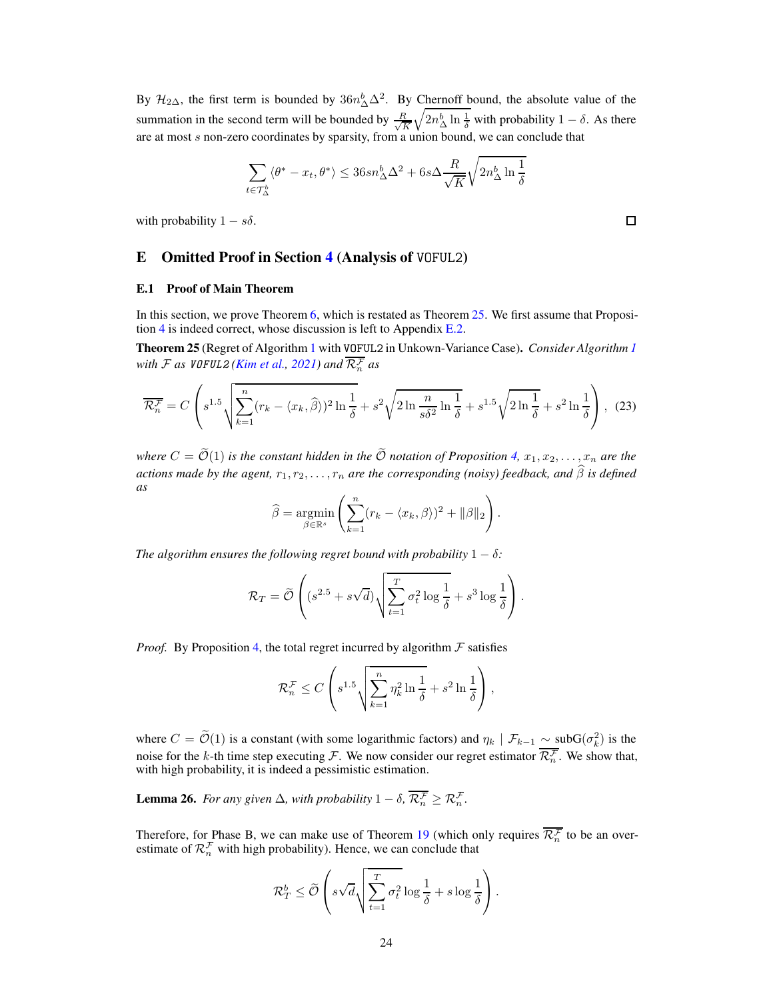By  $\mathcal{H}_{2\Delta}$ , the first term is bounded by  $36n_{\Delta}^{b}\Delta^{2}$ . By Chernoff bound, the absolute value of the summation in the second term will be bounded by  $\frac{R}{\sqrt{A}}$ K  $\sqrt{2n_{\Delta}^b \ln \frac{1}{\delta}}$  with probability  $1 - \delta$ . As there are at most s non-zero coordinates by sparsity, from a union bound, we can conclude that

$$
\sum_{t \in \mathcal{T}_{\Delta}^{b}} \langle \theta^* - x_t, \theta^* \rangle \leq 36sn_{\Delta}^{b}\Delta^2 + 6s\Delta \frac{R}{\sqrt{K}}\sqrt{2n_{\Delta}^{b}\ln\frac{1}{\delta}}
$$

<span id="page-23-1"></span>with probability  $1 - s\delta$ .

## <span id="page-23-0"></span>E Omitted Proof in Section [4](#page-7-0) (Analysis of VOFUL2)

#### E.1 Proof of Main Theorem

<span id="page-23-2"></span>In this section, we prove Theorem [6,](#page-7-4) which is restated as Theorem [25.](#page-23-2) We first assume that Proposition [4](#page-7-2) is indeed correct, whose discussion is left to Appendix [E.2.](#page-26-0)

Theorem 25 (Regret of Algorithm [1](#page-5-0) with VOFUL2 in Unkown-Variance Case). *Consider Algorithm [1](#page-5-0)* with  $\mathcal F$  as  $V0$ FUL2 [\(Kim et al.,](#page-11-2) [2021\)](#page-11-2) and  $\mathcal R_n^{\mathcal F}$  as

$$
\overline{\mathcal{R}_n^{\mathcal{F}}} = C \left( s^{1.5} \sqrt{\sum_{k=1}^n (r_k - \langle x_k, \widehat{\beta} \rangle)^2 \ln \frac{1}{\delta}} + s^2 \sqrt{2 \ln \frac{n}{s \delta^2} \ln \frac{1}{\delta}} + s^{1.5} \sqrt{2 \ln \frac{1}{\delta}} + s^2 \ln \frac{1}{\delta} \right), \tag{23}
$$

*where*  $C = \widetilde{\mathcal{O}}(1)$  *is the constant hidden in the*  $\widetilde{\mathcal{O}}$  *notation of Proposition [4,](#page-7-2)*  $x_1, x_2, \ldots, x_n$  *are the actions made by the agent,*  $r_1, r_2, \ldots, r_n$  *are the corresponding (noisy) feedback, and*  $\hat{\beta}$  *is defined as*

<span id="page-23-4"></span>
$$
\widehat{\beta} = \underset{\beta \in \mathbb{R}^s}{\text{argmin}} \left( \sum_{k=1}^n (r_k - \langle x_k, \beta \rangle)^2 + ||\beta||_2 \right).
$$

*The algorithm ensures the following regret bound with probability*  $1 - \delta$ *:* 

$$
\mathcal{R}_T = \widetilde{\mathcal{O}}\left( (s^{2.5} + s\sqrt{d}) \sqrt{\sum_{t=1}^T \sigma_t^2 \log \frac{1}{\delta}} + s^3 \log \frac{1}{\delta} \right).
$$

*Proof.* By Proposition [4,](#page-7-2) the total regret incurred by algorithm  $\mathcal F$  satisfies

$$
\mathcal{R}_n^{\mathcal{F}} \leq C \left( s^{1.5} \sqrt{\sum_{k=1}^n \eta_k^2 \ln \frac{1}{\delta}} + s^2 \ln \frac{1}{\delta} \right),
$$

where  $C = \tilde{\mathcal{O}}(1)$  is a constant (with some logarithmic factors) and  $\eta_k \mid \mathcal{F}_{k-1} \sim \text{subG}(\sigma_k^2)$  is the noise for the k-th time step executing F. We now consider our regret estimator  $\mathcal{R}_n^{\mathcal{F}}$ . We show that, with high probability, it is indeed a pessimistic estimation.

<span id="page-23-3"></span>**Lemma 26.** *For any given*  $\Delta$ *, with probability*  $1 - \delta$ *,*  $\mathcal{R}_n^{\mathcal{F}} \geq \mathcal{R}_n^{\mathcal{F}}$ *.* 

Therefore, for Phase B, we can make use of Theorem [19](#page-17-2) (which only requires  $\mathcal{R}_n^{\mathcal{F}}$  to be an overestimate of  $\mathcal{R}_n^{\mathcal{F}}$  with high probability). Hence, we can conclude that

$$
\mathcal{R}_T^b \le \widetilde{\mathcal{O}}\left(s\sqrt{d}\sqrt{\sum_{t=1}^T \sigma_t^2 \log \frac{1}{\delta}} + s\log \frac{1}{\delta}\right).
$$

 $\Box$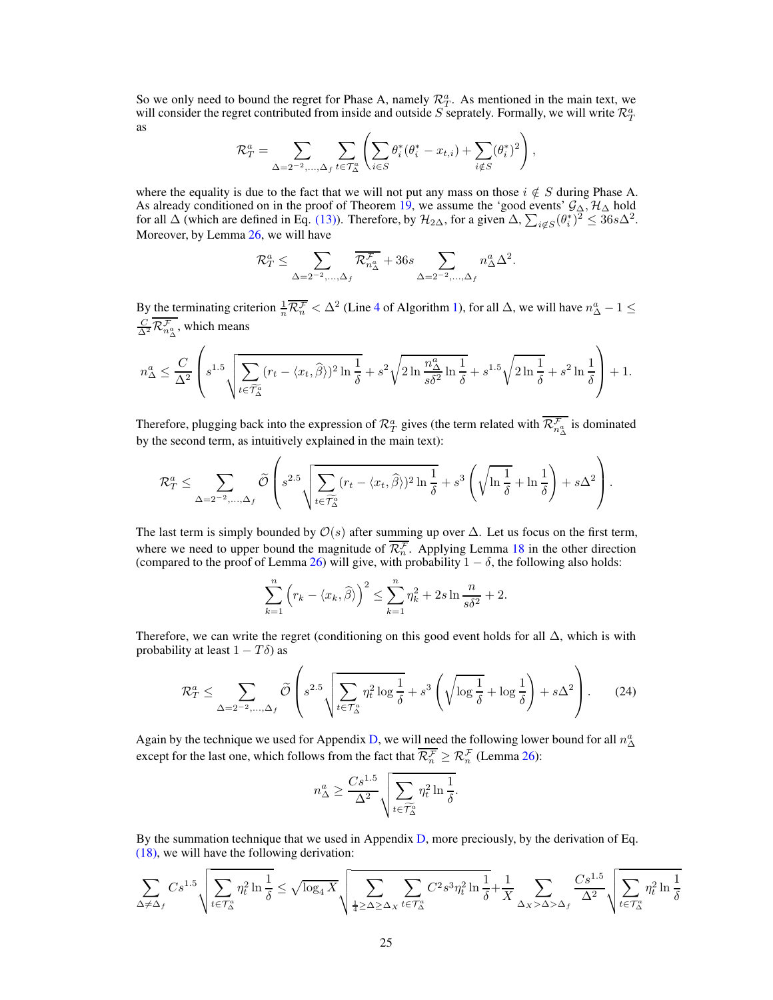So we only need to bound the regret for Phase A, namely  $\mathcal{R}_T^a$ . As mentioned in the main text, we will consider the regret contributed from inside and outside S seprately. Formally, we will write  $\mathcal{R}_T^a$ as

$$
\mathcal{R}_T^a = \sum_{\Delta = 2^{-2}, \ldots, \Delta_f} \sum_{t \in \mathcal{T}_\Delta^a} \left( \sum_{i \in S} \theta_i^*(\theta_i^* - x_{t,i}) + \sum_{i \notin S} (\theta_i^*)^2 \right),
$$

where the equality is due to the fact that we will not put any mass on those  $i \notin S$  during Phase A. As already conditioned on in the proof of Theorem [19,](#page-17-2) we assume the 'good events'  $\mathcal{G}_{\Delta}$ ,  $\mathcal{H}_{\Delta}$  hold for all  $\Delta$  (which are defined in Eq. [\(13\)\)](#page-18-1). Therefore, by  $\mathcal{H}_{2\Delta}$ , for a given  $\Delta$ ,  $\sum_{i \notin S} (\theta_i^*)^2 \leq 36s\Delta^2$ . Moreover, by Lemma [26,](#page-23-3) we will have

$$
\mathcal{R}_T^a\leq \sum_{\Delta=2^{-2},...,\Delta_f}\overline{\mathcal{R}_{n_\Delta^a}^{\mathcal{F}}}+36s\sum_{\Delta=2^{-2},...,\Delta_f}n_\Delta^a\Delta^2.
$$

By the terminating criterion  $\frac{1}{n}\overline{\mathcal{R}_n^F} < \Delta^2$  (Line [4](#page-31-0) of Algorithm [1\)](#page-5-0), for all  $\Delta$ , we will have  $n^a_{\Delta} - 1 \le$  $\frac{C}{\Delta^2} \mathcal{R}^{\mathcal{F}}_{n^a_\Delta}$ , which means

$$
n_{\Delta}^a \leq \frac{C}{\Delta^2} \left( s^{1.5} \sqrt{\sum_{t \in \widetilde{\mathcal{T}}_{\Delta}^a} (r_t - \langle x_t, \widehat{\beta} \rangle )^2 \ln \frac{1}{\delta}} + s^2 \sqrt{2 \ln \frac{n_{\Delta}^a}{s \delta^2} \ln \frac{1}{\delta}} + s^{1.5} \sqrt{2 \ln \frac{1}{\delta}} + s^2 \ln \frac{1}{\delta} \right) + 1.
$$

Therefore, plugging back into the expression of  $\mathcal{R}_T^a$  gives (the term related with  $\mathcal{R}_{n_\Delta}^{\mathcal{F}}$  is dominated by the second term, as intuitively explained in the main text):

$$
\mathcal{R}_T^a \leq \sum_{\Delta = 2^{-2},...,\Delta_f} \widetilde{\mathcal{O}}\left(s^{2.5}\sqrt{\sum_{t \in \widetilde{\mathcal{T}}_{\Delta}^a} (r_t - \langle x_t, \widehat{\beta} \rangle)^2 \ln \frac{1}{\delta}} + s^3 \left(\sqrt{\ln \frac{1}{\delta}} + \ln \frac{1}{\delta}\right) + s\Delta^2\right).
$$

The last term is simply bounded by  $\mathcal{O}(s)$  after summing up over  $\Delta$ . Let us focus on the first term, where we need to upper bound the magnitude of  $\mathcal{R}_n^{\mathcal{F}}$ . Applying Lemma [18](#page-16-4) in the other direction (compared to the proof of Lemma [26\)](#page-23-3) will give, with probability  $1 - \delta$ , the following also holds:

<span id="page-24-0"></span>
$$
\sum_{k=1}^{n} \left( r_k - \langle x_k, \widehat{\beta} \rangle \right)^2 \le \sum_{k=1}^{n} \eta_k^2 + 2s \ln \frac{n}{s \delta^2} + 2.
$$

Therefore, we can write the regret (conditioning on this good event holds for all  $\Delta$ , which is with probability at least  $1 - T\delta$ ) as

$$
\mathcal{R}_T^a \le \sum_{\Delta=2^{-2},...,\Delta_f} \widetilde{\mathcal{O}}\left(s^{2.5} \sqrt{\sum_{t \in \mathcal{T}_\Delta^a} \eta_t^2 \log \frac{1}{\delta}} + s^3 \left(\sqrt{\log \frac{1}{\delta}} + \log \frac{1}{\delta}\right) + s\Delta^2\right). \tag{24}
$$

Again by the technique we used for Appendix [D,](#page-17-0) we will need the following lower bound for all  $n_{\Delta}^a$ except for the last one, which follows from the fact that  $\mathcal{R}_n^{\mathcal{F}} \geq \mathcal{R}_n^{\mathcal{F}}$  (Lemma [26\)](#page-23-3):

$$
n_{\Delta}^{a} \ge \frac{Cs^{1.5}}{\Delta^2} \sqrt{\sum_{t \in \widetilde{\mathcal{T}}_{\Delta}^{a}} \eta_t^2 \ln \frac{1}{\delta}}.
$$

By the summation technique that we used in Appendix [D,](#page-17-0) more preciously, by the derivation of Eq. [\(18\),](#page-19-0) we will have the following derivation:

$$
\sum_{\Delta \neq \Delta_f} Cs^{1.5}\sqrt{\sum_{t\in\mathcal{T}_\Delta^a} \eta_t^2\ln\frac{1}{\delta}} \leq \sqrt{\log_4X}\sqrt{\sum_{\frac{1}{4}\geq \Delta \geq \Delta_X}\sum_{t\in\mathcal{T}_\Delta^a} C^2s^3\eta_t^2\ln\frac{1}{\delta}} + \frac{1}{X}\sum_{\Delta_X > \Delta > \Delta_f}\frac{Cs^{1.5}}{\Delta^2}\sqrt{\sum_{t\in\mathcal{T}_\Delta^a} \eta_t^2\ln\frac{1}{\delta}}.
$$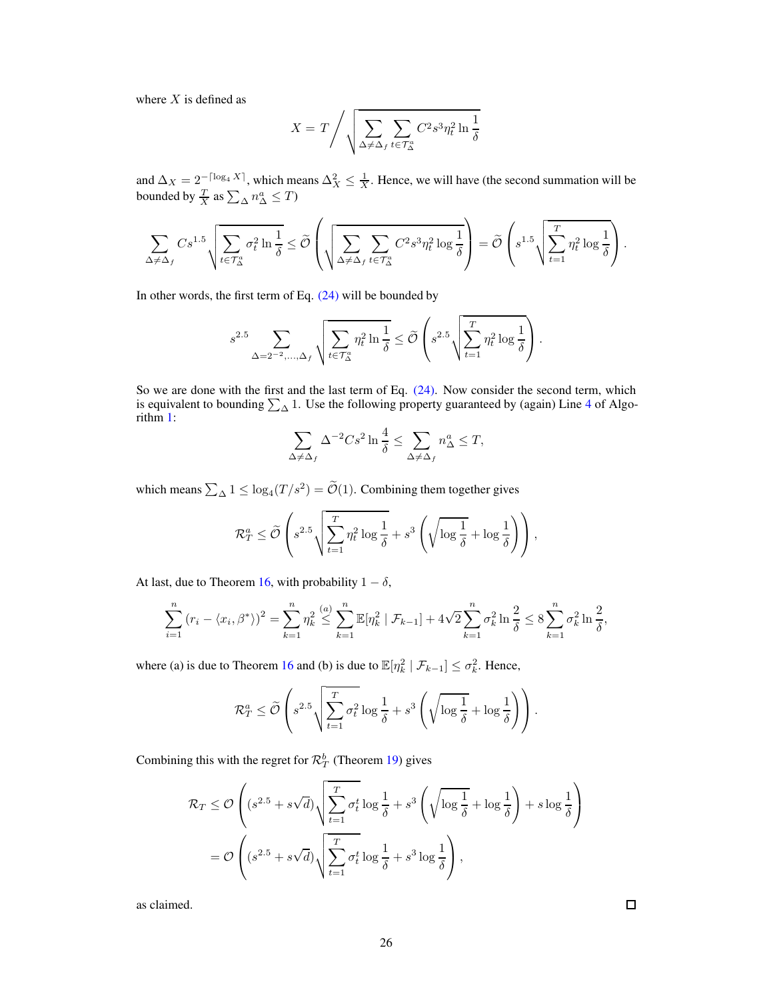where  $X$  is defined as

$$
X = T / \sqrt{\sum_{\Delta \neq \Delta_f} \sum_{t \in \mathcal{T}_\Delta^a} C^2 s^3 \eta_t^2 \ln \frac{1}{\delta}}
$$

and  $\Delta_X = 2^{-\lceil \log_4 X \rceil}$ , which means  $\Delta_X^2 \leq \frac{1}{X}$ . Hence, we will have (the second summation will be bounded by  $\frac{T}{X}$  as  $\sum_{\Delta} n_{\Delta}^a \leq T$ )

$$
\sum_{\Delta \neq \Delta_f} Cs^{1.5} \sqrt{\sum_{t \in \mathcal{T}_{\Delta}^a} \sigma_t^2 \ln \frac{1}{\delta}} \leq \widetilde{\mathcal{O}}\left(\sqrt{\sum_{\Delta \neq \Delta_f} \sum_{t \in \mathcal{T}_{\Delta}^a} C^2 s^3 \eta_t^2 \log \frac{1}{\delta}}\right) = \widetilde{\mathcal{O}}\left(s^{1.5} \sqrt{\sum_{t=1}^T \eta_t^2 \log \frac{1}{\delta}}\right).
$$

In other words, the first term of Eq.  $(24)$  will be bounded by

$$
s^{2.5} \sum_{\Delta=2^{-2},...,\Delta_f} \sqrt{\sum_{t \in \mathcal{T}_{\Delta}^a} \eta_t^2 \ln \frac{1}{\delta}} \leq \widetilde{\mathcal{O}}\left(s^{2.5} \sqrt{\sum_{t=1}^T \eta_t^2 \log \frac{1}{\delta}}\right).
$$

So we are done with the first and the last term of Eq. [\(24\).](#page-24-0) Now consider the second term, which is equivalent to bounding  $\sum_{\Delta} 1$ . Use the following property guaranteed by (again) Line [4](#page-31-0) of Algorithm [1:](#page-5-0)

$$
\sum_{\Delta \neq \Delta_f} \Delta^{-2} C s^2 \ln \frac{4}{\delta} \le \sum_{\Delta \neq \Delta_f} n_{\Delta}^a \le T,
$$

which means  $\sum_{\Delta} 1 \leq \log_4(T/s^2) = \widetilde{\mathcal{O}}(1)$ . Combining them together gives

$$
\mathcal{R}_T^a \leq \widetilde{\mathcal{O}}\left(s^{2.5}\sqrt{\sum_{t=1}^T \eta_t^2\log \frac{1}{\delta}} + s^3\left(\sqrt{\log \frac{1}{\delta}} + \log \frac{1}{\delta}\right)\right),
$$

At last, due to Theorem [16,](#page-15-0) with probability  $1 - \delta$ ,

$$
\sum_{i=1}^{n} (r_i - \langle x_i, \beta^* \rangle)^2 = \sum_{k=1}^{n} \eta_k^2 \leq \sum_{k=1}^{n} \mathbb{E}[\eta_k^2 | \mathcal{F}_{k-1}] + 4\sqrt{2} \sum_{k=1}^{n} \sigma_k^2 \ln \frac{2}{\delta} \leq 8 \sum_{k=1}^{n} \sigma_k^2 \ln \frac{2}{\delta},
$$

where (a) is due to Theorem [16](#page-15-0) and (b) is due to  $\mathbb{E}[\eta_k^2 | \mathcal{F}_{k-1}] \leq \sigma_k^2$ . Hence,

$$
\mathcal{R}_T^a \le \widetilde{\mathcal{O}}\left(s^{2.5}\sqrt{\sum_{t=1}^T \sigma_t^2 \log \frac{1}{\delta}} + s^3 \left(\sqrt{\log \frac{1}{\delta}} + \log \frac{1}{\delta}\right)\right).
$$

Combining this with the regret for  $\mathcal{R}_T^b$  (Theorem [19\)](#page-17-2) gives

$$
\mathcal{R}_T \leq \mathcal{O}\left( (s^{2.5} + s\sqrt{d}) \sqrt{\sum_{t=1}^T \sigma_t^t \log \frac{1}{\delta} + s^3} \left( \sqrt{\log \frac{1}{\delta}} + \log \frac{1}{\delta} \right) + s \log \frac{1}{\delta} \right)
$$

$$
= \mathcal{O}\left( (s^{2.5} + s\sqrt{d}) \sqrt{\sum_{t=1}^T \sigma_t^t \log \frac{1}{\delta} + s^3 \log \frac{1}{\delta}} \right),
$$

as claimed.

 $\Box$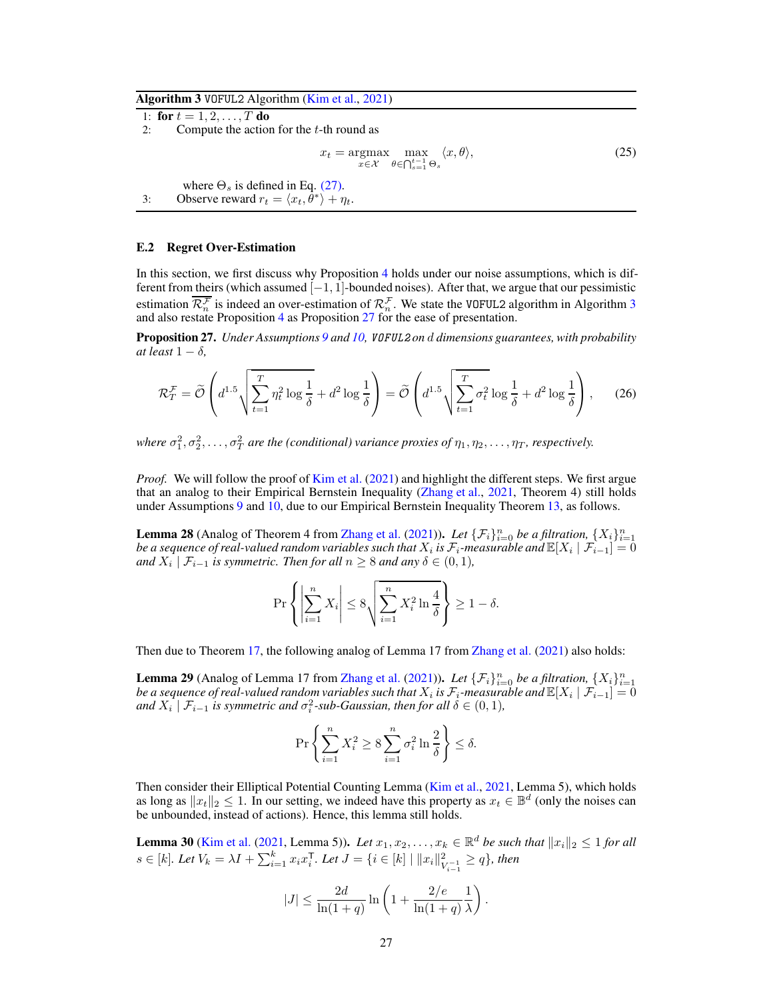<span id="page-26-1"></span>Algorithm 3 VOFUL2 Algorithm [\(Kim et al.,](#page-11-2) [2021\)](#page-11-2)

1: for  $t = 1, 2, ..., T$  do

2: Compute the action for the  $t$ -th round as

<span id="page-26-4"></span>
$$
x_t = \underset{x \in \mathcal{X}}{\operatorname{argmax}} \max_{\theta \in \bigcap_{s=1}^{t-1} \Theta_s} \langle x, \theta \rangle,
$$
 (25)

where  $\Theta_s$  is defined in Eq. [\(27\).](#page-27-0) 3: Observe reward  $r_t = \langle x_t, \theta^* \rangle + \eta_t$ .

#### <span id="page-26-0"></span>E.2 Regret Over-Estimation

In this section, we first discuss why Proposition [4](#page-7-2) holds under our noise assumptions, which is different from theirs (which assumed  $[-1, 1]$ -bounded noises). After that, we argue that our pessimistic estimation  $\mathcal{R}_n^{\mathcal{F}}$  is indeed an over-estimation of  $\mathcal{R}_n^{\mathcal{F}}$ . We state the VOFUL2 algorithm in Algorithm [3](#page-26-1) and also restate Proposition [4](#page-7-2) as Proposition [27](#page-26-2) for the ease of presentation.

<span id="page-26-2"></span>Proposition 27. *Under Assumptions [9](#page-13-2) and [10,](#page-14-1)* VOFUL2 *on* d *dimensions guarantees, with probability at least*  $1 - \delta$ *,* 

$$
\mathcal{R}_T^{\mathcal{F}} = \widetilde{\mathcal{O}}\left(d^{1.5}\sqrt{\sum_{t=1}^T \eta_t^2 \log \frac{1}{\delta}} + d^2 \log \frac{1}{\delta}\right) = \widetilde{\mathcal{O}}\left(d^{1.5}\sqrt{\sum_{t=1}^T \sigma_t^2 \log \frac{1}{\delta}} + d^2 \log \frac{1}{\delta}\right),\tag{26}
$$

where  $\sigma_1^2, \sigma_2^2, \ldots, \sigma_T^2$  are the (conditional) variance proxies of  $\eta_1, \eta_2, \ldots, \eta_T$ , respectively.

*Proof.* We will follow the proof of [Kim et al.](#page-11-2) [\(2021\)](#page-11-2) and highlight the different steps. We first argue that an analog to their Empirical Bernstein Inequality [\(Zhang et al.,](#page-11-1) [2021,](#page-11-1) Theorem 4) still holds under Assumptions [9](#page-13-2) and [10,](#page-14-1) due to our Empirical Bernstein Inequality Theorem [13,](#page-14-0) as follows.

<span id="page-26-3"></span>**Lemma 28** (Analog of Theorem 4 from [Zhang et al.](#page-11-1) [\(2021\)](#page-11-1)). Let  $\{\mathcal{F}_i\}_{i=0}^n$  be a filtration,  $\{X_i\}_{i=1}^n$  be a sequence of real-valued random variables such that  $X_i$  is  $\mathcal{F}_i$ -measurable and  $\mathbb{E}[X_i | \mathcal{F}_{i$ and  $X_i \mid \mathcal{F}_{i-1}$  *is symmetric. Then for all*  $n \geq 8$  *and any*  $\delta \in (0,1)$ *,* 

$$
\Pr\left\{ \left|\sum_{i=1}^n X_i\right| \le 8\sqrt{\sum_{i=1}^n X_i^2 \ln \frac{4}{\delta}} \right\} \ge 1 - \delta.
$$

<span id="page-26-5"></span>Then due to Theorem [17,](#page-16-0) the following analog of Lemma 17 from [Zhang et al.](#page-11-1) [\(2021](#page-11-1)) also holds:

**Lemma 29** (Analog of Lemma 17 from [Zhang et al.](#page-11-1) [\(2021\)](#page-11-1)). Let  $\{\mathcal{F}_i\}_{i=0}^n$  be a filtration,  $\{X_i\}_{i=1}^n$ *be a sequence of real-valued random variables such that*  $X_i$  *is*  $\mathcal{F}_i$ -measurable and  $\mathbb{E}[X_i \mid \mathcal{F}_{i-1}] = 0$ and  $X_i$   $\mid$   $\mathcal{F}_{i-1}$  *is symmetric and*  $\sigma_i^2$ -sub-Gaussian, then for all  $\delta \in (0,1)$ *,* 

$$
\Pr\left\{\sum_{i=1}^{n} X_i^2 \ge 8 \sum_{i=1}^{n} \sigma_i^2 \ln \frac{2}{\delta}\right\} \le \delta.
$$

Then consider their Elliptical Potential Counting Lemma [\(Kim et al.,](#page-11-2) [2021,](#page-11-2) Lemma 5), which holds as long as  $||x_t||_2 \le 1$ . In our setting, we indeed have this property as  $x_t \in \mathbb{B}^d$  (only the noises can be unbounded, instead of actions). Hence, this lemma still holds.

**Lemma 30** [\(Kim et al.](#page-11-2) [\(2021,](#page-11-2) Lemma 5)). Let  $x_1, x_2, \ldots, x_k \in \mathbb{R}^d$  be such that  $||x_i||_2 \leq 1$  for all  $s \in [k]$ *. Let*  $V_k = \lambda I + \sum_{i=1}^k x_i x_i^{\mathsf{T}}$ *. Let*  $J = \{i \in [k] \mid ||x_i||_{V_k}^2$  $\frac{2}{V_{i-1}^{-1}} \geq q\}$ , then

$$
|J| \le \frac{2d}{\ln(1+q)}\ln\left(1+\frac{2/e}{\ln(1+q)}\frac{1}{\lambda}\right).
$$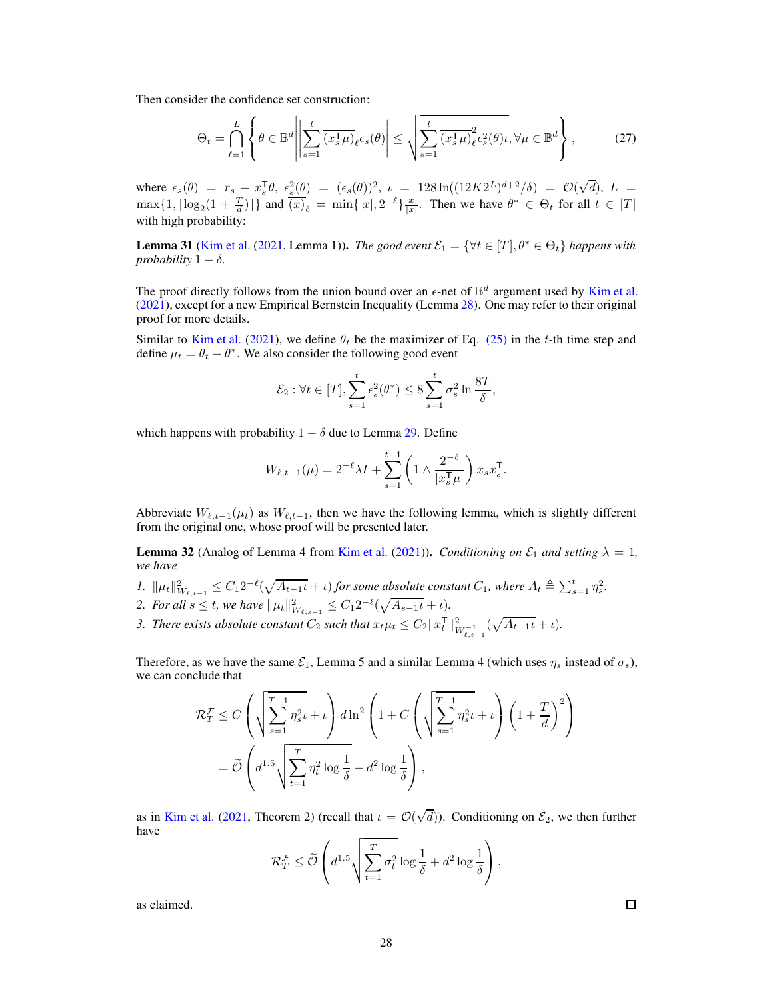Then consider the confidence set construction:

<span id="page-27-0"></span>
$$
\Theta_t = \bigcap_{\ell=1}^L \left\{ \theta \in \mathbb{B}^d \left| \left| \sum_{s=1}^t \overline{(x_s^T \mu)}_\ell \epsilon_s(\theta) \right| \le \sqrt{\sum_{s=1}^t \overline{(x_s^T \mu)}_\ell^2 \epsilon_s^2(\theta) \iota}, \forall \mu \in \mathbb{B}^d \right. \right\},\tag{27}
$$

where  $\epsilon_s(\theta) = r_s - x_s^{\text{T}} \theta$ ,  $\epsilon_s^2(\theta) = (\epsilon_s(\theta))^2$ ,  $\iota = 128 \ln((12K2^L)^{d+2}/\delta) = \mathcal{O}(\sqrt{d})$ ,  $L =$  $\max\{1, \lfloor \log_2(1 + \frac{T}{d}) \rfloor\}$  and  $\overline{(x)}_\ell = \min\{|x|, 2^{-\ell}\}_{|\overline{x}|}^{\overline{x}}$ . Then we have  $\theta^* \in \Theta_t$  for all  $t \in [T]$ with high probability:

**Lemma 31** [\(Kim et al.](#page-11-2) [\(2021](#page-11-2), Lemma 1)). *The good event*  $\mathcal{E}_1 = \{ \forall t \in [T], \theta^* \in \Theta_t \}$  *happens with probability*  $1 - \delta$ *.* 

The proof directly follows from the union bound over an  $\epsilon$ -net of  $\mathbb{B}^d$  argument used by [Kim et al.](#page-11-2) [\(2021\)](#page-11-2), except for a new Empirical Bernstein Inequality (Lemma [28\)](#page-26-3). One may refer to their original proof for more details.

Similar to [Kim et al.](#page-11-2) [\(2021\)](#page-11-2), we define  $\theta_t$  be the maximizer of Eq. [\(25\)](#page-26-4) in the t-th time step and define  $\mu_t = \theta_t - \theta^*$ . We also consider the following good event

$$
\mathcal{E}_2 : \forall t \in [T], \sum_{s=1}^t \epsilon_s^2(\theta^*) \le 8 \sum_{s=1}^t \sigma_s^2 \ln \frac{8T}{\delta},
$$

which happens with probability  $1 - \delta$  due to Lemma [29.](#page-26-5) Define

$$
W_{\ell,t-1}(\mu) = 2^{-\ell} \lambda I + \sum_{s=1}^{t-1} \left( 1 \wedge \frac{2^{-\ell}}{|x_s^T \mu|} \right) x_s x_s^T.
$$

<span id="page-27-1"></span>Abbreviate  $W_{\ell,t-1}(\mu_t)$  as  $W_{\ell,t-1}$ , then we have the following lemma, which is slightly different from the original one, whose proof will be presented later.

**Lemma 32** (Analog of Lemma 4 from [Kim et al.](#page-11-2) [\(2021\)](#page-11-2)). *Conditioning on*  $\mathcal{E}_1$  *and setting*  $\lambda = 1$ *, we have*

- *1.*  $\|\mu_t\|_{W_{\ell,t-1}}^2 \leq C_1 2^{-\ell} (\sqrt{A_{t-1} \iota} + \iota)$  *for some absolute constant*  $C_1$ *, where*  $A_t \triangleq \sum_{s=1}^t \eta_s^2$ *.*
- 2. For all  $s \le t$ , we have  $\|\mu_t\|_{W_{\ell,s-1}}^2 \le C_1 2^{-\ell} (\sqrt{A_{s-1}t} + t)$ .
- 3. There exists absolute constant  $C_2$  such that  $x_t \mu_t \leq C_2 \|x_t^T\|_{W_{\ell,t-1}^{-1}}^2 (\sqrt{A_{t-1}t} + t)$ .

Therefore, as we have the same  $\mathcal{E}_1$ , Lemma 5 and a similar Lemma 4 (which uses  $\eta_s$  instead of  $\sigma_s$ ), we can conclude that

$$
\mathcal{R}_T^{\mathcal{F}} \le C \left( \sqrt{\sum_{s=1}^{T-1} \eta_s^2 \iota} + \iota \right) d \ln^2 \left( 1 + C \left( \sqrt{\sum_{s=1}^{T-1} \eta_s^2 \iota} + \iota \right) \left( 1 + \frac{T}{d} \right)^2 \right)
$$
  
=  $\widetilde{\mathcal{O}} \left( d^{1.5} \sqrt{\sum_{t=1}^{T} \eta_t^2 \log \frac{1}{\delta}} + d^2 \log \frac{1}{\delta} \right),$ 

as in [Kim et al.](#page-11-2) [\(2021](#page-11-2), Theorem 2) (recall that  $\iota = \mathcal{O}(\sqrt{d})$ ). Conditioning on  $\mathcal{E}_2$ , we then further have

$$
\mathcal{R}_T^{\mathcal{F}} \le \widetilde{\mathcal{O}}\left(d^{1.5}\sqrt{\sum_{t=1}^T \sigma_t^2 \log \frac{1}{\delta}} + d^2 \log \frac{1}{\delta}\right),\,
$$

as claimed.

 $\Box$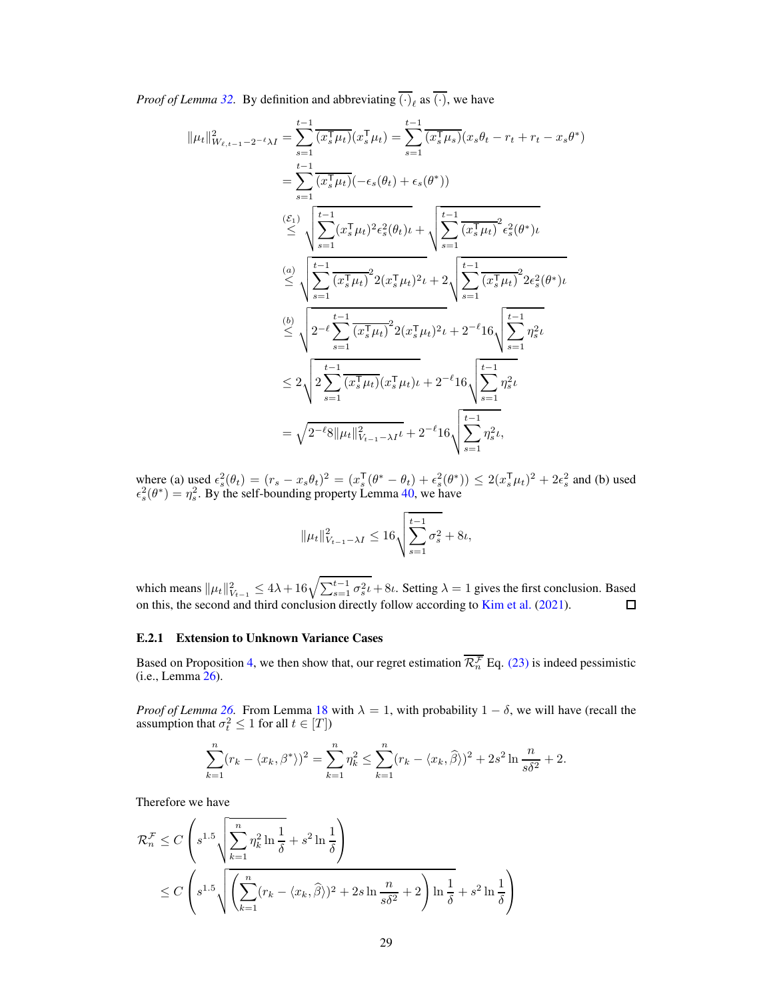*Proof of Lemma* [32.](#page-27-1) By definition and abbreviating  $(\cdot)_{\ell}$  as  $(\cdot)$ , we have

$$
\|\mu_t\|_{W_{\ell,t-1}-2-\ell\lambda I}^2 = \sum_{s=1}^{t-1} \overline{(x_s^T \mu_t)} (x_s^T \mu_t) = \sum_{s=1}^{t-1} \overline{(x_s^T \mu_s)} (x_s \theta_t - r_t + r_t - x_s \theta^*)
$$
  
\n
$$
= \sum_{s=1}^{t-1} \overline{(x_s^T \mu_t)} (-\epsilon_s(\theta_t) + \epsilon_s(\theta^*))
$$
  
\n
$$
\leq \sqrt{\sum_{s=1}^{t-1} (x_s^T \mu_t)^2 \epsilon_s^2(\theta_t) \iota} + \sqrt{\sum_{s=1}^{t-1} \overline{(x_s^T \mu_t)}^2 \epsilon_s^2(\theta^*) \iota}
$$
  
\n
$$
\leq \sqrt{\sum_{s=1}^{t-1} \overline{(x_s^T \mu_t)}^2 2(x_s^T \mu_t)^2 \iota} + 2 \sqrt{\sum_{s=1}^{t-1} \overline{(x_s^T \mu_t)}^2 2\epsilon_s^2(\theta^*) \iota}
$$
  
\n
$$
\leq \sqrt{2^{-\ell} \sum_{s=1}^{t-1} \overline{(x_s^T \mu_t)}^2 2(x_s^T \mu_t)^2 \iota} + 2^{-\ell} 16 \sqrt{\sum_{s=1}^{t-1} \eta_s^2 \iota}
$$
  
\n
$$
\leq 2 \sqrt{2 \sum_{s=1}^{t-1} \overline{(x_s^T \mu_t)} (x_s^T \mu_t) \iota} + 2^{-\ell} 16 \sqrt{\sum_{s=1}^{t-1} \eta_s^2 \iota}
$$
  
\n
$$
= \sqrt{2^{-\ell} 8 \|\mu_t\|_{V_{t-1}-\lambda I}^2 \iota} + 2^{-\ell} 16 \sqrt{\sum_{s=1}^{t-1} \eta_s^2 \iota},
$$

where (a) used  $\epsilon_s^2(\theta_t) = (r_s - x_s \theta_t)^2 = (x_s^T(\theta^* - \theta_t) + \epsilon_s^2(\theta^*)) \le 2(x_s^T \mu_t)^2 + 2\epsilon_s^2$  and (b) used  $\epsilon_s^2(\theta^*) = \eta_s^2$ . By the self-bounding property Lemma [40,](#page-35-1) we have

$$
\|\mu_t\|_{V_{t-1}-\lambda I}^2 \le 16\sqrt{\sum_{s=1}^{t-1} \sigma_s^2 + 8t},
$$

which means  $\|\mu_t\|_{V_{t-1}}^2 \le 4\lambda + 16\sqrt{\sum_{s=1}^{t-1}\sigma_s^2 t} + 8\iota$ . Setting  $\lambda = 1$  gives the first conclusion. Based on this, the second and third conclusion directly follow according to [Kim et al.](#page-11-2) [\(2021](#page-11-2)).

## E.2.1 Extension to Unknown Variance Cases

Based on Proposition [4,](#page-7-2) we then show that, our regret estimation  $\mathcal{R}_n^{\mathcal{F}}$  Eq. [\(23\)](#page-23-4) is indeed pessimistic (i.e., Lemma [26\)](#page-23-3).

*Proof of Lemma* [26.](#page-23-3) From Lemma [18](#page-16-4) with  $\lambda = 1$ , with probability  $1 - \delta$ , we will have (recall the assumption that  $\sigma_t^2 \le 1$  for all  $t \in [T]$ )

$$
\sum_{k=1}^{n} (r_k - \langle x_k, \beta^* \rangle)^2 = \sum_{k=1}^{n} \eta_k^2 \le \sum_{k=1}^{n} (r_k - \langle x_k, \hat{\beta} \rangle)^2 + 2s^2 \ln \frac{n}{s\delta^2} + 2.
$$

Therefore we have

$$
\mathcal{R}_n^{\mathcal{F}} \le C \left( s^{1.5} \sqrt{\sum_{k=1}^n \eta_k^2 \ln \frac{1}{\delta}} + s^2 \ln \frac{1}{\delta} \right)
$$
  

$$
\le C \left( s^{1.5} \sqrt{\left( \sum_{k=1}^n (r_k - \langle x_k, \widehat{\beta} \rangle)^2 + 2s \ln \frac{n}{s\delta^2} + 2 \right) \ln \frac{1}{\delta}} + s^2 \ln \frac{1}{\delta} \right)
$$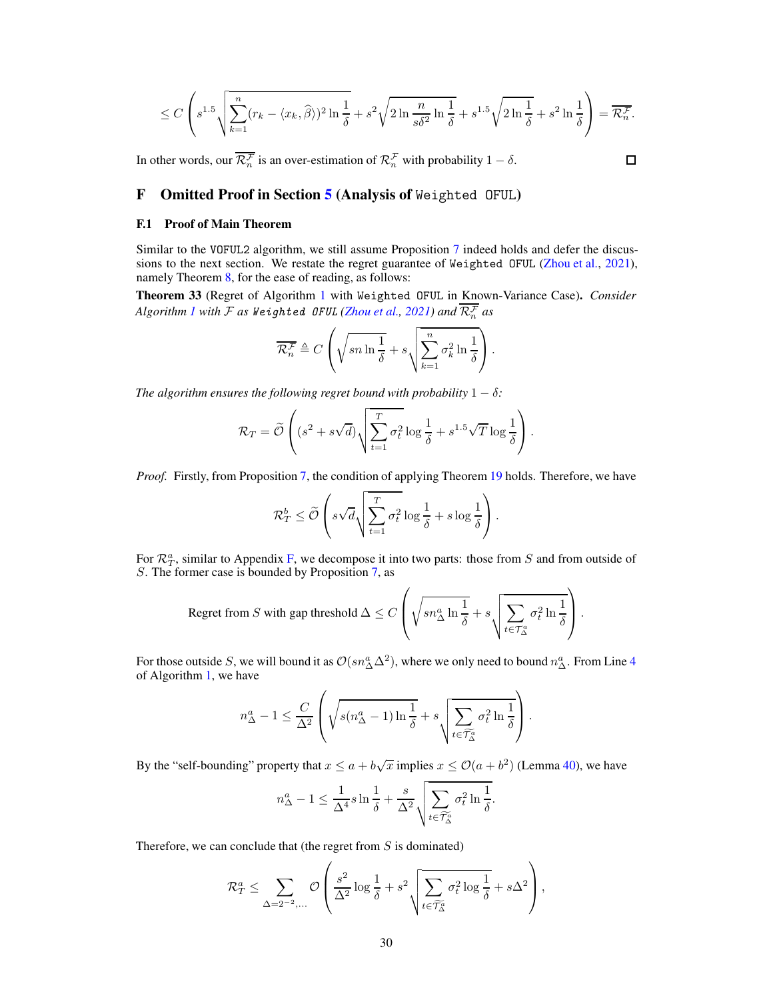$$
\leq C\left(s^{1.5}\sqrt{\sum_{k=1}^n (r_k - \langle x_k, \widehat{\beta}\rangle)^2 \ln\frac{1}{\delta}} + s^2\sqrt{2\ln\frac{n}{s\delta^2}\ln\frac{1}{\delta}} + s^{1.5}\sqrt{2\ln\frac{1}{\delta}} + s^2\ln\frac{1}{\delta}\right) = \overline{\mathcal{R}_n^{\mathcal{F}}}.
$$

<span id="page-29-0"></span>In other words, our  $\mathcal{R}_n^{\mathcal{F}}$  is an over-estimation of  $\mathcal{R}_n^{\mathcal{F}}$  with probability  $1 - \delta$ .

 $\Box$ 

## <span id="page-29-1"></span>F Omitted Proof in Section [5](#page-8-0) (Analysis of Weighted OFUL)

## F.1 Proof of Main Theorem

Similar to the VOFUL2 algorithm, we still assume Proposition [7](#page-8-2) indeed holds and defer the discussions to the next section. We restate the regret guarantee of Weighted OFUL [\(Zhou et al.,](#page-11-0) [2021\)](#page-11-0), namely Theorem [8,](#page-8-3) for the ease of reading, as follows:

Theorem 33 (Regret of Algorithm [1](#page-5-0) with Weighted OFUL in Known-Variance Case). *Consider*  $A$ lgorithm  $I$  with  $F$  as Weighted OFUL (Zhou et al., 202[1](#page-5-0)) and  $\mathcal{R}^{\mathcal{F}}_n$  as

$$
\overline{\mathcal{R}_n^{\mathcal{F}}} \triangleq C \left( \sqrt{\sin \ln \frac{1}{\delta}} + s \sqrt{\sum_{k=1}^n \sigma_k^2 \ln \frac{1}{\delta}} \right).
$$

*The algorithm ensures the following regret bound with probability*  $1 - \delta$ *:* 

$$
\mathcal{R}_T = \widetilde{\mathcal{O}}\left( (s^2 + s\sqrt{d}) \sqrt{\sum_{t=1}^T \sigma_t^2 \log \frac{1}{\delta} + s^{1.5} \sqrt{T} \log \frac{1}{\delta}} \right).
$$

*Proof.* Firstly, from Proposition [7,](#page-8-2) the condition of applying Theorem [19](#page-17-2) holds. Therefore, we have

$$
\mathcal{R}_T^b \le \widetilde{\mathcal{O}}\left(s\sqrt{d}\sqrt{\sum_{t=1}^T \sigma_t^2 \log \frac{1}{\delta}} + s\log \frac{1}{\delta}\right).
$$

For  $\mathcal{R}_T^a$ , similar to Appendix [F,](#page-29-0) we decompose it into two parts: those from S and from outside of S. The former case is bounded by Proposition [7,](#page-8-2) as

Regret from S with gap threshold 
$$
\Delta \leq C \left( \sqrt{sn_{\Delta}^a \ln \frac{1}{\delta}} + s \sqrt{\sum_{t \in \mathcal{T}_{\Delta}^a} \sigma_t^2 \ln \frac{1}{\delta}} \right).
$$

For those outside S, we will bound it as  $\mathcal{O}(sn_\Delta^a \Delta^2)$ , where we only need to bound  $n_\Delta^a$ . From Line [4](#page-31-0) of Algorithm [1,](#page-5-0) we have

$$
n_{\Delta}^{a} - 1 \leq \frac{C}{\Delta^{2}} \left( \sqrt{s(n_{\Delta}^{a} - 1) \ln \frac{1}{\delta}} + s \sqrt{\sum_{t \in \widetilde{\mathcal{T}}_{\Delta}^{a}} \sigma_{t}^{2} \ln \frac{1}{\delta}} \right).
$$

By the "self-bounding" property that  $x \le a + b\sqrt{x}$  implies  $x \le \mathcal{O}(a + b^2)$  (Lemma [40\)](#page-35-1), we have

$$
n^a_\Delta - 1 \leq \frac{1}{\Delta^4} s \ln \frac{1}{\delta} + \frac{s}{\Delta^2} \sqrt{\sum_{t \in \widehat{\mathcal{T}}^\alpha_\Delta} \sigma^2_t \ln \frac{1}{\delta}}.
$$

Therefore, we can conclude that (the regret from  $S$  is dominated)

$$
\mathcal{R}_T^a \leq \sum_{\Delta=2^{-2}, \dots} \mathcal{O}\left(\frac{s^2}{\Delta^2}\log \frac{1}{\delta} + s^2\sqrt{\sum_{t \in \widetilde{\mathcal{T}}_{\Delta}^a}\sigma_t^2\log \frac{1}{\delta}} + s\Delta^2\right),
$$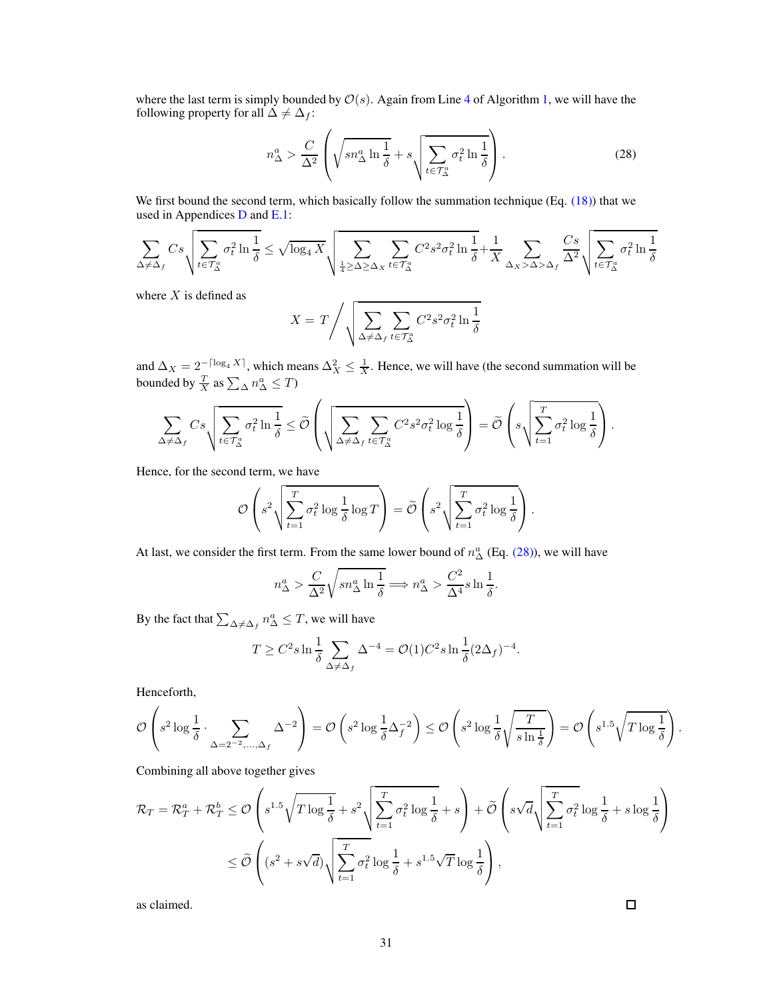where the last term is simply bounded by  $\mathcal{O}(s)$ . Again from Line [4](#page-31-0) of Algorithm [1,](#page-5-0) we will have the following property for all  $\Delta \neq \Delta_f$ :

<span id="page-30-0"></span>
$$
n_{\Delta}^{a} > \frac{C}{\Delta^{2}} \left( \sqrt{sn_{\Delta}^{a} \ln \frac{1}{\delta}} + s \sqrt{\sum_{t \in \mathcal{T}_{\Delta}^{a}} \sigma_{t}^{2} \ln \frac{1}{\delta}} \right).
$$
 (28)

We first bound the second term, which basically follow the summation technique (Eq. [\(18\)\)](#page-19-0) that we used in Appendices [D](#page-17-0) and [E.1:](#page-23-0)

$$
\sum_{\Delta \neq \Delta_f} Cs \sqrt{\sum_{t \in \mathcal{T}_{\Delta}^a} \sigma_t^2 \ln \frac{1}{\delta}} \leq \sqrt{\log_4 X} \sqrt{\sum_{\frac{1}{4} \geq \Delta \geq \Delta_X} \sum_{t \in \mathcal{T}_{\Delta}^a} C^2 s^2 \sigma_t^2 \ln \frac{1}{\delta} } + \frac{1}{X} \sum_{\Delta_X > \Delta > \Delta_f} \sum_{\Delta_f} \frac{Cs}{\Delta^2} \sqrt{\sum_{t \in \mathcal{T}_{\Delta}^a} \sigma_t^2 \ln \frac{1}{\delta}}
$$

where  $X$  is defined as

$$
X = T / \sqrt{\sum_{\Delta \neq \Delta_f} \sum_{t \in \mathcal{T}_{\Delta}^{\alpha}} C^2 s^2 \sigma_t^2 \ln \frac{1}{\delta}}
$$

and  $\Delta_X = 2^{-\lceil \log_4 X \rceil}$ , which means  $\Delta_X^2 \leq \frac{1}{X}$ . Hence, we will have (the second summation will be bounded by  $\frac{T}{X}$  as  $\sum_{\Delta} n_{\Delta}^a \leq T$ )

$$
\sum_{\Delta \neq \Delta_f} C_s \sqrt{\sum_{t \in \mathcal{T}_{\Delta}^a} \sigma_t^2 \ln \frac{1}{\delta}} \leq \widetilde{\mathcal{O}}\left(\sqrt{\sum_{\Delta \neq \Delta_f} \sum_{t \in \mathcal{T}_{\Delta}^a} C^2 s^2 \sigma_t^2 \log \frac{1}{\delta}}\right) = \widetilde{\mathcal{O}}\left(s \sqrt{\sum_{t=1}^T \sigma_t^2 \log \frac{1}{\delta}}\right).
$$

Hence, for the second term, we have

$$
\mathcal{O}\left(s^2 \sqrt{\sum_{t=1}^T \sigma_t^2 \log \frac{1}{\delta} \log T}\right) = \widetilde{\mathcal{O}}\left(s^2 \sqrt{\sum_{t=1}^T \sigma_t^2 \log \frac{1}{\delta}}\right).
$$

At last, we consider the first term. From the same lower bound of  $n_{\Delta}^{a}$  (Eq. [\(28\)\)](#page-30-0), we will have

$$
n^a_\Delta > \frac{C}{\Delta^2} \sqrt{s n^a_\Delta \ln \frac{1}{\delta}} \Longrightarrow n^a_\Delta > \frac{C^2}{\Delta^4} s \ln \frac{1}{\delta}.
$$

By the fact that  $\sum_{\Delta \neq \Delta_f} n_{\Delta}^a \leq T$ , we will have

$$
T \ge C^2 s \ln \frac{1}{\delta} \sum_{\Delta \neq \Delta_f} \Delta^{-4} = \mathcal{O}(1) C^2 s \ln \frac{1}{\delta} (2\Delta_f)^{-4}.
$$

Henceforth,

$$
\mathcal{O}\left(s^2\log\frac{1}{\delta}\cdot\sum_{\Delta=2^{-2},\ldots,\Delta_f}\Delta^{-2}\right)=\mathcal{O}\left(s^2\log\frac{1}{\delta}\Delta_f^{-2}\right)\leq\mathcal{O}\left(s^2\log\frac{1}{\delta}\sqrt{\frac{T}{s\ln\frac{1}{\delta}}}\right)=\mathcal{O}\left(s^{1.5}\sqrt{T\log\frac{1}{\delta}}\right).
$$

Combining all above together gives

$$
\mathcal{R}_T = \mathcal{R}_T^a + \mathcal{R}_T^b \leq \mathcal{O}\left(s^{1.5}\sqrt{T\log\frac{1}{\delta}} + s^2\sqrt{\sum_{t=1}^T \sigma_t^2 \log\frac{1}{\delta}} + s\right) + \widetilde{\mathcal{O}}\left(s\sqrt{d}\sqrt{\sum_{t=1}^T \sigma_t^2 \log\frac{1}{\delta}} + s\log\frac{1}{\delta}\right)
$$
  

$$
\leq \widetilde{\mathcal{O}}\left((s^2 + s\sqrt{d})\sqrt{\sum_{t=1}^T \sigma_t^2 \log\frac{1}{\delta}} + s^{1.5}\sqrt{T}\log\frac{1}{\delta}\right),
$$

as claimed.

 $\Box$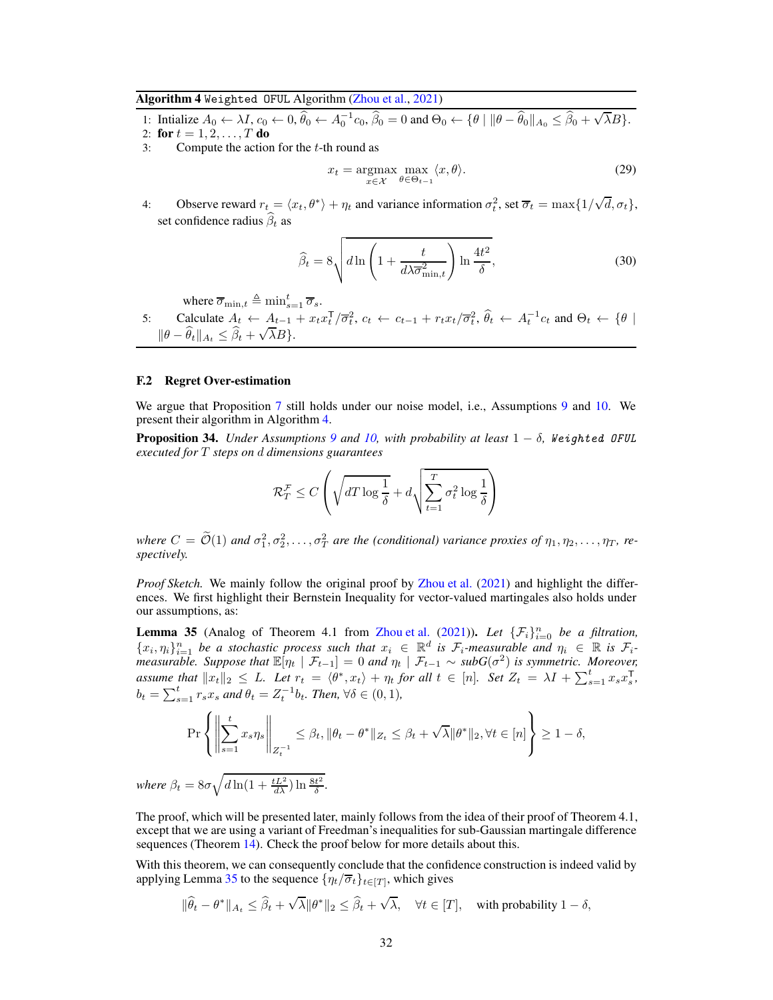#### <span id="page-31-2"></span>Algorithm 4 Weighted OFUL Algorithm [\(Zhou et al.,](#page-11-0) [2021\)](#page-11-0)

1: Intialize  $A_0 \leftarrow \lambda I$ ,  $c_0 \leftarrow 0$ ,  $\widehat{\theta}_0 \leftarrow A_0^{-1} c_0$ ,  $\widehat{\beta}_0 = 0$  and  $\Theta_0 \leftarrow {\theta \mid \|\theta - \widehat{\theta}_0\|_{A_0}} \leq \widehat{\beta}_0 + \sqrt{\lambda} B$ . 2: for  $t = 1, 2, ..., T$  do

3: Compute the action for the  $t$ -th round as

$$
x_t = \underset{x \in \mathcal{X}}{\operatorname{argmax}} \max_{\theta \in \Theta_{t-1}} \langle x, \theta \rangle. \tag{29}
$$

<span id="page-31-0"></span>4: Observe reward  $r_t = \langle x_t, \theta^* \rangle + \eta_t$  and variance information  $\sigma_t^2$ , set  $\overline{\sigma}_t = \max\{1/\sqrt{d}, \sigma_t\}$ , set confidence radius  $\beta_t$  as

<span id="page-31-4"></span>
$$
\hat{\beta}_t = 8 \sqrt{d \ln \left( 1 + \frac{t}{d \lambda \overline{\sigma}_{\min,t}^2} \right) \ln \frac{4t^2}{\delta}},\tag{30}
$$

where  $\overline{\sigma}_{\min,t} \triangleq \min_{s=1}^t \overline{\sigma}_s$ .

5: Calculate 
$$
A_t \leftarrow A_{t-1} + x_t x_t^{\mathsf{T}} / \overline{\sigma}_t^2
$$
,  $c_t \leftarrow c_{t-1} + r_t x_t / \overline{\sigma}_t^2$ ,  $\hat{\theta}_t \leftarrow A_t^{-1} c_t$  and  $\Theta_t \leftarrow \{\theta \mid \|\theta - \hat{\theta}_t\|_{A_t} \leq \hat{\beta}_t + \sqrt{\lambda} B\}$ .

#### <span id="page-31-1"></span>F.2 Regret Over-estimation

We argue that Proposition [7](#page-8-2) still holds under our noise model, i.e., Assumptions [9](#page-13-2) and [10.](#page-14-1) We present their algorithm in Algorithm [4.](#page-31-2)

**Proposition 34.** *Under Assumptions [9](#page-13-2) and* [10,](#page-14-1) *with probability at least*  $1 - \delta$ *, Weighted OFUL executed for* T *steps on* d *dimensions guarantees*

$$
\mathcal{R}_T^{\mathcal{F}} \le C \left( \sqrt{dT \log \frac{1}{\delta}} + d \sqrt{\sum_{t=1}^T \sigma_t^2 \log \frac{1}{\delta}} \right)
$$

where  $C = \mathcal{O}(1)$  and  $\sigma_1^2, \sigma_2^2, \ldots, \sigma_T^2$  are the (conditional) variance proxies of  $\eta_1, \eta_2, \ldots, \eta_T$ , re*spectively.*

*Proof Sketch.* We mainly follow the original proof by [Zhou et al.](#page-11-0) [\(2021\)](#page-11-0) and highlight the differences. We first highlight their Bernstein Inequality for vector-valued martingales also holds under our assumptions, as:

<span id="page-31-3"></span>**Lemma 35** (Analog of Theorem 4.1 from [Zhou et al.](#page-11-0) [\(2021\)](#page-11-0)). Let  $\{\mathcal{F}_i\}_{i=0}^n$  be a filtration,  ${x_i, \eta_i}_{i=1}^n$  be a stochastic process such that  $x_i \in \mathbb{R}^d$  is  $\mathcal{F}_i$ -measurable and  $\eta_i \in \mathbb{R}$  is  $\mathcal{F}_i$ *measurable. Suppose that*  $\mathbb{E}[\eta_t | \mathcal{F}_{t-1}] = 0$  *and*  $\eta_t | \mathcal{F}_{t-1} \sim \text{subG}(\sigma^2)$  *is symmetric. Moreover, assume that*  $||x_t||_2 \leq L$ *. Let*  $r_t = \langle \theta^*, x_t \rangle + \eta_t$  *for all*  $t \in [n]$ *. Set*  $Z_t = \lambda I + \sum_{s=1}^t x_s x_s^T$ *,*  $b_t = \sum_{s=1}^t r_s x_s$  and  $\theta_t = Z_t^{-1} b_t$ . Then,  $\forall \delta \in (0,1)$ ,

$$
\Pr\left\{ \left\| \sum_{s=1}^t x_s \eta_s \right\|_{Z_t^{-1}} \leq \beta_t, \|\theta_t - \theta^*\|_{Z_t} \leq \beta_t + \sqrt{\lambda} \|\theta^*\|_2, \forall t \in [n] \right\} \geq 1 - \delta,
$$

*where*  $\beta_t = 8\sigma \sqrt{d \ln(1 + \frac{tL^2}{d\lambda}) \ln \frac{8t^2}{\delta}}$ δ *.*

The proof, which will be presented later, mainly follows from the idea of their proof of Theorem 4.1, except that we are using a variant of Freedman's inequalities for sub-Gaussian martingale difference sequences (Theorem [14\)](#page-15-1). Check the proof below for more details about this.

With this theorem, we can consequently conclude that the confidence construction is indeed valid by applying Lemma [35](#page-31-3) to the sequence  $\{\eta_t/\overline{\sigma}_t\}_{t\in[T]}$ , which gives

$$
\|\widehat{\theta}_t - \theta^*\|_{A_t} \leq \widehat{\beta}_t + \sqrt{\lambda} \|\theta^*\|_2 \leq \widehat{\beta}_t + \sqrt{\lambda}, \quad \forall t \in [T], \quad \text{with probability } 1 - \delta,
$$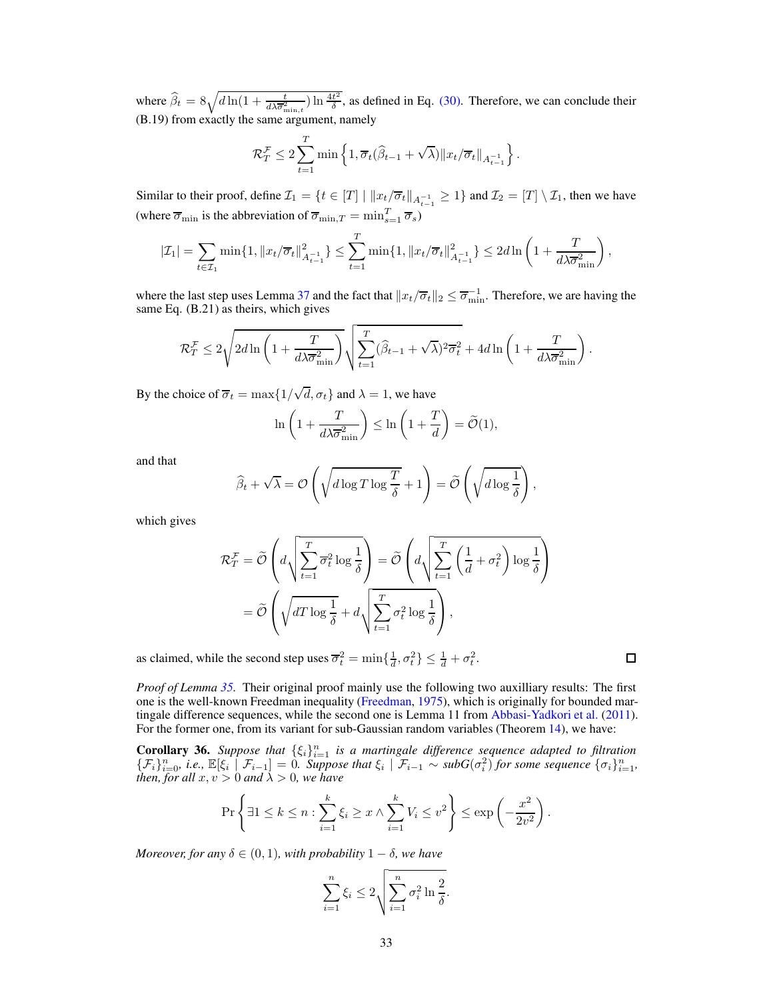where  $\hat{\beta}_t = 8\sqrt{d\ln(1 + \frac{t}{d\lambda \overline{\sigma}_{\min,t}^2})\ln\frac{4t^2}{\delta}}$  $\frac{t^2}{\delta}$ , as defined in Eq. [\(30\).](#page-31-4) Therefore, we can conclude their (B.19) from exactly the same argument, namely

$$
\mathcal{R}_T^{\mathcal{F}} \leq 2 \sum_{t=1}^T \min \left\{ 1, \overline{\sigma}_t (\widehat{\beta}_{t-1} + \sqrt{\lambda}) \| x_t / \overline{\sigma}_t \|_{A_{t-1}^{-1}} \right\}.
$$

Similar to their proof, define  $\mathcal{I}_1 = \{t \in [T] \mid ||x_t / \overline{\sigma}_t||_{A_{t-1}^{-1}} \ge 1\}$  and  $\mathcal{I}_2 = [T] \setminus \mathcal{I}_1$ , then we have (where  $\overline{\sigma}_{min}$  is the abbreviation of  $\overline{\sigma}_{min,T} = \min_{s=1}^T \overline{\sigma}_s$ )

$$
|\mathcal{I}_1| = \sum_{t \in \mathcal{I}_1} \min\{1, \|x_t/\overline{\sigma}_t\|_{A_{t-1}^{-1}}^2\} \le \sum_{t=1}^T \min\{1, \|x_t/\overline{\sigma}_t\|_{A_{t-1}^{-1}}^2\} \le 2d \ln\left(1 + \frac{T}{d\lambda \overline{\sigma}_{\min}^2}\right),
$$

where the last step uses Lemma [37](#page-33-0) and the fact that  $||x_t/\overline{\sigma}_t||_2 \leq \overline{\sigma}_{\min}^{-1}$ . Therefore, we are having the same Eq. (B.21) as theirs, which gives

$$
\mathcal{R}_T^{\mathcal{F}} \leq 2\sqrt{2d\ln\left(1+\frac{T}{d\lambda \overline{\sigma}_{\min}^2}\right)}\sqrt{\sum_{t=1}^T(\widehat{\beta}_{t-1}+\sqrt{\lambda})^2\overline{\sigma}_t^2} + 4d\ln\left(1+\frac{T}{d\lambda \overline{\sigma}_{\min}^2}\right).
$$

By the choice of  $\overline{\sigma}_t = \max\{1/\sqrt{d}, \sigma_t\}$  and  $\lambda = 1$ , we have

$$
\ln\left(1+\frac{T}{d\lambda \overline{\sigma}_{\min}^2}\right) \le \ln\left(1+\frac{T}{d}\right) = \widetilde{\mathcal{O}}(1),
$$

and that

$$
\widehat{\beta}_t + \sqrt{\lambda} = \mathcal{O}\left(\sqrt{d \log T \log \frac{T}{\delta}} + 1\right) = \widetilde{\mathcal{O}}\left(\sqrt{d \log \frac{1}{\delta}}\right),
$$

which gives

$$
\mathcal{R}_T^{\mathcal{F}} = \widetilde{\mathcal{O}}\left(d\sqrt{\sum_{t=1}^T \overline{\sigma}_t^2 \log \frac{1}{\delta}}\right) = \widetilde{\mathcal{O}}\left(d\sqrt{\sum_{t=1}^T \left(\frac{1}{d} + \sigma_t^2\right) \log \frac{1}{\delta}}\right)
$$

$$
= \widetilde{\mathcal{O}}\left(\sqrt{dT \log \frac{1}{\delta}} + d\sqrt{\sum_{t=1}^T \sigma_t^2 \log \frac{1}{\delta}}\right),
$$

as claimed, while the second step uses  $\overline{\sigma}_t^2 = \min\{\frac{1}{d}, \sigma_t^2\} \le \frac{1}{d} + \sigma_t^2$ .

 $\Box$ 

*Proof of Lemma [35.](#page-31-3)* Their original proof mainly use the following two auxilliary results: The first one is the well-known Freedman inequality [\(Freedman](#page-10-18), [1975\)](#page-10-18), which is originally for bounded martingale difference sequences, while the second one is Lemma 11 from [Abbasi-Yadkori et al.](#page-9-2) [\(2011\)](#page-9-2). For the former one, from its variant for sub-Gaussian random variables (Theorem [14\)](#page-15-1), we have:

<span id="page-32-0"></span>**Corollary 36.** *Suppose that*  $\{\xi_i\}_{i=1}^n$  *is a martingale difference sequence adapted to filtration*  ${\{\mathcal{F}_i\}}_{i=0}^n$ , *i.e.*,  $\mathbb{E}[\xi_i \mid \mathcal{F}_{i-1}] = 0$ . Suppose that  $\xi_i \mid \mathcal{F}_{i-1} \sim \text{subG}(\sigma_i^2)$  for some sequence  ${\{\sigma_i\}}_{i=1}^n$ , *then, for all*  $x, v > 0$  *and*  $\lambda > 0$ *, we have* 

$$
\Pr\left\{\exists 1 \leq k \leq n : \sum_{i=1}^k \xi_i \geq x \land \sum_{i=1}^k V_i \leq v^2\right\} \leq \exp\left(-\frac{x^2}{2v^2}\right).
$$

*Moreover, for any*  $\delta \in (0, 1)$ *, with probability*  $1 - \delta$ *, we have* 

$$
\sum_{i=1}^{n} \xi_i \le 2\sqrt{\sum_{i=1}^{n} \sigma_i^2 \ln \frac{2}{\delta}}.
$$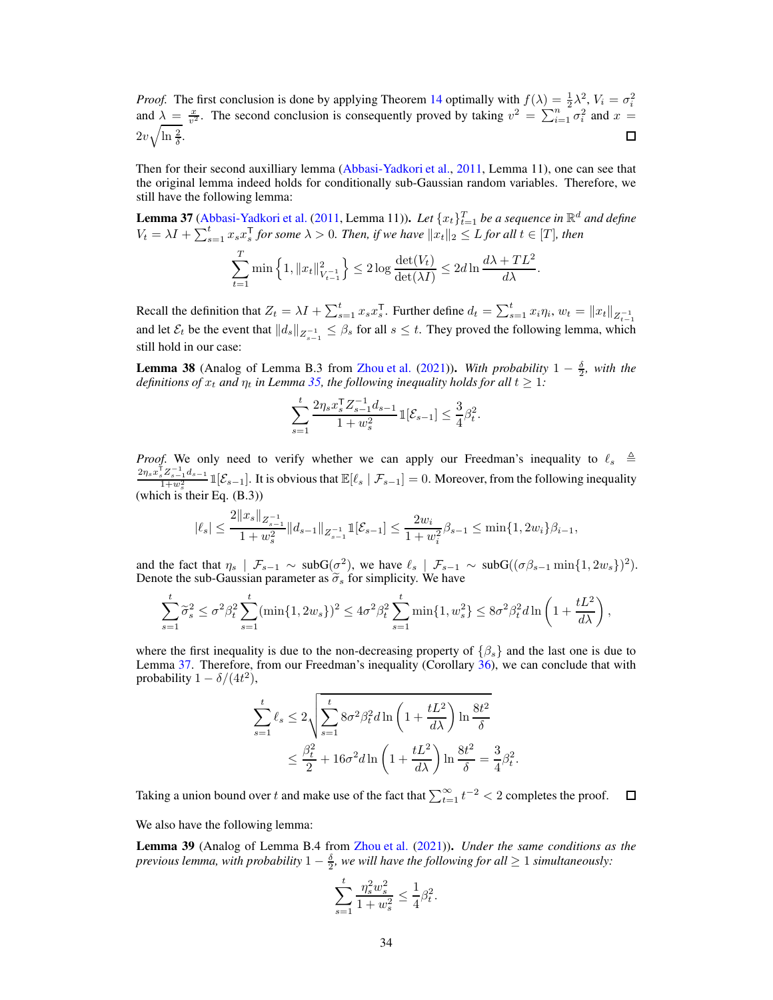*Proof.* The first conclusion is done by applying Theorem [14](#page-15-1) optimally with  $f(\lambda) = \frac{1}{2}\lambda^2$ ,  $V_i = \sigma_i^2$  and  $\lambda = \frac{x}{v^2}$ . The second conclusion is consequently proved by taking  $v^2 = \sum_{i=1}^n \sigma_i^2$  and  $x =$  $2v\sqrt{\ln{\frac{2}{\delta}}}$ .  $\Box$ 

Then for their second auxilliary lemma [\(Abbasi-Yadkori et al.,](#page-9-2) [2011,](#page-9-2) Lemma 11), one can see that the original lemma indeed holds for conditionally sub-Gaussian random variables. Therefore, we still have the following lemma:

<span id="page-33-0"></span>**Lemma 37** [\(Abbasi-Yadkori et al.](#page-9-2) [\(2011](#page-9-2), Lemma 11)). Let  $\{x_t\}_{t=1}^T$  be a sequence in  $\mathbb{R}^d$  and define  $V_t = \lambda I + \sum_{s=1}^t x_s x_s^\mathsf{T}$  for some  $\lambda > 0$ . Then, if we have  $||x_t||_2 \leq L$  for all  $t \in [T]$ , then

$$
\sum_{t=1}^T \min\left\{1, \|x_t\|_{V_{t-1}^{-1}}^2\right\} \le 2\log \frac{\det(V_t)}{\det(\lambda I)} \le 2d\ln \frac{d\lambda + TL^2}{d\lambda}.
$$

Recall the definition that  $Z_t = \lambda I + \sum_{s=1}^t x_s x_s^T$ . Further define  $d_t = \sum_{s=1}^t x_i \eta_i$ ,  $w_t = ||x_t||_{Z_{t-1}^{-1}}$ and let  $\mathcal{E}_t$  be the event that  $||d_s||_{Z_{s-1}^{-1}} \leq \beta_s$  for all  $s \leq t$ . They proved the following lemma, which still hold in our case:

<span id="page-33-1"></span>**Lemma 38** (Analog of Lemma B.3 from [Zhou et al.](#page-11-0) [\(2021](#page-11-0))). *With probability*  $1 - \frac{\delta}{2}$ , with the *definitions of*  $x_t$  *and*  $\eta_t$  *in Lemma* [35,](#page-31-3) *the following inequality holds for all*  $t \geq 1$ *:* 

$$
\sum_{s=1}^t \frac{2\eta_s x_s^\mathsf{T} Z_{s-1}^{-1} d_{s-1}}{1+w_s^2} 1\!\!1[ \mathcal{E}_{s-1}] \leq \frac{3}{4} \beta_t^2.
$$

*Proof.* We only need to verify whether we can apply our Freedman's inequality to  $\ell_s \triangleq$  $2\eta_s x_s^{\mathsf{T}} Z_{s-1}^{-1} d_{s-1}$  $\frac{sZ_{s-1}a_{s-1}}{1+w_s^2}1[\mathcal{E}_{s-1}]$ . It is obvious that  $\mathbb{E}[\ell_s | \mathcal{F}_{s-1}] = 0$ . Moreover, from the following inequality (which is their Eq. (B.3))

$$
|\ell_s| \leq \frac{2\|x_s\|_{Z_{s-1}^{-1}}}{1+w_s^2} \|d_{s-1}\|_{Z_{s-1}^{-1}} \mathbbm{1}[{\mathcal{E}}_{s-1}] \leq \frac{2w_i}{1+w_i^2} \beta_{s-1} \leq \min\{1,2w_i\} \beta_{i-1},
$$

and the fact that  $\eta_s \mid \mathcal{F}_{s-1} \sim \text{subG}(\sigma^2)$ , we have  $\ell_s \mid \mathcal{F}_{s-1} \sim \text{subG}((\sigma \beta_{s-1} \min\{1, 2w_s\})^2)$ . Denote the sub-Gaussian parameter as  $\widetilde{\sigma}_s$  for simplicity. We have

$$
\sum_{s=1}^t \widetilde{\sigma}_s^2 \le \sigma^2 \beta_t^2 \sum_{s=1}^t (\min\{1, 2w_s\})^2 \le 4\sigma^2 \beta_t^2 \sum_{s=1}^t \min\{1, w_s^2\} \le 8\sigma^2 \beta_t^2 d \ln\left(1 + \frac{tL^2}{d\lambda}\right),
$$

where the first inequality is due to the non-decreasing property of  $\{\beta_s\}$  and the last one is due to Lemma [37.](#page-33-0) Therefore, from our Freedman's inequality (Corollary  $36$ ), we can conclude that with probability  $1 - \delta/(4t^2)$ ,

$$
\sum_{s=1}^{t} \ell_s \le 2 \sqrt{\sum_{s=1}^{t} 8\sigma^2 \beta_t^2} d \ln\left(1 + \frac{tL^2}{d\lambda}\right) \ln\frac{8t^2}{\delta}
$$

$$
\le \frac{\beta_t^2}{2} + 16\sigma^2 d \ln\left(1 + \frac{tL^2}{d\lambda}\right) \ln\frac{8t^2}{\delta} = \frac{3}{4}\beta_t^2.
$$

Taking a union bound over t and make use of the fact that  $\sum_{t=1}^{\infty} t^{-2} < 2$  completes the proof.  $\Box$ 

We also have the following lemma:

Lemma 39 (Analog of Lemma B.4 from [Zhou et al.](#page-11-0) [\(2021\)](#page-11-0)). *Under the same conditions as the previous lemma, with probability*  $1-\frac{\delta}{2}$ , we will have the following for all  $\geq 1$  simultaneously:

$$
\sum_{s=1}^{t} \frac{\eta_s^2 w_s^2}{1 + w_s^2} \le \frac{1}{4} \beta_t^2.
$$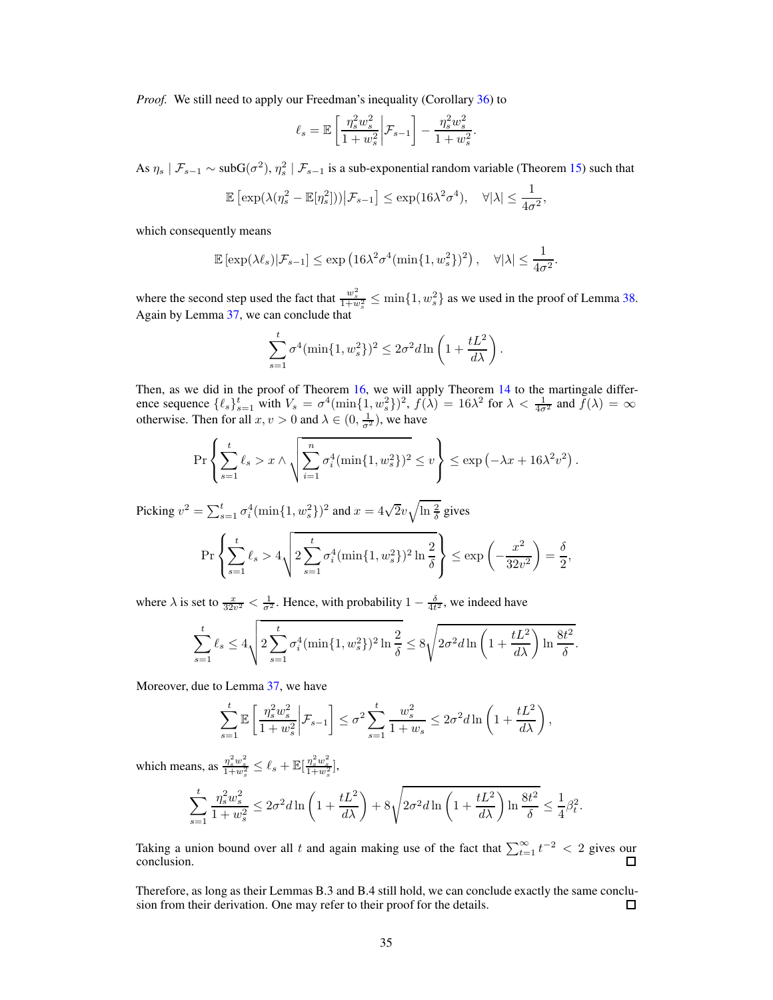*Proof.* We still need to apply our Freedman's inequality (Corollary [36\)](#page-32-0) to

$$
\ell_s = \mathbb{E}\left[\frac{\eta_s^2w_s^2}{1+w_s^2}\bigg|\mathcal{F}_{s-1}\right] - \frac{\eta_s^2w_s^2}{1+w_s^2}.
$$

As  $\eta_s \mid \mathcal{F}_{s-1} \sim \text{subG}(\sigma^2)$ ,  $\eta_s^2 \mid \mathcal{F}_{s-1}$  is a sub-exponential random variable (Theorem [15\)](#page-15-3) such that

$$
\mathbb{E}\left[\exp(\lambda(\eta_s^2-\mathbb{E}[\eta_s^2]))\big|\mathcal{F}_{s-1}\right]\leq \exp(16\lambda^2\sigma^4), \quad \forall |\lambda|\leq \frac{1}{4\sigma^2},
$$

which consequently means

$$
\mathbb{E}\left[\exp(\lambda \ell_s)|\mathcal{F}_{s-1}\right] \le \exp\left(16\lambda^2 \sigma^4 \left(\min\{1, w_s^2\}\right)^2\right), \quad \forall |\lambda| \le \frac{1}{4\sigma^2}.
$$

where the second step used the fact that  $\frac{w_s^2}{1+w_s^2} \le \min\{1, w_s^2\}$  as we used in the proof of Lemma [38.](#page-33-1) Again by Lemma [37,](#page-33-0) we can conclude that

$$
\sum_{s=1}^t \sigma^4 (\min\{1, w_s^2\})^2 \le 2\sigma^2 d \ln\left(1 + \frac{tL^2}{d\lambda}\right).
$$

Then, as we did in the proof of Theorem [16,](#page-15-0) we will apply Theorem [14](#page-15-1) to the martingale difference sequence  $\{\ell_s\}_{s=1}^t$  with  $V_s = \sigma^4(\min\{1,w_s^2\})^2$ ,  $f(\lambda) = 16\lambda^2$  for  $\lambda < \frac{1}{4\sigma^2}$  and  $\bar{f}(\lambda) = \infty$ otherwise. Then for all  $x, v > 0$  and  $\lambda \in (0, \frac{1}{\sigma^2})$ , we have

$$
\Pr\left\{\sum_{s=1}^t \ell_s > x \wedge \sqrt{\sum_{i=1}^n \sigma_i^4 (\min\{1, w_s^2\})^2} \le v\right\} \le \exp\left(-\lambda x + 16\lambda^2 v^2\right).
$$

Picking  $v^2 = \sum_{s=1}^t \sigma_i^4 (\min\{1, w_s^2\})^2$  and  $x = 4\sqrt{2}v \sqrt{\ln \frac{2}{\delta}}$  gives

$$
\Pr\left\{\sum_{s=1}^t \ell_s > 4\sqrt{2\sum_{s=1}^t \sigma_i^4 (\min\{1, w_s^2\})^2 \ln\frac{2}{\delta}}\right\} \le \exp\left(-\frac{x^2}{32v^2}\right) = \frac{\delta}{2},
$$

where  $\lambda$  is set to  $\frac{x}{32v^2} < \frac{1}{\sigma^2}$ . Hence, with probability  $1 - \frac{\delta}{4t^2}$ , we indeed have

$$
\sum_{s=1}^t \ell_s \le 4\sqrt{2\sum_{s=1}^t \sigma_i^4 (\min\{1, w_s^2\})^2 \ln\frac{2}{\delta}} \le 8\sqrt{2\sigma^2 d \ln\left(1 + \frac{tL^2}{d\lambda}\right) \ln\frac{8t^2}{\delta}}.
$$

Moreover, due to Lemma [37,](#page-33-0) we have

$$
\sum_{s=1}^t \mathbb{E}\left[\frac{\eta_s^2 w_s^2}{1+w_s^2} \bigg| \mathcal{F}_{s-1}\right] \leq \sigma^2 \sum_{s=1}^t \frac{w_s^2}{1+w_s} \leq 2\sigma^2 d \ln\left(1 + \frac{tL^2}{d\lambda}\right),
$$

which means, as  $\frac{\eta_s^2 w_s^2}{1 + w_s^2} \le \ell_s + \mathbb{E}[\frac{\eta_s^2 w_s^2}{1 + w_s^2}],$ 

$$
\sum_{s=1}^t \frac{\eta_s^2 w_s^2}{1+w_s^2} \le 2\sigma^2 d \ln\left(1+\frac{tL^2}{d\lambda}\right) + 8\sqrt{2\sigma^2 d \ln\left(1+\frac{tL^2}{d\lambda}\right) \ln\frac{8t^2}{\delta}} \le \frac{1}{4}\beta_t^2.
$$

Taking a union bound over all t and again making use of the fact that  $\sum_{t=1}^{\infty} t^{-2} < 2$  gives our conclusion.  $\Box$ 

Therefore, as long as their Lemmas B.3 and B.4 still hold, we can conclude exactly the same conclusion from their derivation. One may refer to their proof for the details. □